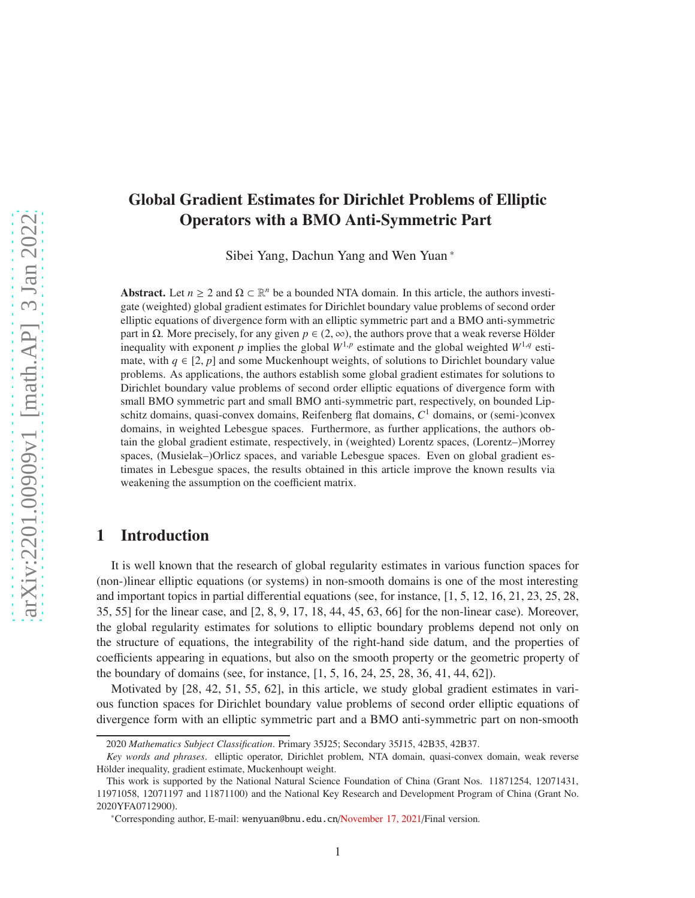# Global Gradient Estimates for Dirichlet Problems of Elliptic Operators with a BMO Anti-Symmetric Part

Sibei Yang, Dachun Yang and Wen Yuan \*

Abstract. Let  $n \geq 2$  and  $\Omega \subset \mathbb{R}^n$  be a bounded NTA domain. In this article, the authors investigate (weighted) global gradient estimates for Dirichlet boundary value problems of second order elliptic equations of divergence form with an elliptic symmetric part and a BMO anti-symmetric part in Ω. More precisely, for any given  $p \in (2, \infty)$ , the authors prove that a weak reverse Hölder inequality with exponent *p* implies the global  $W^{1,p}$  estimate and the global weighted  $W^{1,q}$  estimate, with  $q \in [2, p]$  and some Muckenhoupt weights, of solutions to Dirichlet boundary value problems. As applications, the authors establish some global gradient estimates for solutions to Dirichlet boundary value problems of second order elliptic equations of divergence form with small BMO symmetric part and small BMO anti-symmetric part, respectively, on bounded Lipschitz domains, quasi-convex domains, Reifenberg flat domains, *C* <sup>1</sup> domains, or (semi-)convex domains, in weighted Lebesgue spaces. Furthermore, as further applications, the authors obtain the global gradient estimate, respectively, in (weighted) Lorentz spaces, (Lorentz–)Morrey spaces, (Musielak–)Orlicz spaces, and variable Lebesgue spaces. Even on global gradient estimates in Lebesgue spaces, the results obtained in this article improve the known results via weakening the assumption on the coefficient matrix.

## 1 Introduction

It is well known that the research of global regularity estimates in various function spaces for (non-)linear elliptic equations (or systems) in non-smooth domains is one of the most interesting and important topics in partial differential equations (see, for instance, [1, 5, 12, 16, 21, 23, 25, 28, 35, 55] for the linear case, and [2, 8, 9, 17, 18, 44, 45, 63, 66] for the non-linear case). Moreover, the global regularity estimates for solutions to elliptic boundary problems depend not only on the structure of equations, the integrability of the right-hand side datum, and the properties of coefficients appearing in equations, but also on the smooth property or the geometric property of the boundary of domains (see, for instance, [1, 5, 16, 24, 25, 28, 36, 41, 44, 62]).

Motivated by [28, 42, 51, 55, 62], in this article, we study global gradient estimates in various function spaces for Dirichlet boundary value problems of second order elliptic equations of divergence form with an elliptic symmetric part and a BMO anti-symmetric part on non-smooth

<sup>2020</sup> *Mathematics Subject Classification*. Primary 35J25; Secondary 35J15, 42B35, 42B37.

*Key words and phrases*. elliptic operator, Dirichlet problem, NTA domain, quasi-convex domain, weak reverse Hölder inequality, gradient estimate, Muckenhoupt weight.

This work is supported by the National Natural Science Foundation of China (Grant Nos. 11871254, 12071431, 11971058, 12071197 and 11871100) and the National Key Research and Development Program of China (Grant No. 2020YFA0712900).

<sup>\*</sup>Corresponding author, E-mail: wenyuan@bnu.edu.cn/November 17, 2021/Final version.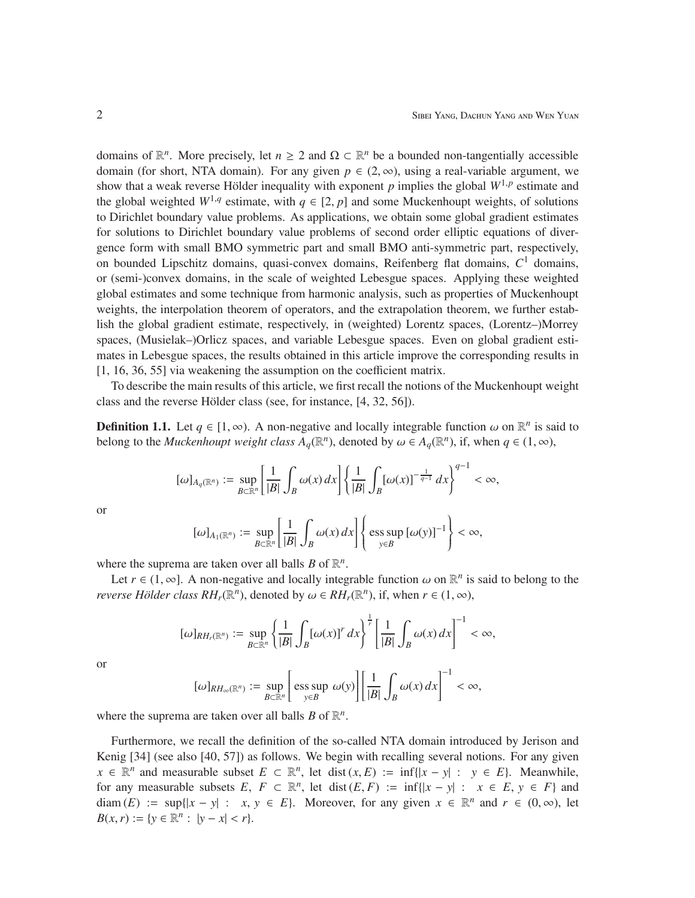domains of  $\mathbb{R}^n$ . More precisely, let  $n \geq 2$  and  $\Omega \subset \mathbb{R}^n$  be a bounded non-tangentially accessible domain (for short, NTA domain). For any given  $p \in (2, \infty)$ , using a real-variable argument, we show that a weak reverse Hölder inequality with exponent *p* implies the global  $W^{1,p}$  estimate and the global weighted  $W^{1,q}$  estimate, with  $q \in [2, p]$  and some Muckenhoupt weights, of solutions to Dirichlet boundary value problems. As applications, we obtain some global gradient estimates for solutions to Dirichlet boundary value problems of second order elliptic equations of divergence form with small BMO symmetric part and small BMO anti-symmetric part, respectively, on bounded Lipschitz domains, quasi-convex domains, Reifenberg flat domains, *C* <sup>1</sup> domains, or (semi-)convex domains, in the scale of weighted Lebesgue spaces. Applying these weighted global estimates and some technique from harmonic analysis, such as properties of Muckenhoupt weights, the interpolation theorem of operators, and the extrapolation theorem, we further establish the global gradient estimate, respectively, in (weighted) Lorentz spaces, (Lorentz–)Morrey spaces, (Musielak–)Orlicz spaces, and variable Lebesgue spaces. Even on global gradient estimates in Lebesgue spaces, the results obtained in this article improve the corresponding results in [1, 16, 36, 55] via weakening the assumption on the coefficient matrix.

To describe the main results of this article, we first recall the notions of the Muckenhoupt weight class and the reverse Hölder class (see, for instance,  $[4, 32, 56]$ ).

**Definition 1.1.** Let  $q \in [1, \infty)$ . A non-negative and locally integrable function  $\omega$  on  $\mathbb{R}^n$  is said to belong to the *Muckenhoupt weight class*  $A_q(\mathbb{R}^n)$ , denoted by  $\omega \in A_q(\mathbb{R}^n)$ , if, when  $q \in (1, \infty)$ ,

$$
[\omega]_{A_q(\mathbb{R}^n)} := \sup_{B \subset \mathbb{R}^n} \left[ \frac{1}{|B|} \int_B \omega(x) dx \right] \left\{ \frac{1}{|B|} \int_B \left[ \omega(x) \right]^{-\frac{1}{q-1}} dx \right\}^{q-1} < \infty,
$$

or

$$
[\omega]_{A_1(\mathbb{R}^n)} := \sup_{B \subset \mathbb{R}^n} \left[ \frac{1}{|B|} \int_B \omega(x) \, dx \right] \left\{ \text{ess} \sup_{y \in B} \left[ \omega(y) \right]^{-1} \right\} < \infty,
$$

where the suprema are taken over all balls  $B$  of  $\mathbb{R}^n$ .

Let  $r \in (1, \infty]$ . A non-negative and locally integrable function  $\omega$  on  $\mathbb{R}^n$  is said to belong to the *reverse Hölder class*  $RH_r(\mathbb{R}^n)$ *, denoted by*  $\omega \in RH_r(\mathbb{R}^n)$ *, if, when*  $r \in (1, \infty)$ *,* 

$$
[\omega]_{RH_r(\mathbb{R}^n)} := \sup_{B \subset \mathbb{R}^n} \left\{ \frac{1}{|B|} \int_B [\omega(x)]^r dx \right\}^{\frac{1}{r}} \left[ \frac{1}{|B|} \int_B \omega(x) dx \right]^{-1} < \infty,
$$

or

$$
[\omega]_{RH_{\infty}(\mathbb{R}^n)} := \sup_{B \subset \mathbb{R}^n} \left[ \text{ess sup } \omega(y) \right] \left[ \frac{1}{|B|} \int_B \omega(x) \, dx \right]^{-1} < \infty,
$$

where the suprema are taken over all balls  $B$  of  $\mathbb{R}^n$ .

Furthermore, we recall the definition of the so-called NTA domain introduced by Jerison and Kenig [34] (see also [40, 57]) as follows. We begin with recalling several notions. For any given *x* ∈  $\mathbb{R}^n$  and measurable subset  $E \subset \mathbb{R}^n$ , let dist  $(x, E) := \inf\{|x - y| : y \in E\}$ . Meanwhile, for any measurable subsets  $E, F \subset \mathbb{R}^n$ , let dist  $(E, F) := \inf\{|x - y| : x \in E, y \in F\}$  and diam  $(E) := \sup\{|x - y| : x, y \in E\}$ . Moreover, for any given  $x \in \mathbb{R}^n$  and  $r \in (0, \infty)$ , let *B*(*x*, *r*) := {*y*  $\in \mathbb{R}^n$  : |*y* − *x*| < *r*}.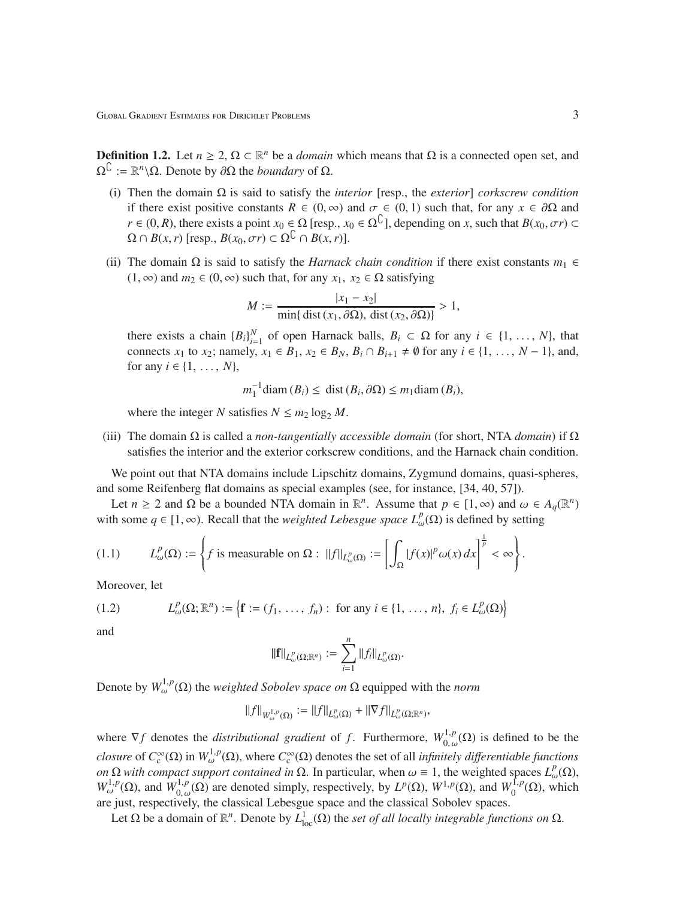**Definition 1.2.** Let  $n \geq 2$ ,  $\Omega \subset \mathbb{R}^n$  be a *domain* which means that  $\Omega$  is a connected open set, and  $\Omega^{\complement} := \mathbb{R}^n \backslash \Omega$ . Denote by  $\partial \Omega$  the *boundary* of  $\Omega$ .

- (i) Then the domain Ω is said to satisfy the *interior* [resp., the *exterior*] *corkscrew condition* if there exist positive constants  $R \in (0, \infty)$  and  $\sigma \in (0, 1)$  such that, for any  $x \in \partial \Omega$  and *r* ∈ (0, *R*), there exists a point  $x_0$  ∈  $\Omega$  [resp.,  $x_0$  ∈  $\Omega^C$ ], depending on *x*, such that  $B(x_0, \sigma r)$  ⊂  $\Omega \cap B(x, r)$  [resp.,  $B(x_0, \sigma r) \subset \Omega^{\mathbb{C}} \cap B(x, r)$ ].
- (ii) The domain  $\Omega$  is said to satisfy the *Harnack chain condition* if there exist constants  $m_1 \in$ (1, ∞) and  $m_2$  ∈ (0, ∞) such that, for any  $x_1, x_2 \in \Omega$  satisfying

$$
M := \frac{|x_1 - x_2|}{\min\{\text{dist}(x_1, \partial \Omega), \text{dist}(x_2, \partial \Omega)\}} > 1,
$$

there exists a chain  ${B_i}_{i=1}^N$  of open Harnack balls,  $B_i \subset \Omega$  for any  $i \in \{1, ..., N\}$ , that connects *x*<sub>1</sub> to *x*<sub>2</sub>; namely, *x*<sub>1</sub> ∈ *B*<sub>1</sub>, *x*<sub>2</sub> ∈ *B<sub>N</sub>*, *B<sub>i</sub>* ∩ *B*<sub>*i*+1</sub> ≠  $\emptyset$  for any *i* ∈ {1, ..., *N* − 1}, and, for any  $i \in \{1, ..., N\}$ ,

$$
m_1^{-1}
$$
diam  $(B_i) \leq$  dist  $(B_i, \partial \Omega) \leq m_1$ diam  $(B_i)$ ,

where the integer *N* satisfies  $N \le m_2 \log_2 M$ .

(iii) The domain Ω is called a *non-tangentially accessible domain* (for short, NTA *domain*) if Ω satisfies the interior and the exterior corkscrew conditions, and the Harnack chain condition.

We point out that NTA domains include Lipschitz domains, Zygmund domains, quasi-spheres, and some Reifenberg flat domains as special examples (see, for instance, [34, 40, 57]).

Let  $n \ge 2$  and  $\Omega$  be a bounded NTA domain in  $\mathbb{R}^n$ . Assume that  $p \in [1, \infty)$  and  $\omega \in A_q(\mathbb{R}^n)$ with some  $q \in [1, \infty)$ . Recall that the *weighted Lebesgue space*  $L^p_\omega(\Omega)$  is defined by setting

(1.1) 
$$
L^p_{\omega}(\Omega) := \left\{ f \text{ is measurable on } \Omega : ||f||_{L^p_{\omega}(\Omega)} := \left[ \int_{\Omega} |f(x)|^p \omega(x) dx \right]^{\frac{1}{p}} < \infty \right\}.
$$

Moreover, let

(1.2) 
$$
L^p_\omega(\Omega; \mathbb{R}^n) := \left\{ \mathbf{f} := (f_1, \dots, f_n) : \text{ for any } i \in \{1, \dots, n\}, f_i \in L^p_\omega(\Omega) \right\}
$$

and

$$
\|\mathbf{f}\|_{L^p_{\omega}(\Omega;\mathbb{R}^n)} := \sum_{i=1}^n \|f_i\|_{L^p_{\omega}(\Omega)}.
$$

Denote by  $W_{\omega}^{1,p}(\Omega)$  the *weighted Sobolev space on*  $\Omega$  equipped with the *norm* 

$$
\|f\|_{W^{1,p}_{\omega}(\Omega)}:=\|f\|_{L^p_{\omega}(\Omega)}+\|\nabla f\|_{L^p_{\omega}(\Omega;\mathbb{R}^n)},
$$

where  $\nabla f$  denotes the *distributional gradient* of *f*. Furthermore,  $W_0^{1,p}$  $_{0,\omega}^{1,p}(\Omega)$  is defined to be the *closure* of  $C_c^{\infty}(\Omega)$  in  $W_{\omega}^{1,p}(\Omega)$ , where  $C_c^{\infty}(\Omega)$  denotes the set of all *infinitely differentiable functions on*  $\Omega$  *with compact support contained in*  $\Omega$ . In particular, when  $\omega \equiv 1$ , the weighted spaces  $L^p_{\omega}(\Omega)$ ,  $W^{1,p}_{\omega}(\Omega)$ , and  $W^{1,p}_{0,\omega}$  $\int_{0, \omega}^{1, p}(\Omega)$  are denoted simply, respectively, by  $L^p(\Omega)$ ,  $W^{1, p}(\Omega)$ , and  $W_0^{1, p}$  $_0^{1,p}(\Omega)$ , which are just, respectively, the classical Lebesgue space and the classical Sobolev spaces.

Let  $\Omega$  be a domain of  $\mathbb{R}^n$ . Denote by  $L^1_{loc}(\Omega)$  the *set of all locally integrable functions on*  $\Omega$ .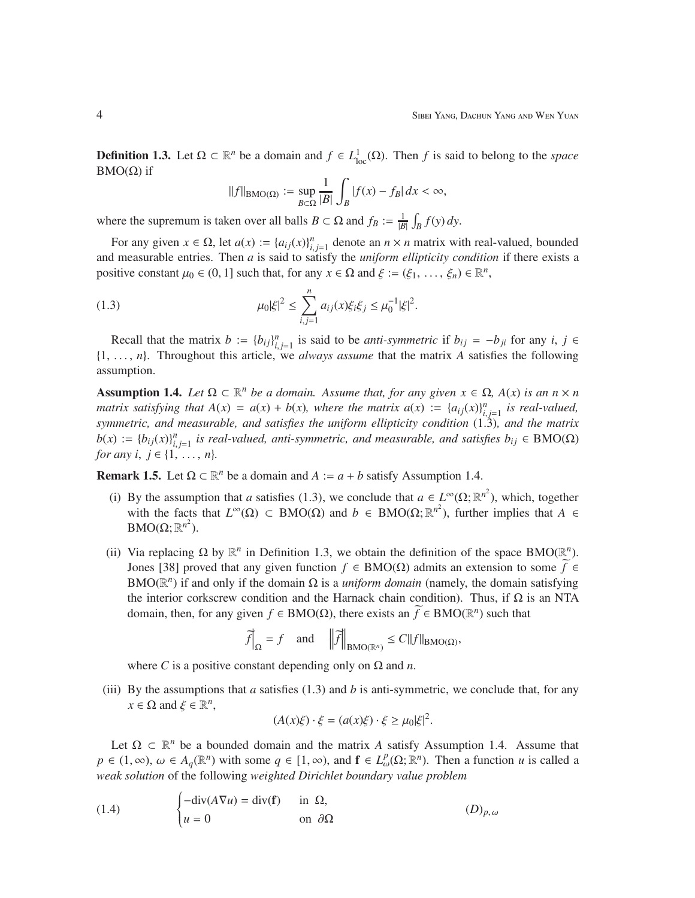**Definition 1.3.** Let  $\Omega \subset \mathbb{R}^n$  be a domain and  $f \in L^1_{loc}(\Omega)$ . Then *f* is said to belong to the *space* BMO( $Ω$ ) if

$$
||f||_{\text{BMO}(\Omega)} := \sup_{B \subset \Omega} \frac{1}{|B|} \int_B |f(x) - f_B| \, dx < \infty,
$$

where the supremum is taken over all balls  $B \subset \Omega$  and  $f_B := \frac{1}{|B|} \int_B f(y) dy$ .

For any given  $x \in \Omega$ , let  $a(x) := \{a_{ij}(x)\}_{i,j=1}^n$  denote an  $n \times n$  matrix with real-valued, bounded and measurable entries. Then *a* is said to satisfy the *uniform ellipticity condition* if there exists a positive constant  $\mu_0 \in (0, 1]$  such that, for any  $x \in \Omega$  and  $\xi := (\xi_1, \ldots, \xi_n) \in \mathbb{R}^n$ ,

(1.3) 
$$
\mu_0 |\xi|^2 \leq \sum_{i,j=1}^n a_{ij}(x) \xi_i \xi_j \leq \mu_0^{-1} |\xi|^2.
$$

Recall that the matrix  $b := \{b_{ij}\}_{i,j=1}^n$  is said to be *anti-symmetric* if  $b_{ij} = -b_{ji}$  for any *i*,  $j \in$ {1, . . . , *n*}. Throughout this article, we *always assume* that the matrix *A* satisfies the following assumption.

Assumption 1.4. Let  $\Omega \subset \mathbb{R}^n$  be a domain. Assume that, for any given  $x \in \Omega$ ,  $A(x)$  is an  $n \times n$ *matrix satisfying that*  $A(x) = a(x) + b(x)$ *, where the matrix*  $a(x) := {a_{ij}(x)}_{i,j=1}^n$  *is real-valued, symmetric, and measurable, and satisfies the uniform ellipticity condition* (1.3)*, and the matrix*  $b(x) := \{b_{ij}(x)\}_{i,j=1}^n$  is real-valued, anti-symmetric, and measurable, and satisfies  $b_{ij} \in \text{BMO}(\Omega)$ *for any i, j*  $\in$  {1, ..., *n*}*.* 

**Remark 1.5.** Let  $\Omega \subset \mathbb{R}^n$  be a domain and  $A := a + b$  satisfy Assumption 1.4.

- (i) By the assumption that *a* satisfies (1.3), we conclude that  $a \in L^{\infty}(\Omega; \mathbb{R}^{n^2})$ , which, together with the facts that  $L^{\infty}(\Omega) \subset BMO(\Omega)$  and  $b \in BMO(\Omega; \mathbb{R}^{n^2})$ , further implies that  $A \in$  $\text{BMO}(\Omega;\mathbb{R}^{n^2})$ .
- (ii) Via replacing  $\Omega$  by  $\mathbb{R}^n$  in Definition 1.3, we obtain the definition of the space BMO( $\mathbb{R}^n$ ). Jones [38] proved that any given function *f* ∈ BMO(Ω) admits an extension to some *f* ∈ BMO( $\mathbb{R}^n$ ) if and only if the domain  $\Omega$  is a *uniform domain* (namely, the domain satisfying the interior corkscrew condition and the Harnack chain condition). Thus, if  $\Omega$  is an NTA domain, then, for any given *f* ∈ BMO(Ω), there exists an  $\widetilde{f}$  ∈ BMO(ℝ<sup>*n*</sup>)</sub> such that

$$
\widetilde{f}\Big|_{\Omega} = f
$$
 and  $\Big|\Big|\widetilde{f}\Big|\Big|_{\text{BMO}(\mathbb{R}^n)} \leq C||f||_{\text{BMO}(\Omega)},$ 

where *C* is a positive constant depending only on  $\Omega$  and *n*.

(iii) By the assumptions that *a* satisfies  $(1.3)$  and *b* is anti-symmetric, we conclude that, for any  $x \in \Omega$  and  $\xi \in \mathbb{R}^n$ ,

$$
(A(x)\xi) \cdot \xi = (a(x)\xi) \cdot \xi \ge \mu_0 |\xi|^2.
$$

Let  $\Omega \subset \mathbb{R}^n$  be a bounded domain and the matrix *A* satisfy Assumption 1.4. Assume that  $p \in (1, \infty)$ ,  $\omega \in A_q(\mathbb{R}^n)$  with some  $q \in [1, \infty)$ , and  $\mathbf{f} \in L^p_\omega(\Omega; \mathbb{R}^n)$ . Then a function *u* is called a *weak solution* of the following *weighted Dirichlet boundary value problem*

(1.4) 
$$
\begin{cases}\n-\text{div}(A\nabla u) = \text{div}(\mathbf{f}) & \text{in } \Omega, \\
u = 0 & \text{on } \partial\Omega\n\end{cases}
$$
 (D)<sub>p, ω</sub>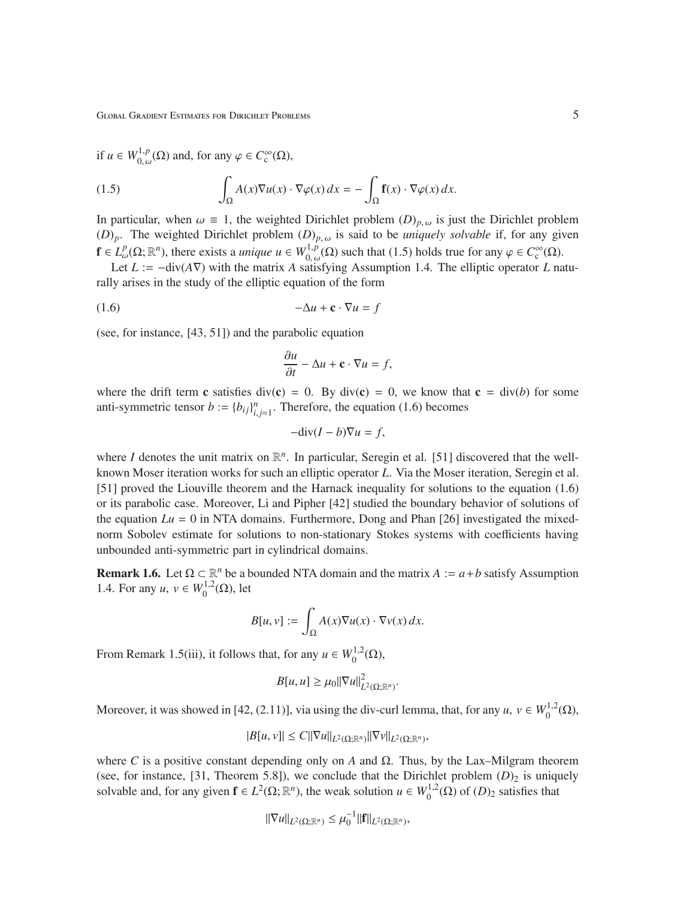Global Gradient Estimates for Dirichlet Problems 5

if 
$$
u \in W_{0,\omega}^{1,p}(\Omega)
$$
 and, for any  $\varphi \in C_c^{\infty}(\Omega)$ ,

(1.5) 
$$
\int_{\Omega} A(x) \nabla u(x) \cdot \nabla \varphi(x) dx = - \int_{\Omega} \mathbf{f}(x) \cdot \nabla \varphi(x) dx.
$$

In particular, when  $\omega \equiv 1$ , the weighted Dirichlet problem  $(D)_{p,\omega}$  is just the Dirichlet problem  $(D)_p$ . The weighted Dirichlet problem  $(D)_{p,\omega}$  is said to be *uniquely solvable* if, for any given  $f \in L^p_\omega(\Omega; \mathbb{R}^n)$ , there exists a *unique*  $u \in W^{1,p}_{0,\omega}$  $\bigcup_{0, \omega(0)}^{1,p}(\Omega)$  such that (1.5) holds true for any  $\varphi \in C_c^{\infty}(\Omega)$ .

Let *L* := −div(*A*∇) with the matrix *A* satisfying Assumption 1.4. The elliptic operator *L* naturally arises in the study of the elliptic equation of the form

$$
(1.6) \t -\Delta u + \mathbf{c} \cdot \nabla u = f
$$

(see, for instance, [43, 51]) and the parabolic equation

$$
\frac{\partial u}{\partial t} - \Delta u + \mathbf{c} \cdot \nabla u = f,
$$

where the drift term c satisfies div(c) = 0. By div(c) = 0, we know that  $c = \text{div}(b)$  for some anti-symmetric tensor  $b := \{b_{ij}\}_{i,j=1}^n$ . Therefore, the equation (1.6) becomes

$$
-\text{div}(I-b)\nabla u = f,
$$

where *I* denotes the unit matrix on  $\mathbb{R}^n$ . In particular, Seregin et al. [51] discovered that the wellknown Moser iteration works for such an elliptic operator *L*. Via the Moser iteration, Seregin et al. [51] proved the Liouville theorem and the Harnack inequality for solutions to the equation (1.6) or its parabolic case. Moreover, Li and Pipher [42] studied the boundary behavior of solutions of the equation  $Lu = 0$  in NTA domains. Furthermore, Dong and Phan [26] investigated the mixednorm Sobolev estimate for solutions to non-stationary Stokes systems with coefficients having unbounded anti-symmetric part in cylindrical domains.

**Remark 1.6.** Let  $\Omega \subset \mathbb{R}^n$  be a bounded NTA domain and the matrix  $A := a + b$  satisfy Assumption 1.4. For any  $u, v \in W_0^{1,2}$  $0^{1,2}(\Omega)$ , let

$$
B[u, v] := \int_{\Omega} A(x) \nabla u(x) \cdot \nabla v(x) \, dx.
$$

From Remark 1.5(iii), it follows that, for any  $u \in W_0^{1,2}$  $0^{1,2}(\Omega),$ 

$$
B[u, u] \geq \mu_0 ||\nabla u||^2_{L^2(\Omega; \mathbb{R}^n)}.
$$

Moreover, it was showed in [42, (2.11)], via using the div-curl lemma, that, for any  $u, v \in W_0^{1,2}$  $\stackrel{1,2}{_0}(\Omega),$ 

$$
|B[u,v]| \leq C||\nabla u||_{L^2(\Omega;\mathbb{R}^n)} ||\nabla v||_{L^2(\Omega;\mathbb{R}^n)},
$$

where *C* is a positive constant depending only on *A* and  $\Omega$ . Thus, by the Lax–Milgram theorem (see, for instance, [31, Theorem 5.8]), we conclude that the Dirichlet problem  $(D)_2$  is uniquely solvable and, for any given  $f \in L^2(\Omega; \mathbb{R}^n)$ , the weak solution  $u \in W_0^{1,2}$  $0^{1,2}(\Omega)$  of  $(D)_2$  satisfies that

$$
\|\nabla u\|_{L^2(\Omega;\mathbb{R}^n)} \leq \mu_0^{-1} \|f\|_{L^2(\Omega;\mathbb{R}^n)},
$$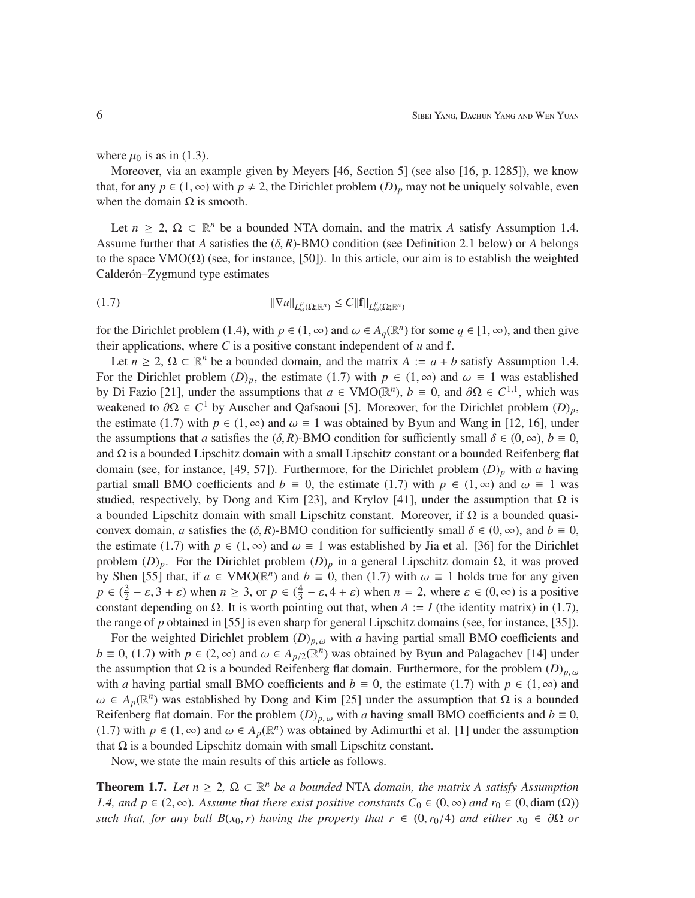where  $\mu_0$  is as in (1.3).

Moreover, via an example given by Meyers [46, Section 5] (see also [16, p. 1285]), we know that, for any  $p \in (1, \infty)$  with  $p \neq 2$ , the Dirichlet problem  $(D)_p$  may not be uniquely solvable, even when the domain  $\Omega$  is smooth.

Let  $n \geq 2$ ,  $\Omega \subset \mathbb{R}^n$  be a bounded NTA domain, and the matrix *A* satisfy Assumption 1.4. Assume further that *A* satisfies the  $(\delta, R)$ -BMO condition (see Definition 2.1 below) or *A* belongs to the space VMO(Ω) (see, for instance, [50]). In this article, our aim is to establish the weighted Calderón–Zygmund type estimates

$$
||\nabla u||_{L^p_\omega(\Omega;\mathbb{R}^n)} \le C||\mathbf{f}||_{L^p_\omega(\Omega;\mathbb{R}^n)}
$$

for the Dirichlet problem (1.4), with  $p \in (1, \infty)$  and  $\omega \in A_q(\mathbb{R}^n)$  for some  $q \in [1, \infty)$ , and then give their applications, where  $C$  is a positive constant independent of  $u$  and  $f$ .

Let  $n \geq 2$ ,  $\Omega \subset \mathbb{R}^n$  be a bounded domain, and the matrix  $A := a + b$  satisfy Assumption 1.4. For the Dirichlet problem  $(D)_p$ , the estimate (1.7) with  $p \in (1, \infty)$  and  $\omega \equiv 1$  was established by Di Fazio [21], under the assumptions that  $a \in VMO(\mathbb{R}^n)$ ,  $b \equiv 0$ , and  $\partial\Omega \in C^{1,1}$ , which was weakened to  $\partial Ω ∈ C^1$  by Auscher and Qafsaoui [5]. Moreover, for the Dirichlet problem  $(D)_p$ , the estimate (1.7) with  $p \in (1, \infty)$  and  $\omega \equiv 1$  was obtained by Byun and Wang in [12, 16], under the assumptions that *a* satisfies the  $(\delta, R)$ -BMO condition for sufficiently small  $\delta \in (0, \infty)$ ,  $b \equiv 0$ , and  $\Omega$  is a bounded Lipschitz domain with a small Lipschitz constant or a bounded Reifenberg flat domain (see, for instance, [49, 57]). Furthermore, for the Dirichlet problem (*D*)*<sup>p</sup>* with *a* having partial small BMO coefficients and  $b \equiv 0$ , the estimate (1.7) with  $p \in (1, \infty)$  and  $\omega \equiv 1$  was studied, respectively, by Dong and Kim [23], and Krylov [41], under the assumption that  $\Omega$  is a bounded Lipschitz domain with small Lipschitz constant. Moreover, if  $\Omega$  is a bounded quasiconvex domain, *a* satisfies the ( $\delta$ , *R*)-BMO condition for sufficiently small  $\delta \in (0, \infty)$ , and  $b \equiv 0$ , the estimate (1.7) with  $p \in (1,\infty)$  and  $\omega \equiv 1$  was established by Jia et al. [36] for the Dirichlet problem  $(D)_p$ . For the Dirichlet problem  $(D)_p$  in a general Lipschitz domain  $\Omega$ , it was proved by Shen [55] that, if  $a \in VMO(\mathbb{R}^n)$  and  $b \equiv 0$ , then (1.7) with  $\omega \equiv 1$  holds true for any given  $p \in (\frac{3}{2})$  $\frac{3}{2} - \varepsilon$ , 3 +  $\varepsilon$ ) when  $n \ge 3$ , or  $p \in (\frac{4}{3})$  $\frac{4}{3} - \varepsilon$ , 4 +  $\varepsilon$ ) when  $n = 2$ , where  $\varepsilon \in (0, \infty)$  is a positive constant depending on  $\Omega$ . It is worth pointing out that, when  $A := I$  (the identity matrix) in (1.7), the range of *p* obtained in [55] is even sharp for general Lipschitz domains (see, for instance, [35]).

For the weighted Dirichlet problem  $(D)_{p,\omega}$  with *a* having partial small BMO coefficients and *b* ≡ 0, (1.7) with *p* ∈ (2, ∞) and  $\omega$  ∈  $A_{p/2}(\mathbb{R}^n)$  was obtained by Byun and Palagachev [14] under the assumption that  $\Omega$  is a bounded Reifenberg flat domain. Furthermore, for the problem  $(D)_{p,\omega}$ with *a* having partial small BMO coefficients and  $b \equiv 0$ , the estimate (1.7) with  $p \in (1, \infty)$  and  $\omega \in A_p(\mathbb{R}^n)$  was established by Dong and Kim [25] under the assumption that  $\Omega$  is a bounded Reifenberg flat domain. For the problem  $(D)_{p,\omega}$  with *a* having small BMO coefficients and  $b \equiv 0$ , (1.7) with  $p \in (1, \infty)$  and  $\omega \in A_p(\mathbb{R}^n)$  was obtained by Adimurthi et al. [1] under the assumption that  $Ω$  is a bounded Lipschitz domain with small Lipschitz constant.

Now, we state the main results of this article as follows.

**Theorem 1.7.** Let  $n \geq 2$ ,  $\Omega \subset \mathbb{R}^n$  be a bounded NTA domain, the matrix A satisfy Assumption *1.4, and p* ∈ (2, ∞)*. Assume that there exist positive constants*  $C_0$  ∈ (0, ∞) *and*  $r_0$  ∈ (0, diam ( $\Omega$ )) *such that, for any ball B(x<sub>0</sub>, r) having the property that*  $r \in (0, r_0/4)$  *and either*  $x_0 \in \partial\Omega$  *or*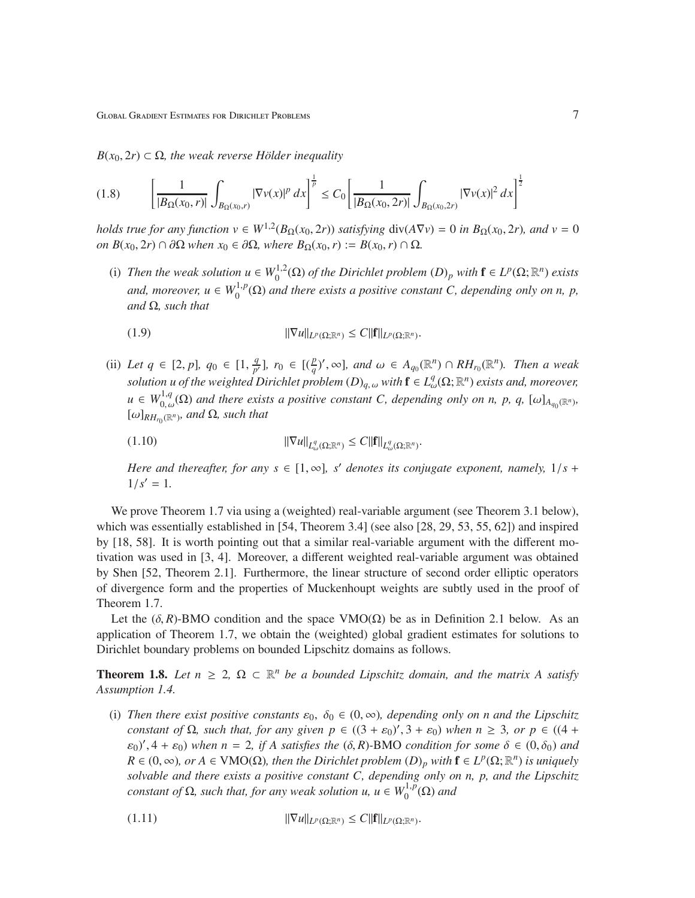$B(x_0, 2r) \subset \Omega$ , the weak reverse Hölder inequality

$$
(1.8)\qquad \left[\frac{1}{|B_{\Omega}(x_0,r)|}\int_{B_{\Omega}(x_0,r)}|\nabla v(x)|^p\,dx\right]^{\frac{1}{p}} \leq C_0\left[\frac{1}{|B_{\Omega}(x_0,2r)|}\int_{B_{\Omega}(x_0,2r)}|\nabla v(x)|^2\,dx\right]^{\frac{1}{2}}
$$

*holds true for any function*  $v \in W^{1,2}(B_{\Omega}(x_0, 2r))$  *satisfying*  $div(A\nabla v) = 0$  *in*  $B_{\Omega}(x_0, 2r)$ *, and*  $v = 0$ *on B*(*x*<sub>0</sub>, 2*r*) ∩ ∂Ω *when x*<sub>0</sub> ∈ ∂Ω, *where B*<sub>Ω</sub>(*x*<sub>0</sub>, *r*) := *B*(*x*<sub>0</sub>, *r*) ∩ Ω*.* 

(i) *Then the weak solution*  $u \in W_0^{1,2}$  $\int_0^{1,2} (\Omega)$  *of the Dirichlet problem*  $(D)_p$  *with*  $\mathbf{f} \in L^p(\Omega;\mathbb{R}^n)$  *exists and, moreover,*  $u \in W_0^{1,p}$  $\int_0^{1,p}(\Omega)$  and there exists a positive constant C, depending only on n, p, *and* Ω*, such that*

$$
||\nabla u||_{L^p(\Omega;\mathbb{R}^n)} \leq C||\mathbf{f}||_{L^p(\Omega;\mathbb{R}^n)}.
$$

(ii) Let  $q \in [2, p]$ ,  $q_0 \in [1, \frac{q}{p'}]$  $\frac{q}{p'}$ ],  $r_0 \in [(\frac{p}{q})', \infty]$ , and  $\omega \in A_{q_0}(\mathbb{R}^n) \cap RH_{r_0}(\mathbb{R}^n)$ . Then a weak *solution u of the weighted Dirichlet problem*  $(D)_{q,\omega}$  *with*  $\mathbf{f} \in L^q_\omega(\Omega;\mathbb{R}^n)$  *exists and, moreover,*  $u \in W_0^{1,q}$  $\int_{0, \omega}^{1,q}(\Omega)$  and there exists a positive constant C, depending only on n, p, q,  $[\omega]_{A_{q_0}(\mathbb{R}^n)}$ ,  $[\omega]_{RH_{r_0}(\mathbb{R}^n)}$ , and  $\Omega$ , such that

$$
||\nabla u||_{L^q_\omega(\Omega;\mathbb{R}^n)} \le C||\mathbf{f}||_{L^q_\omega(\Omega;\mathbb{R}^n)}.
$$

*Here and thereafter, for any s*  $\in$  [1,  $\infty$ ], *s' denotes its conjugate exponent, namely, 1/s* +  $1/s' = 1.$ 

We prove Theorem 1.7 via using a (weighted) real-variable argument (see Theorem 3.1 below), which was essentially established in [54, Theorem 3.4] (see also [28, 29, 53, 55, 62]) and inspired by [18, 58]. It is worth pointing out that a similar real-variable argument with the different motivation was used in [3, 4]. Moreover, a different weighted real-variable argument was obtained by Shen [52, Theorem 2.1]. Furthermore, the linear structure of second order elliptic operators of divergence form and the properties of Muckenhoupt weights are subtly used in the proof of Theorem 1.7.

Let the  $(\delta, R)$ -BMO condition and the space VMO( $\Omega$ ) be as in Definition 2.1 below. As an application of Theorem 1.7, we obtain the (weighted) global gradient estimates for solutions to Dirichlet boundary problems on bounded Lipschitz domains as follows.

**Theorem 1.8.** Let  $n \geq 2$ ,  $\Omega \subset \mathbb{R}^n$  be a bounded Lipschitz domain, and the matrix A satisfy *Assumption 1.4.*

(i) Then there exist positive constants  $\varepsilon_0$ ,  $\delta_0 \in (0, \infty)$ , depending only on n and the Lipschitz *constant of*  $\Omega$ *, such that, for any given*  $p \in ((3 + \varepsilon_0)'$ ,  $3 + \varepsilon_0)$  *when*  $n \geq 3$ *, or*  $p \in ((4 + \varepsilon_0)'$  $(\varepsilon_0)'$ ,  $(4 + \varepsilon_0)'$  when  $n = 2$ , if A satisfies the  $(\delta, R)$ -BMO condition for some  $\delta \in (0, \delta_0)'$  and  $R \in (0, \infty)$ , or  $A \in VMO(\Omega)$ , then the Dirichlet problem  $(D)_p$  with  $\mathbf{f} \in L^p(\Omega; \mathbb{R}^n)$  is uniquely *solvable and there exists a positive constant C, depending only on n, p, and the Lipschitz constant of*  $\Omega$ *, such that, for any weak solution u, u*  $\in W_0^{1,p}$  $i_{0}^{1,p}(\Omega)$  and

$$
||\nabla u||_{L^p(\Omega;\mathbb{R}^n)} \leq C||\mathbf{f}||_{L^p(\Omega;\mathbb{R}^n)}.
$$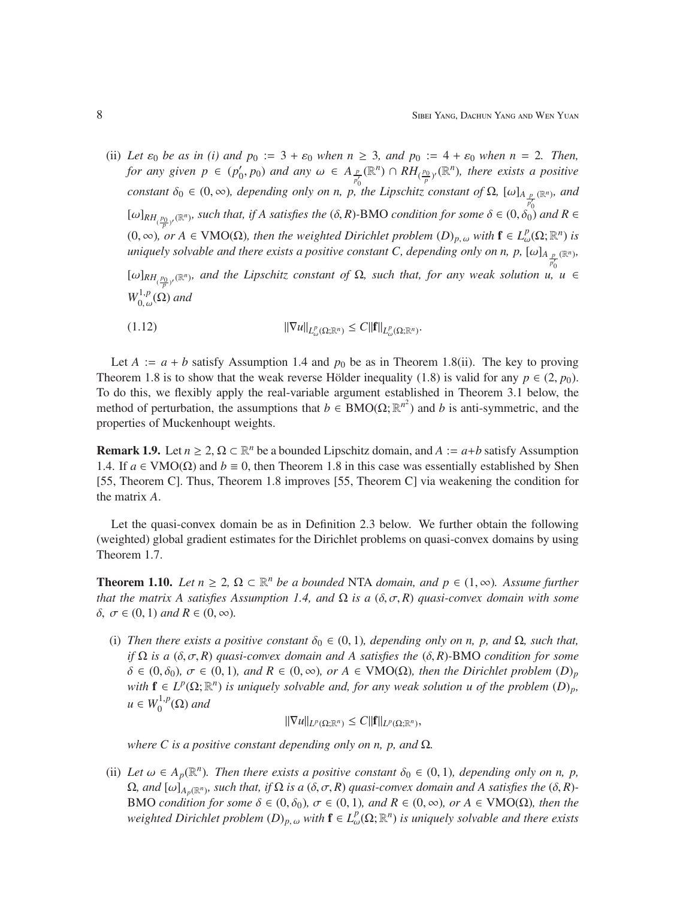(ii) Let  $\varepsilon_0$  be as in (i) and  $p_0 := 3 + \varepsilon_0$  when  $n \ge 3$ , and  $p_0 := 4 + \varepsilon_0$  when  $n = 2$ . Then, *for any given*  $p \in (p'_0)$  $\alpha'$ <sub>0</sub>,  $p_0$ ) and any  $\omega \in A_{\frac{p}{p'_0}}$  $(\mathbb{R}^n) \cap RH_{(\frac{p_0}{p})'}(\mathbb{R}^n)$ , there exists a positive *constant*  $\delta_0 \in (0, \infty)$ *, depending only on n, p, the Lipschitz constant of*  $\Omega$ *,*  $[\omega]_{A_{\frac{p}{p'_0}}(\mathbb{R}^n)}$ *, and*  $[\omega]_{RH_{(\frac{p_0}{p})'}(\mathbb{R}^n)}$ , such that, if A satisfies the  $(\delta, R)$ -BMO *condition for some*  $\delta \in (0, \delta_0)$  and  $R \in$ (0, ∞), or A ∈ VMO(Ω), then the weighted Dirichlet problem  $(D)_{p,\omega}$  with  $f \in L^p_\omega(\Omega;\mathbb{R}^n)$  is *uniquely solvable and there exists a positive constant C, depending only on n, p,*  $[\omega]_{A_{\frac{p}{p'_n}}(\mathbb{R}^n)}$ *,*  $[\omega]_{RH_{(\frac{p_0}{p})'}(\mathbb{R}^n)}$ , and the Lipschitz constant of  $\Omega$ , such that, for any weak solution u, u  $\in$  $W_0^{1,p}$  $_{0,\,\omega}^{1,p}(\Omega)$  and

$$
||\nabla u||_{L^p_\omega(\Omega;\mathbb{R}^n)} \leq C||\mathbf{f}||_{L^p_\omega(\Omega;\mathbb{R}^n)}.
$$

Let  $A := a + b$  satisfy Assumption 1.4 and  $p_0$  be as in Theorem 1.8(ii). The key to proving Theorem 1.8 is to show that the weak reverse Hölder inequality (1.8) is valid for any  $p \in (2, p_0)$ . To do this, we flexibly apply the real-variable argument established in Theorem 3.1 below, the method of perturbation, the assumptions that  $b \in BMO(\Omega;\mathbb{R}^{n^2})$  and *b* is anti-symmetric, and the properties of Muckenhoupt weights.

**Remark 1.9.** Let  $n \ge 2$ ,  $\Omega \subset \mathbb{R}^n$  be a bounded Lipschitz domain, and  $A := a+b$  satisfy Assumption 1.4. If  $a \in VMO(\Omega)$  and  $b \equiv 0$ , then Theorem 1.8 in this case was essentially established by Shen [55, Theorem C]. Thus, Theorem 1.8 improves [55, Theorem C] via weakening the condition for the matrix *A*.

Let the quasi-convex domain be as in Definition 2.3 below. We further obtain the following (weighted) global gradient estimates for the Dirichlet problems on quasi-convex domains by using Theorem 1.7.

**Theorem 1.10.** *Let*  $n \geq 2$ ,  $\Omega \subset \mathbb{R}^n$  *be a bounded* NTA *domain, and*  $p \in (1, ∞)$ *. Assume further that the matrix A satisfies Assumption 1.4, and*  $\Omega$  *is a* ( $\delta$ , $\sigma$ , $R$ ) *quasi-convex domain with some*  $\delta$ ,  $\sigma \in (0, 1)$  and  $R \in (0, \infty)$ .

(i) *Then there exists a positive constant*  $\delta_0 \in (0, 1)$ *, depending only on n, p, and*  $\Omega$ *, such that, if*  $\Omega$  *is a* ( $\delta$ ,  $\sigma$ ,  $R$ ) *quasi-convex domain and A satisfies the* ( $\delta$ ,  $R$ )*-BMO condition for some*  $\delta \in (0, \delta_0)$ ,  $\sigma \in (0, 1)$ , and  $R \in (0, \infty)$ , or  $A \in VMO(\Omega)$ , then the Dirichlet problem  $(D)_p$ *with*  $f \in L^p(\Omega; \mathbb{R}^n)$  *is uniquely solvable and, for any weak solution u of the problem*  $(D)_p$ *,*  $u \in W_0^{1,p}$  $_{0}^{1,p}(\Omega)$  and

 $\|\nabla u\|_{L^p(\Omega;\mathbb{R}^n)} \leq C\|{\bf f}\|_{L^p(\Omega;\mathbb{R}^n)},$ 

*where C is a positive constant depending only on n, p, and* Ω.

(ii) Let  $\omega \in A_p(\mathbb{R}^n)$ . Then there exists a positive constant  $\delta_0 \in (0,1)$ , depending only on n, p,  $\Omega$ , and  $[\omega]_{A_p(\mathbb{R}^n)}$ , such that, if  $\Omega$  is a  $(\delta, \sigma, R)$  quasi-convex domain and A satisfies the  $(\delta, R)$ -BMO *condition for some*  $\delta \in (0, \delta_0)$ *,*  $\sigma \in (0, 1)$ *, and*  $R \in (0, \infty)$ *, or*  $A \in VMO(\Omega)$ *, then the*  $w$ *eighted Dirichlet problem*  $(D)_{p,\omega}$  *with*  $\mathbf{f} \in L^p_\omega(\Omega;\mathbb{R}^n)$  *is uniquely solvable and there exists*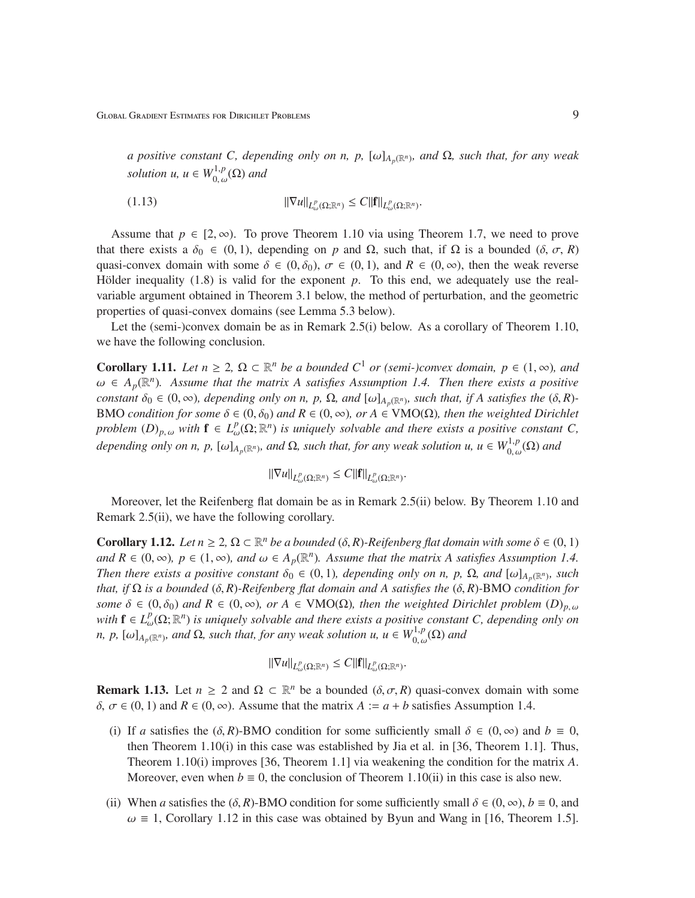*a positive constant C, depending only on n, p,*  $[\omega]_{A_p(\mathbb{R}^n)}$ , and  $\Omega$ *, such that, for any weak solution*  $u, u \in W_0^{1,p}$  $_{0, \, \omega}^{1,p}(\Omega)$  and

$$
||\nabla u||_{L^p_\omega(\Omega;\mathbb{R}^n)} \leq C||\mathbf{f}||_{L^p_\omega(\Omega;\mathbb{R}^n)}.
$$

Assume that  $p \in [2, \infty)$ . To prove Theorem 1.10 via using Theorem 1.7, we need to prove that there exists a  $\delta_0 \in (0, 1)$ , depending on *p* and  $\Omega$ , such that, if  $\Omega$  is a bounded ( $\delta$ ,  $\sigma$ , *R*) quasi-convex domain with some  $\delta \in (0, \delta_0)$ ,  $\sigma \in (0, 1)$ , and  $R \in (0, \infty)$ , then the weak reverse Hölder inequality  $(1.8)$  is valid for the exponent  $p$ . To this end, we adequately use the realvariable argument obtained in Theorem 3.1 below, the method of perturbation, and the geometric properties of quasi-convex domains (see Lemma 5.3 below).

Let the (semi-)convex domain be as in Remark 2.5(i) below. As a corollary of Theorem 1.10, we have the following conclusion.

**Corollary 1.11.** Let  $n \geq 2$ ,  $\Omega \subset \mathbb{R}^n$  be a bounded  $C^1$  or (semi-)convex domain,  $p \in (1, \infty)$ *, and*  $\omega \in A_p(\mathbb{R}^n)$ . Assume that the matrix A satisfies Assumption 1.4. Then there exists a positive *constant*  $\delta_0 \in (0, \infty)$ , depending only on n, p,  $\Omega$ , and  $[\omega]_{A_p(\mathbb{R}^n)}$ , such that, if A satisfies the  $(\delta, R)$ -BMO *condition for some*  $\delta \in (0, \delta_0)$  *and*  $R \in (0, \infty)$ *, or*  $A \in VMO(\Omega)$ *, then the weighted Dirichlet problem*  $(D)_{p,\omega}$  *with*  $f \in L^p_\omega(\Omega;\mathbb{R}^n)$  *is uniquely solvable and there exists a positive constant C, depending only on n, p,*  $[\omega]_{A_p(\mathbb{R}^n)}$ , and  $\Omega$ , such that, for any weak solution u,  $u \in W^{1,p}_{0,\omega}$  $_{0,\,\omega}^{1,p}(\Omega)$  and

$$
\|\nabla u\|_{L^p(\Omega;\mathbb{R}^n)} \leq C \|f\|_{L^p(\Omega;\mathbb{R}^n)}.
$$

Moreover, let the Reifenberg flat domain be as in Remark 2.5(ii) below. By Theorem 1.10 and Remark 2.5(ii), we have the following corollary.

**Corollary 1.12.** *Let*  $n \geq 2$ ,  $\Omega \subset \mathbb{R}^n$  *be a bounded* ( $\delta$ ,  $R$ )-Reifenberg flat domain with some  $\delta \in (0, 1)$ *and*  $R \in (0, \infty)$ ,  $p \in (1, \infty)$ , and  $\omega \in A_p(\mathbb{R}^n)$ . Assume that the matrix A satisfies Assumption 1.4. *Then there exists a positive constant*  $\delta_0 \in (0, 1)$ , depending only on n, p,  $\Omega$ , and  $[\omega]_{A_p(\mathbb{R}^n)}$ , such *that, if*  $\Omega$  *is a bounded* ( $\delta$ , *R*)*-Reifenberg flat domain and A satisfies the* ( $\delta$ , *R*)*-BMO condition for some*  $\delta \in (0, \delta_0)$  *and*  $R \in (0, \infty)$ *, or*  $A \in VMO(\Omega)$ *, then the weighted Dirichlet problem*  $(D)_{p,\omega}$  $with$  **f**  $\in L^p_\omega(\Omega; \mathbb{R}^n)$  *is uniquely solvable and there exists a positive constant C, depending only on n, p,*  $[\omega]_{A_p(\mathbb{R}^n)}$ , and  $\Omega$ , such that, for any weak solution u,  $u \in W^{1,p}_{0,\omega}$  $_{0,\,\omega}^{1,p}(\Omega)$  and

$$
\|\nabla u\|_{L^p(\Omega;\mathbb{R}^n)} \leq C \|f\|_{L^p(\Omega;\mathbb{R}^n)}.
$$

**Remark 1.13.** Let  $n \geq 2$  and  $\Omega \subset \mathbb{R}^n$  be a bounded  $(\delta, \sigma, R)$  quasi-convex domain with some  $δ, σ ∈ (0, 1)$  and  $R ∈ (0, ∞)$ . Assume that the matrix  $A := a + b$  satisfies Assumption 1.4.

- (i) If *a* satisfies the  $(\delta, R)$ -BMO condition for some sufficiently small  $\delta \in (0, \infty)$  and  $b \equiv 0$ , then Theorem 1.10(i) in this case was established by Jia et al. in [36, Theorem 1.1]. Thus, Theorem 1.10(i) improves [36, Theorem 1.1] via weakening the condition for the matrix *A*. Moreover, even when  $b \equiv 0$ , the conclusion of Theorem 1.10(ii) in this case is also new.
- (ii) When *a* satisfies the  $(\delta, R)$ -BMO condition for some sufficiently small  $\delta \in (0, \infty)$ ,  $b \equiv 0$ , and  $\omega \equiv 1$ , Corollary 1.12 in this case was obtained by Byun and Wang in [16, Theorem 1.5].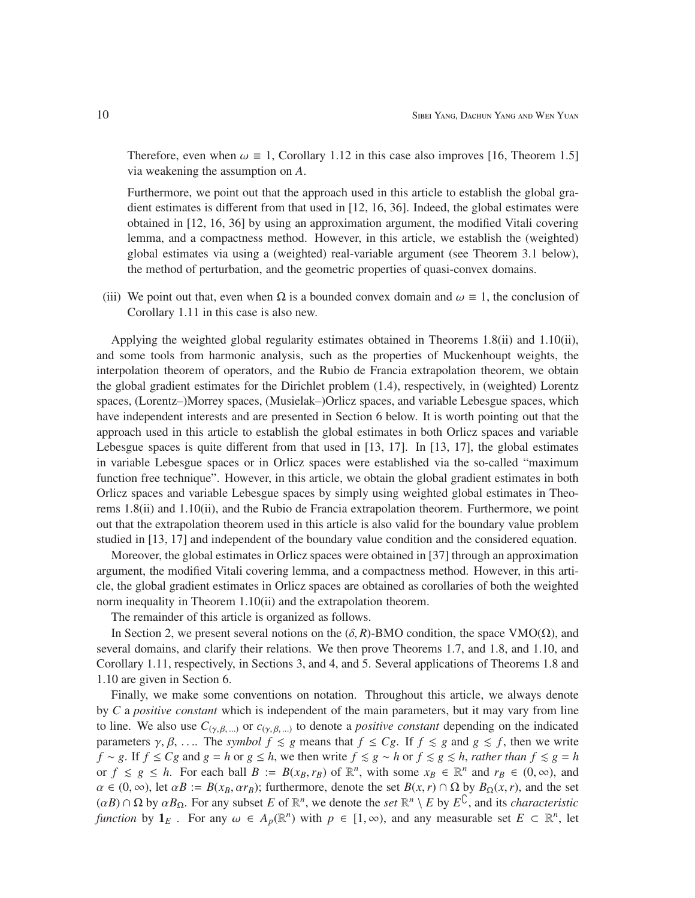Therefore, even when  $\omega \equiv 1$ , Corollary 1.12 in this case also improves [16, Theorem 1.5] via weakening the assumption on *A*.

Furthermore, we point out that the approach used in this article to establish the global gradient estimates is different from that used in [12, 16, 36]. Indeed, the global estimates were obtained in [12, 16, 36] by using an approximation argument, the modified Vitali covering lemma, and a compactness method. However, in this article, we establish the (weighted) global estimates via using a (weighted) real-variable argument (see Theorem 3.1 below), the method of perturbation, and the geometric properties of quasi-convex domains.

(iii) We point out that, even when  $\Omega$  is a bounded convex domain and  $\omega \equiv 1$ , the conclusion of Corollary 1.11 in this case is also new.

Applying the weighted global regularity estimates obtained in Theorems 1.8(ii) and 1.10(ii), and some tools from harmonic analysis, such as the properties of Muckenhoupt weights, the interpolation theorem of operators, and the Rubio de Francia extrapolation theorem, we obtain the global gradient estimates for the Dirichlet problem (1.4), respectively, in (weighted) Lorentz spaces, (Lorentz–)Morrey spaces, (Musielak–)Orlicz spaces, and variable Lebesgue spaces, which have independent interests and are presented in Section 6 below. It is worth pointing out that the approach used in this article to establish the global estimates in both Orlicz spaces and variable Lebesgue spaces is quite different from that used in [13, 17]. In [13, 17], the global estimates in variable Lebesgue spaces or in Orlicz spaces were established via the so-called "maximum function free technique". However, in this article, we obtain the global gradient estimates in both Orlicz spaces and variable Lebesgue spaces by simply using weighted global estimates in Theorems 1.8(ii) and 1.10(ii), and the Rubio de Francia extrapolation theorem. Furthermore, we point out that the extrapolation theorem used in this article is also valid for the boundary value problem studied in [13, 17] and independent of the boundary value condition and the considered equation.

Moreover, the global estimates in Orlicz spaces were obtained in [37] through an approximation argument, the modified Vitali covering lemma, and a compactness method. However, in this article, the global gradient estimates in Orlicz spaces are obtained as corollaries of both the weighted norm inequality in Theorem 1.10(ii) and the extrapolation theorem.

The remainder of this article is organized as follows.

In Section 2, we present several notions on the  $(\delta, R)$ -BMO condition, the space VMO( $\Omega$ ), and several domains, and clarify their relations. We then prove Theorems 1.7, and 1.8, and 1.10, and Corollary 1.11, respectively, in Sections 3, and 4, and 5. Several applications of Theorems 1.8 and 1.10 are given in Section 6.

Finally, we make some conventions on notation. Throughout this article, we always denote by *C* a *positive constant* which is independent of the main parameters, but it may vary from line to line. We also use  $C_{(\gamma,\beta,\ldots)}$  or  $c_{(\gamma,\beta,\ldots)}$  to denote a *positive constant* depending on the indicated parameters  $\gamma$ ,  $\beta$ , .... The *symbol*  $f \le g$  means that  $f \le Cg$ . If  $f \le g$  and  $g \le f$ , then we write *f* ∼ *g*. If *f*  $\leq$  *Cg* and *g* = *h* or *g*  $\leq$  *h*, we then write *f*  $\leq$  *g*  $\sim$  *h* or *f*  $\leq$  *g*  $\leq$  *h*, *rather than f*  $\leq$  *g* = *h* or  $f \le g \le h$ . For each ball  $B := B(x_B, r_B)$  of  $\mathbb{R}^n$ , with some  $x_B \in \mathbb{R}^n$  and  $r_B \in (0, \infty)$ , and  $\alpha \in (0, \infty)$ , let  $\alpha B := B(x_B, \alpha r_B)$ ; furthermore, denote the set  $B(x, r) \cap \Omega$  by  $B_{\Omega}(x, r)$ , and the set  $(\alpha B) \cap \Omega$  by  $\alpha B_{\Omega}$ . For any subset *E* of  $\mathbb{R}^n$ , we denote the *set*  $\mathbb{R}^n \setminus E$  by  $E^{\mathbb{C}}$ , and its *characteristic function* by  $\mathbf{1}_E$ . For any  $\omega \in A_p(\mathbb{R}^n)$  with  $p \in [1, \infty)$ , and any measurable set  $E \subset \mathbb{R}^n$ , let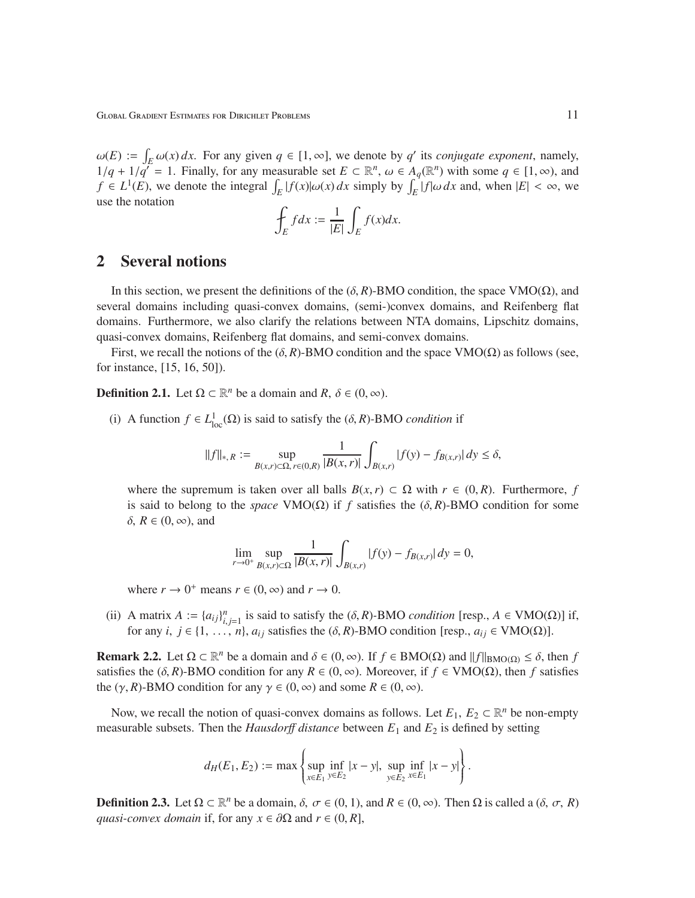$\omega(E) := \int_E \omega(x) dx$ . For any given  $q \in [1, \infty]$ , we denote by *q'* its *conjugate exponent*, namely, 1/*q* + 1/*q*<sup>'</sup> = 1. Finally, for any measurable set *E* ⊂ ℝ<sup>*n*</sup>, ω ∈ *A<sub>q</sub>*(ℝ<sup>*n*</sup>) with some *q* ∈ [1, ∞), and  $f \in L^1(E)$ , we denote the integral  $\int_E |f(x)| \omega(x) dx$  simply by  $\int_E |f(\omega) dx$  and, when  $|E| < \infty$ , we use the notation

$$
\oint_E f dx := \frac{1}{|E|} \int_E f(x) dx.
$$

## 2 Several notions

In this section, we present the definitions of the  $(\delta, R)$ -BMO condition, the space VMO( $\Omega$ ), and several domains including quasi-convex domains, (semi-)convex domains, and Reifenberg flat domains. Furthermore, we also clarify the relations between NTA domains, Lipschitz domains, quasi-convex domains, Reifenberg flat domains, and semi-convex domains.

First, we recall the notions of the  $(\delta, R)$ -BMO condition and the space VMO( $\Omega$ ) as follows (see, for instance, [15, 16, 50]).

**Definition 2.1.** Let  $\Omega \subset \mathbb{R}^n$  be a domain and  $R, \delta \in (0, \infty)$ .

(i) A function  $f \in L^1_{loc}(\Omega)$  is said to satisfy the  $(\delta, R)$ -BMO *condition* if

$$
||f||_{*,R}:=\sup_{B(x,r)\subset \Omega,\,r\in (0,R)}\frac{1}{|B(x,r)|}\int_{B(x,r)}|f(y)-f_{B(x,r)}|\,dy\leq \delta,
$$

where the supremum is taken over all balls  $B(x, r) \subset \Omega$  with  $r \in (0, R)$ . Furthermore, *f* is said to belong to the *space* VMO( $\Omega$ ) if *f* satisfies the ( $\delta$ , *R*)-BMO condition for some  $δ, R ∈ (0, ∞),$  and

$$
\lim_{r \to 0^+} \sup_{B(x,r) \subset \Omega} \frac{1}{|B(x,r)|} \int_{B(x,r)} |f(y) - f_{B(x,r)}| dy = 0,
$$

where  $r \to 0^+$  means  $r \in (0, \infty)$  and  $r \to 0$ .

(ii) A matrix  $A := \{a_{ij}\}_{i,j=1}^n$  is said to satisfy the  $(\delta, R)$ -BMO *condition* [resp.,  $A \in VMO(\Omega)$ ] if, for any *i*,  $j \in \{1, \ldots, n\}$ ,  $a_{ij}$  satisfies the  $(\delta, R)$ -BMO condition [resp.,  $a_{ij} \in VMO(\Omega)$ ].

**Remark 2.2.** Let  $\Omega \subset \mathbb{R}^n$  be a domain and  $\delta \in (0, \infty)$ . If  $f \in BMO(\Omega)$  and  $||f||_{BMO(\Omega)} \leq \delta$ , then *f* satisfies the (δ, *R*)-BMO condition for any *R* ∈ (0, ∞). Moreover, if *f* ∈ VMO(Ω), then *f* satisfies the  $(\gamma, R)$ -BMO condition for any  $\gamma \in (0, \infty)$  and some  $R \in (0, \infty)$ .

Now, we recall the notion of quasi-convex domains as follows. Let  $E_1, E_2 \subset \mathbb{R}^n$  be non-empty measurable subsets. Then the *Hausdor*ff *distance* between *E*<sup>1</sup> and *E*<sup>2</sup> is defined by setting

$$
d_H(E_1, E_2) := \max \left\{ \sup_{x \in E_1} \inf_{y \in E_2} |x - y|, \sup_{y \in E_2} \inf_{x \in E_1} |x - y| \right\}.
$$

**Definition 2.3.** Let  $\Omega \subset \mathbb{R}^n$  be a domain,  $\delta, \sigma \in (0, 1)$ , and  $R \in (0, \infty)$ . Then  $\Omega$  is called a  $(\delta, \sigma, R)$ *quasi-convex domain* if, for any  $x \in \partial\Omega$  and  $r \in (0, R]$ ,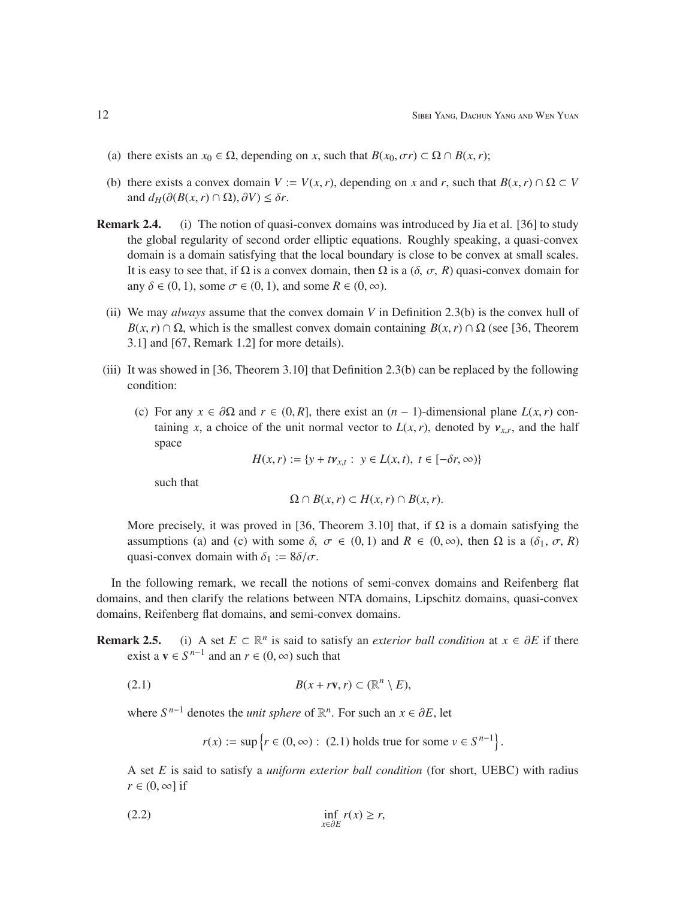- (a) there exists an  $x_0 \in \Omega$ , depending on *x*, such that  $B(x_0, \sigma r) \subset \Omega \cap B(x, r)$ ;
- (b) there exists a convex domain  $V := V(x, r)$ , depending on *x* and *r*, such that  $B(x, r) \cap \Omega \subset V$ and  $d_H(\partial(B(x, r) \cap \Omega), \partial V) \leq \delta r$ .
- Remark 2.4. (i) The notion of quasi-convex domains was introduced by Jia et al. [36] to study the global regularity of second order elliptic equations. Roughly speaking, a quasi-convex domain is a domain satisfying that the local boundary is close to be convex at small scales. It is easy to see that, if  $\Omega$  is a convex domain, then  $\Omega$  is a  $(\delta, \sigma, R)$  quasi-convex domain for any  $\delta \in (0, 1)$ , some  $\sigma \in (0, 1)$ , and some  $R \in (0, \infty)$ .
	- (ii) We may *always* assume that the convex domain *V* in Definition 2.3(b) is the convex hull of  $B(x, r) \cap \Omega$ , which is the smallest convex domain containing  $B(x, r) \cap \Omega$  (see [36, Theorem 3.1] and [67, Remark 1.2] for more details).
- (iii) It was showed in [36, Theorem 3.10] that Definition 2.3(b) can be replaced by the following condition:
	- (c) For any  $x \in \partial\Omega$  and  $r \in (0, R]$ , there exist an  $(n 1)$ -dimensional plane  $L(x, r)$  containing *x*, a choice of the unit normal vector to  $L(x, r)$ , denoted by  $v_{x,r}$ , and the half space

*H*(*x*,*r*) := {*y* + *t* $v_{x,t}$  : *y* ∈ *L*(*x*, *t*), *t* ∈ [− $\delta r$ , ∞)}

such that

$$
\Omega \cap B(x,r) \subset H(x,r) \cap B(x,r).
$$

More precisely, it was proved in [36, Theorem 3.10] that, if  $\Omega$  is a domain satisfying the assumptions (a) and (c) with some  $\delta$ ,  $\sigma \in (0, 1)$  and  $R \in (0, \infty)$ , then  $\Omega$  is a  $(\delta_1, \sigma, R)$ quasi-convex domain with  $\delta_1 := 8\delta/\sigma$ .

In the following remark, we recall the notions of semi-convex domains and Reifenberg flat domains, and then clarify the relations between NTA domains, Lipschitz domains, quasi-convex domains, Reifenberg flat domains, and semi-convex domains.

**Remark 2.5.** (i) A set  $E \subset \mathbb{R}^n$  is said to satisfy an *exterior ball condition* at  $x \in \partial E$  if there exist a  $\mathbf{v} \in S^{n-1}$  and an  $r \in (0, \infty)$  such that

$$
(2.1) \tB(x + r\mathbf{v}, r) \subset (\mathbb{R}^n \setminus E),
$$

where  $S^{n-1}$  denotes the *unit sphere* of  $\mathbb{R}^n$ . For such an  $x \in \partial E$ , let

 $r(x) := \sup \{ r \in (0, \infty) : (2.1) \text{ holds true for some } v \in S^{n-1} \}.$ 

A set *E* is said to satisfy a *uniform exterior ball condition* (for short, UEBC) with radius  $r \in (0, \infty]$  if

$$
\inf_{x \in \partial E} r(x) \ge r,
$$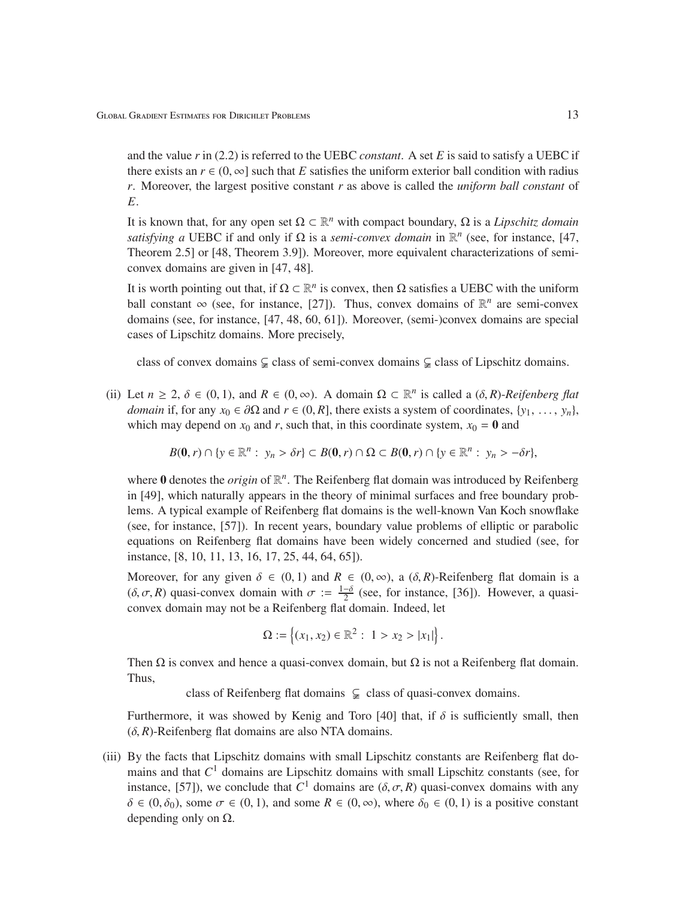and the value *r* in (2.2) is referred to the UEBC *constant*. A set *E* is said to satisfy a UEBC if there exists an  $r \in (0, \infty]$  such that *E* satisfies the uniform exterior ball condition with radius *r*. Moreover, the largest positive constant *r* as above is called the *uniform ball constant* of *E*.

It is known that, for any open set  $\Omega \subset \mathbb{R}^n$  with compact boundary,  $\Omega$  is a *Lipschitz domain satisfying a* UEBC if and only if  $\Omega$  is a *semi-convex domain* in  $\mathbb{R}^n$  (see, for instance, [47, Theorem 2.5] or [48, Theorem 3.9]). Moreover, more equivalent characterizations of semiconvex domains are given in [47, 48].

It is worth pointing out that, if  $\Omega \subset \mathbb{R}^n$  is convex, then  $\Omega$  satisfies a UEBC with the uniform ball constant  $\infty$  (see, for instance, [27]). Thus, convex domains of  $\mathbb{R}^n$  are semi-convex domains (see, for instance, [47, 48, 60, 61]). Moreover, (semi-)convex domains are special cases of Lipschitz domains. More precisely,

class of convex domains  $\subsetneq$  class of semi-convex domains  $\subsetneq$  class of Lipschitz domains.

(ii) Let  $n \ge 2$ ,  $\delta \in (0, 1)$ , and  $R \in (0, \infty)$ . A domain  $\Omega \subset \mathbb{R}^n$  is called a  $(\delta, R)$ -*Reifenberg flat domain* if, for any  $x_0 \in \partial\Omega$  and  $r \in (0, R]$ , there exists a system of coordinates,  $\{y_1, \ldots, y_n\}$ , which may depend on  $x_0$  and *r*, such that, in this coordinate system,  $x_0 = 0$  and

$$
B(\mathbf{0},r)\cap\{y\in\mathbb{R}^n:\ y_n\geq\delta r\}\subset B(\mathbf{0},r)\cap\Omega\subset B(\mathbf{0},r)\cap\{y\in\mathbb{R}^n:\ y_n\geq-\delta r\},
$$

where 0 denotes the *origin* of  $\mathbb{R}^n$ . The Reifenberg flat domain was introduced by Reifenberg in [49], which naturally appears in the theory of minimal surfaces and free boundary problems. A typical example of Reifenberg flat domains is the well-known Van Koch snowflake (see, for instance, [57]). In recent years, boundary value problems of elliptic or parabolic equations on Reifenberg flat domains have been widely concerned and studied (see, for instance, [8, 10, 11, 13, 16, 17, 25, 44, 64, 65]).

Moreover, for any given  $\delta \in (0, 1)$  and  $R \in (0, \infty)$ , a  $(\delta, R)$ -Reifenberg flat domain is a  $(\delta, \sigma, R)$  quasi-convex domain with  $\sigma := \frac{1-\delta}{2}$  $\frac{1}{2}$  (see, for instance, [36]). However, a quasiconvex domain may not be a Reifenberg flat domain. Indeed, let

$$
\Omega := \left\{ (x_1, x_2) \in \mathbb{R}^2 : 1 > x_2 > |x_1| \right\}.
$$

Then  $\Omega$  is convex and hence a quasi-convex domain, but  $\Omega$  is not a Reifenberg flat domain. Thus,

class of Reifenberg flat domains  $\subsetneq$  class of quasi-convex domains.

Furthermore, it was showed by Kenig and Toro [40] that, if  $\delta$  is sufficiently small, then  $(\delta, R)$ -Reifenberg flat domains are also NTA domains.

(iii) By the facts that Lipschitz domains with small Lipschitz constants are Reifenberg flat domains and that *C* <sup>1</sup> domains are Lipschitz domains with small Lipschitz constants (see, for instance, [57]), we conclude that  $C^1$  domains are  $(\delta, \sigma, R)$  quasi-convex domains with any  $\delta \in (0, \delta_0)$ , some  $\sigma \in (0, 1)$ , and some  $R \in (0, \infty)$ , where  $\delta_0 \in (0, 1)$  is a positive constant depending only on  $\Omega$ .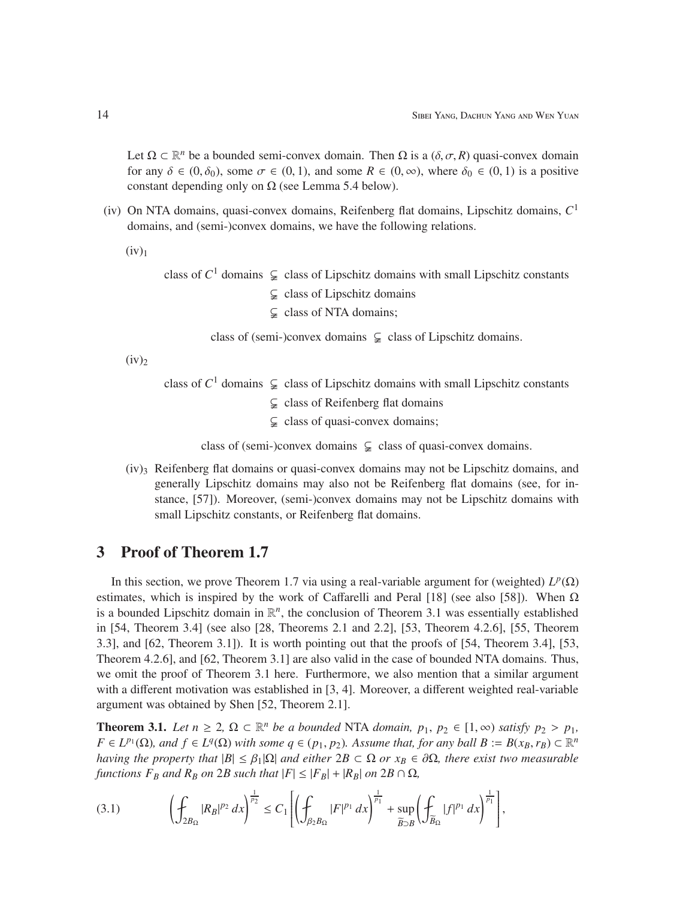Let  $\Omega \subset \mathbb{R}^n$  be a bounded semi-convex domain. Then  $\Omega$  is a  $(\delta, \sigma, R)$  quasi-convex domain for any  $\delta \in (0, \delta_0)$ , some  $\sigma \in (0, 1)$ , and some  $R \in (0, \infty)$ , where  $\delta_0 \in (0, 1)$  is a positive constant depending only on  $\Omega$  (see Lemma 5.4 below).

(iv) On NTA domains, quasi-convex domains, Reifenberg flat domains, Lipschitz domains, *C* 1 domains, and (semi-)convex domains, we have the following relations.

 $(iv)<sub>1</sub>$ 

class of  $C^1$  domains  $\subsetneq$  class of Lipschitz domains with small Lipschitz constants  $\subsetneq$  class of Lipschitz domains  $\subsetneq$  class of NTA domains;

class of (semi-)convex domains  $\subsetneq$  class of Lipschitz domains.

 $(iv)_2$ 

class of  $C^1$  domains  $\subsetneq$  class of Lipschitz domains with small Lipschitz constants

- $\subsetneq$  class of Reifenberg flat domains
- $\subsetneq$  class of quasi-convex domains;

class of (semi-)convex domains  $\subsetneq$  class of quasi-convex domains.

 $(iv)$ <sub>3</sub> Reifenberg flat domains or quasi-convex domains may not be Lipschitz domains, and generally Lipschitz domains may also not be Reifenberg flat domains (see, for instance, [57]). Moreover, (semi-)convex domains may not be Lipschitz domains with small Lipschitz constants, or Reifenberg flat domains.

### 3 Proof of Theorem 1.7

In this section, we prove Theorem 1.7 via using a real-variable argument for (weighted)  $L^p(\Omega)$ estimates, which is inspired by the work of Caffarelli and Peral [18] (see also [58]). When  $Ω$ is a bounded Lipschitz domain in  $\mathbb{R}^n$ , the conclusion of Theorem 3.1 was essentially established in [54, Theorem 3.4] (see also [28, Theorems 2.1 and 2.2], [53, Theorem 4.2.6], [55, Theorem 3.3], and [62, Theorem 3.1]). It is worth pointing out that the proofs of [54, Theorem 3.4], [53, Theorem 4.2.6], and [62, Theorem 3.1] are also valid in the case of bounded NTA domains. Thus, we omit the proof of Theorem 3.1 here. Furthermore, we also mention that a similar argument with a different motivation was established in [3, 4]. Moreover, a different weighted real-variable argument was obtained by Shen [52, Theorem 2.1].

**Theorem 3.1.** *Let*  $n \geq 2$ ,  $\Omega \subset \mathbb{R}^n$  *be a bounded* NTA *domain*,  $p_1, p_2 \in [1, \infty)$  *satisfy*  $p_2 > p_1$ *,*  $F \in L^{p_1}(\Omega)$ , and  $f \in L^q(\Omega)$  *with some*  $q \in (p_1, p_2)$ *. Assume that, for any ball*  $B := B(x_B, r_B) \subset \mathbb{R}^n$ *having the property that*  $|B| \leq \beta_1 |\Omega|$  *and either*  $2B \subset \Omega$  *or*  $x_B \in \partial \Omega$ *, there exist two measurable functions*  $F_B$  *and*  $R_B$  *on* 2*B such that*  $|F| \leq |F_B| + |R_B|$  *on* 2*B*  $\cap$  Ω*,* 

$$
(3.1) \qquad \left(\oint_{2B_{\Omega}} |R_B|^{p_2} \, dx\right)^{\frac{1}{p_2}} \le C_1 \left[\left(\oint_{\beta_2 B_{\Omega}} |F|^{p_1} \, dx\right)^{\frac{1}{p_1}} + \sup_{\widetilde{B}\supset B} \left(\oint_{\widetilde{B}_{\Omega}} |f|^{p_1} \, dx\right)^{\frac{1}{p_1}}\right],
$$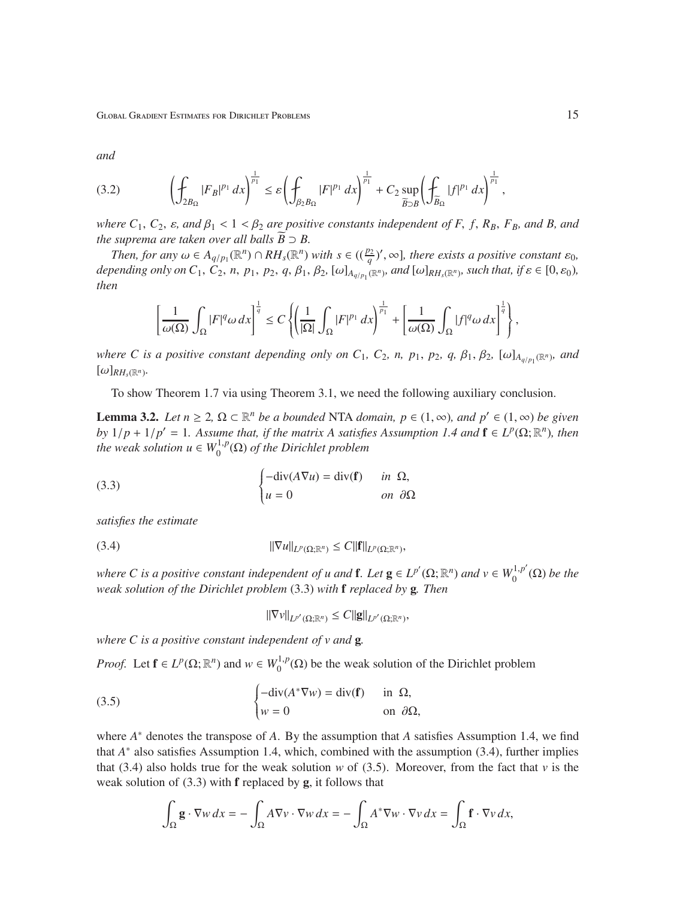Global Gradient Estimates for Dirichlet Problems 15

*and*

$$
(3.2) \qquad \left(\oint_{2B_{\Omega}} |F_B|^{p_1} dx\right)^{\frac{1}{p_1}} \leq \varepsilon \left(\oint_{\beta_2 B_{\Omega}} |F|^{p_1} dx\right)^{\frac{1}{p_1}} + C_2 \sup_{\widetilde{B}\supset B} \left(\oint_{\widetilde{B}_{\Omega}} |f|^{p_1} dx\right)^{\frac{1}{p_1}},
$$

*where*  $C_1$ ,  $C_2$ ,  $\varepsilon$ , and  $\beta_1$  < 1 <  $\beta_2$  are positive constants independent of F, f,  $R_B$ ,  $F_B$ , and B, and *the suprema are taken over all balls*  $\widetilde{B} \supset B$ .

*Then, for any*  $\omega \in A_{q/p_1}(\mathbb{R}^n) \cap RH_s(\mathbb{R}^n)$  *with*  $s \in ((\frac{p_2}{q})'$ ,  $\infty]$ *, there exists a positive constant*  $\varepsilon_0$ *,* depending only on  $C_1$ ,  $C_2$ , n,  $p_1$ ,  $p_2$ ,  $q$ ,  $\beta_1$ ,  $\beta_2$ ,  $[\omega]_{A_{q/p_1}(\mathbb{R}^n)}$ , and  $[\omega]_{RH_s(\mathbb{R}^n)}$ , such that, if  $\varepsilon \in [0, \varepsilon_0)$ , *then*

$$
\left[\frac{1}{\omega(\Omega)}\int_{\Omega}|F|^q\omega\,dx\right]^{\frac{1}{q}}\leq C\left\{\left(\frac{1}{|\Omega|}\int_{\Omega}|F|^{p_1}\,dx\right)^{\frac{1}{p_1}}+\left[\frac{1}{\omega(\Omega)}\int_{\Omega}|f|^q\omega\,dx\right]^{\frac{1}{q}}\right\},\,
$$

*where C is a positive constant depending only on*  $C_1$ *,*  $C_2$ *, n,*  $p_1$ *,*  $p_2$ *,*  $q$ *,*  $\beta_1$ *,*  $\beta_2$ *,*  $[\omega]_{A_{q/p_1}(\mathbb{R}^n)}$ *, and*  $[\omega]_{RH_s(\mathbb{R}^n)}$ .

To show Theorem 1.7 via using Theorem 3.1, we need the following auxiliary conclusion.

**Lemma 3.2.** *Let*  $n \ge 2$ ,  $\Omega \subset \mathbb{R}^n$  *be a bounded* NTA *domain,*  $p \in (1, ∞)$ *, and*  $p' \in (1, ∞)$  *be given by*  $1/p + 1/p' = 1$ *. Assume that, if the matrix A satisfies Assumption 1.4 and*  $f \in L^p(\Omega; \mathbb{R}^n)$ *, then the weak solution*  $u \in W_0^{1,p}$  $\int_0^{1,p}(\Omega)$  of the Dirichlet problem

(3.3) 
$$
\begin{cases} -\text{div}(A\nabla u) = \text{div}(\mathbf{f}) & \text{in } \Omega, \\ u = 0 & \text{on } \partial\Omega \end{cases}
$$

*satisfies the estimate*

$$
||\nabla u||_{L^p(\Omega;\mathbb{R}^n)} \leq C||\mathbf{f}||_{L^p(\Omega;\mathbb{R}^n)},
$$

*where C* is a positive constant independent of *u* and **f**. Let  $g \in L^{p'}(\Omega; \mathbb{R}^n)$  and  $v \in W_0^{1,p'}$  $\int_0^{1,p} (\Omega)$  *be the weak solution of the Dirichlet problem* (3.3) *with* f *replaced by* g*. Then*

$$
\|\nabla v\|_{L^{p'}(\Omega;\mathbb{R}^n)} \leq C \|g\|_{L^{p'}(\Omega;\mathbb{R}^n)},
$$

*where C is a positive constant independent of v and* g*.*

*Proof.* Let  $f \in L^p(\Omega; \mathbb{R}^n)$  and  $w \in W_0^{1,p}$  $0^{1,p}(\Omega)$  be the weak solution of the Dirichlet problem

(3.5) 
$$
\begin{cases}\n-\text{div}(A^*\nabla w) = \text{div}(\mathbf{f}) & \text{in } \Omega, \\
w = 0 & \text{on } \partial\Omega,\n\end{cases}
$$

where *A* <sup>∗</sup> denotes the transpose of *A*. By the assumption that *A* satisfies Assumption 1.4, we find that *A*<sup>∗</sup> also satisfies Assumption 1.4, which, combined with the assumption (3.4), further implies that (3.4) also holds true for the weak solution *w* of (3.5). Moreover, from the fact that *v* is the weak solution of  $(3.3)$  with **f** replaced by **g**, it follows that

$$
\int_{\Omega} \mathbf{g} \cdot \nabla w \, dx = -\int_{\Omega} A \nabla v \cdot \nabla w \, dx = -\int_{\Omega} A^* \nabla w \cdot \nabla v \, dx = \int_{\Omega} \mathbf{f} \cdot \nabla v \, dx,
$$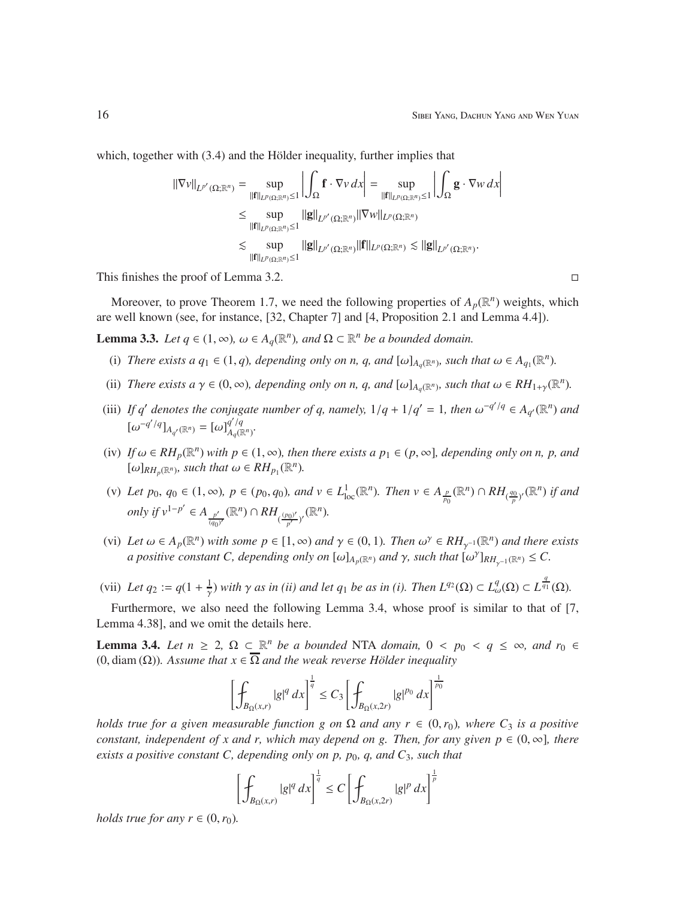which, together with  $(3.4)$  and the Hölder inequality, further implies that

$$
\begin{split} ||\nabla v||_{L^{p'}(\Omega;\mathbb{R}^n)} &= \sup_{||\mathbf{f}||_{L^p(\Omega;\mathbb{R}^n)} \leq 1} \left| \int_{\Omega} \mathbf{f} \cdot \nabla v \, dx \right| = \sup_{||\mathbf{f}||_{L^p(\Omega;\mathbb{R}^n)} \leq 1} \left| \int_{\Omega} \mathbf{g} \cdot \nabla w \, dx \right| \\ &\leq \sup_{||\mathbf{f}||_{L^p(\Omega;\mathbb{R}^n)} \leq 1} ||\mathbf{g}||_{L^{p'}(\Omega;\mathbb{R}^n)} ||\nabla w||_{L^p(\Omega;\mathbb{R}^n)} \\ &\lesssim \sup_{||\mathbf{f}||_{L^p(\Omega;\mathbb{R}^n)} \leq 1} ||\mathbf{g}||_{L^{p'}(\Omega;\mathbb{R}^n)} ||\mathbf{f}||_{L^p(\Omega;\mathbb{R}^n)} \lesssim ||\mathbf{g}||_{L^{p'}(\Omega;\mathbb{R}^n)} .\end{split}
$$

This finishes the proof of Lemma 3.2.

Moreover, to prove Theorem 1.7, we need the following properties of  $A_p(\mathbb{R}^n)$  weights, which are well known (see, for instance, [32, Chapter 7] and [4, Proposition 2.1 and Lemma 4.4]).

**Lemma 3.3.** *Let*  $q \in (1, \infty)$ ,  $\omega \in A_q(\mathbb{R}^n)$ , and  $\Omega \subset \mathbb{R}^n$  *be a bounded domain.* 

- (i) *There exists a q*<sub>1</sub>  $\in$  (1, *q*)*, depending only on n, q, and*  $[\omega]_{A_q(\mathbb{R}^n)}$ *, such that*  $\omega \in A_{q_1}(\mathbb{R}^n)$ *.*
- (ii) *There exists a*  $\gamma \in (0, \infty)$ *, depending only on n, q, and*  $[\omega]_{A_q(\mathbb{R}^n)}$ *, such that*  $\omega \in RH_{1+\gamma}(\mathbb{R}^n)$ *.*
- (iii) If q' denotes the conjugate number of q, namely,  $1/q + 1/q' = 1$ , then  $\omega^{-q'/q} \in A_{q'}(\mathbb{R}^n)$  and  $[\omega^{-q'/q}]_{A_{q'}(\mathbb{R}^n)} = [\omega]_{A_q(\mathbb{R}^n)}^{q'/q}$ *Aq*(R*<sup>n</sup>* ) *.*
- (iv) If  $\omega \in RH_p(\mathbb{R}^n)$  with  $p \in (1,\infty)$ , then there exists a  $p_1 \in (p,\infty]$ , depending only on n, p, and  $[\omega]_{RH_p(\mathbb{R}^n)}$ *, such that*  $\omega \in RH_{p_1}(\mathbb{R}^n)$ *.*
- (v) Let  $p_0, q_0 \in (1, \infty)$ ,  $p \in (p_0, q_0)$ , and  $v \in L^1_{loc}(\mathbb{R}^n)$ . Then  $v \in A_{\frac{p}{p_0}}(\mathbb{R}^n) \cap RH_{(\frac{q_0}{p})'}(\mathbb{R}^n)$  if and *only if*  $v^{1-p'} \in A_{p'}$  $\frac{p'}{(q_0)'}(\mathbb{R}^n) \cap RH_{(\frac{(p_0)'}{p'})}$ <sup>*n*<sub>*p*</sub><sup>*l*</sup></sup>)<sup>*r*</sup>( $\mathbb{R}^n$ ).
- (vi) Let  $\omega \in A_p(\mathbb{R}^n)$  with some  $p \in [1, \infty)$  and  $\gamma \in (0, 1)$ . Then  $\omega^\gamma \in RH_{\gamma^{-1}}(\mathbb{R}^n)$  and there exists *a positive constant C, depending only on*  $[\omega]_{A_p(\mathbb{R}^n)}$  *and*  $\gamma$ *, such that*  $[\omega^{\gamma}]_{RH_{\gamma^{-1}}(\mathbb{R}^n)} \leq C$ .
- (vii) Let  $q_2 := q(1 + \frac{1}{\gamma})$  $\frac{1}{\gamma}$ ) with  $\gamma$  as in (ii) and let  $q_1$  be as in (i). Then  $L^{q_2}(\Omega) \subset L^q_\omega(\Omega) \subset L^{\frac{q}{q_1}}(\Omega)$ .

Furthermore, we also need the following Lemma 3.4, whose proof is similar to that of [7, Lemma 4.38], and we omit the details here.

**Lemma 3.4.** *Let*  $n \geq 2$ ,  $\Omega \subset \mathbb{R}^n$  *be a bounded* NTA *domain*,  $0 < p_0 < q \leq \infty$ , and  $r_0 \in$ (0, diam ( $\Omega$ )). Assume that  $x \in \overline{\Omega}$  and the weak reverse Hölder inequality

$$
\left[\oint_{B_{\Omega}(x,r)} |g|^q \, dx\right]^{\frac{1}{q}} \le C_3 \left[\oint_{B_{\Omega}(x,2r)} |g|^{p_0} \, dx\right]^{\frac{1}{p_0}}
$$

*holds true for a given measurable function g on*  $\Omega$  *and any*  $r \in (0,r_0)$ *, where*  $C_3$  *is a positive constant, independent of x and r, which may depend on g. Then, for any given*  $p \in (0, \infty]$ *, there exists a positive constant C, depending only on p, p<sub>0</sub>, q, and C<sub>3</sub>, such that* 

$$
\left[\oint_{B_{\Omega}(x,r)}|g|^q\,dx\right]^{\frac{1}{q}} \le C\left[\oint_{B_{\Omega}(x,2r)}|g|^p\,dx\right]^{\frac{1}{p}}
$$

*holds true for any r*  $\in$   $(0, r_0)$ *.*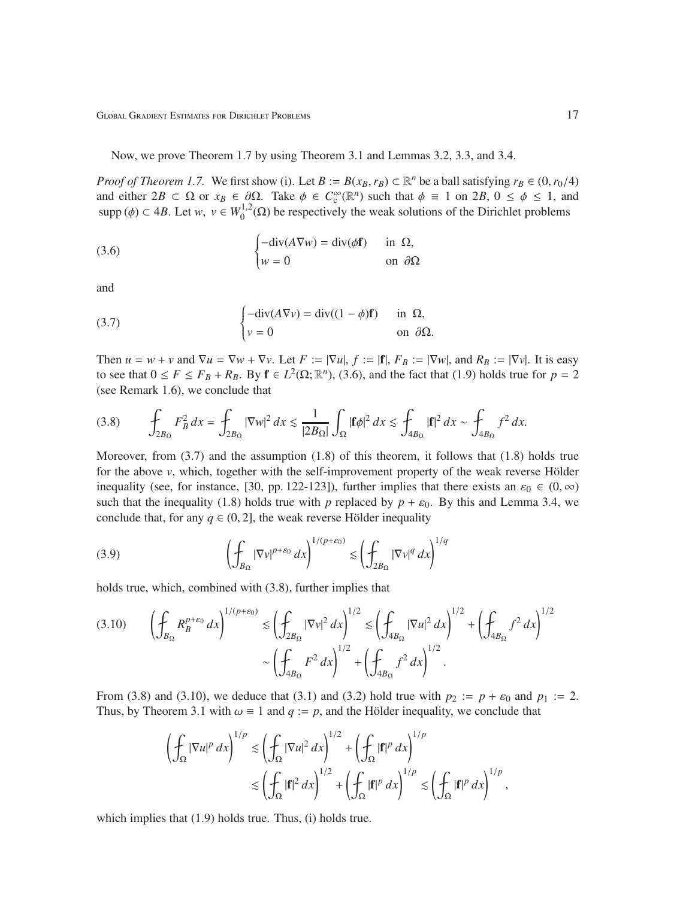Now, we prove Theorem 1.7 by using Theorem 3.1 and Lemmas 3.2, 3.3, and 3.4.

*Proof of Theorem 1.7.* We first show (i). Let  $B := B(x_B, r_B) \subset \mathbb{R}^n$  be a ball satisfying  $r_B \in (0, r_0/4)$ and either  $2B \subset \Omega$  or  $x_B \in \partial \Omega$ . Take  $\phi \in C_c^{\infty}(\mathbb{R}^n)$  such that  $\phi \equiv 1$  on  $2B$ ,  $0 \le \phi \le 1$ , and supp ( $\phi$ )  $\subset$  4*B*. Let *w*,  $v \in W_0^{1,2}$  $0^{1,2}(\Omega)$  be respectively the weak solutions of the Dirichlet problems

(3.6) 
$$
\begin{cases} -\text{div}(A\nabla w) = \text{div}(\phi \mathbf{f}) & \text{in } \Omega, \\ w = 0 & \text{on } \partial \Omega \end{cases}
$$

and

(3.7) 
$$
\begin{cases}\n-\text{div}(A\nabla v) = \text{div}((1 - \phi)\mathbf{f}) & \text{in } \Omega, \\
v = 0 & \text{on } \partial\Omega.\n\end{cases}
$$

Then  $u = w + v$  and  $\nabla u = \nabla w + \nabla v$ . Let  $F := |\nabla u|, f := |f|, F_B := |\nabla w|$ , and  $R_B := |\nabla v|$ . It is easy to see that  $0 \le F \le F_B + R_B$ . By  $f \in L^2(\Omega; \mathbb{R}^n)$ , (3.6), and the fact that (1.9) holds true for  $p = 2$ (see Remark 1.6), we conclude that

$$
(3.8)\qquad \int_{2B_{\Omega}} F_B^2 dx = \int_{2B_{\Omega}} |\nabla w|^2 dx \lesssim \frac{1}{|2B_{\Omega}|} \int_{\Omega} |\mathbf{f}\phi|^2 dx \lesssim \int_{4B_{\Omega}} |\mathbf{f}|^2 dx \sim \int_{4B_{\Omega}} f^2 dx.
$$

Moreover, from  $(3.7)$  and the assumption  $(1.8)$  of this theorem, it follows that  $(1.8)$  holds true for the above  $v$ , which, together with the self-improvement property of the weak reverse Hölder inequality (see, for instance, [30, pp. 122-123]), further implies that there exists an  $\varepsilon_0 \in (0, \infty)$ such that the inequality (1.8) holds true with *p* replaced by  $p + \varepsilon_0$ . By this and Lemma 3.4, we conclude that, for any  $q \in (0, 2]$ , the weak reverse Hölder inequality

(3.9) 
$$
\left(\oint_{B_{\Omega}}|\nabla v|^{p+\varepsilon_0} dx\right)^{1/(p+\varepsilon_0)} \lesssim \left(\oint_{2B_{\Omega}}|\nabla v|^q dx\right)^{1/q}
$$

holds true, which, combined with (3.8), further implies that

$$
(3.10) \qquad \left(\oint_{B_{\Omega}} R_{B}^{p+\varepsilon_{0}} dx\right)^{1/(p+\varepsilon_{0})} \lesssim \left(\oint_{2B_{\Omega}} |\nabla v|^{2} dx\right)^{1/2} \lesssim \left(\oint_{4B_{\Omega}} |\nabla u|^{2} dx\right)^{1/2} + \left(\oint_{4B_{\Omega}} f^{2} dx\right)^{1/2}
$$

$$
\sim \left(\oint_{4B_{\Omega}} F^{2} dx\right)^{1/2} + \left(\oint_{4B_{\Omega}} f^{2} dx\right)^{1/2}.
$$

From (3.8) and (3.10), we deduce that (3.1) and (3.2) hold true with  $p_2 := p + \varepsilon_0$  and  $p_1 := 2$ . Thus, by Theorem 3.1 with  $\omega \equiv 1$  and  $q := p$ , and the Hölder inequality, we conclude that

$$
\left(\oint_{\Omega}|\nabla u|^p\,dx\right)^{1/p} \lesssim \left(\oint_{\Omega}|\nabla u|^2\,dx\right)^{1/2} + \left(\oint_{\Omega}|\mathbf{f}|^p\,dx\right)^{1/p}
$$

$$
\lesssim \left(\oint_{\Omega}|\mathbf{f}|^2\,dx\right)^{1/2} + \left(\oint_{\Omega}|\mathbf{f}|^p\,dx\right)^{1/p} \lesssim \left(\oint_{\Omega}|\mathbf{f}|^p\,dx\right)^{1/p},
$$

which implies that  $(1.9)$  holds true. Thus,  $(i)$  holds true.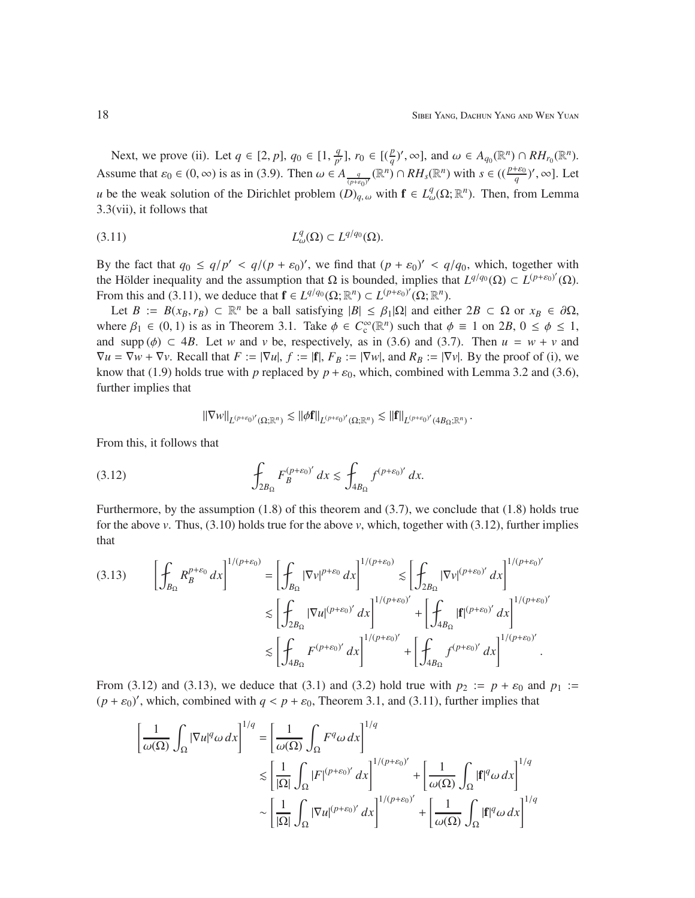Next, we prove (ii). Let  $q \in [2, p]$ ,  $q_0 \in [1, \frac{q}{p'}]$  $\frac{q}{p'}$ ],  $r_0 \in [(\frac{p}{q})', \infty]$ , and  $\omega \in A_{q_0}(\mathbb{R}^n) \cap RH_{r_0}(\mathbb{R}^n)$ . Assume that  $\varepsilon_0 \in (0, \infty)$  is as in (3.9). Then  $\omega \in A_{\frac{q}{(p+\varepsilon_0)^r}}(\mathbb{R}^n) \cap RH_s(\mathbb{R}^n)$  with  $s \in ((\frac{p+\varepsilon_0}{q})'$ ,  $\infty]$ . Let *u* be the weak solution of the Dirichlet problem  $(D)_{q,\omega}$  with  $f \in L^q_\omega(\Omega;\mathbb{R}^n)$ . Then, from Lemma 3.3(vii), it follows that

$$
(3.11) \t\t\t L_{\omega}^q(\Omega) \subset L^{q/q_0}(\Omega).
$$

By the fact that  $q_0 \le q/p' < q/(p + \varepsilon_0)'$ , we find that  $(p + \varepsilon_0)' < q/q_0$ , which, together with the Hölder inequality and the assumption that  $\Omega$  is bounded, implies that  $L^{q/q_0}(\Omega) \subset L^{(p+\varepsilon_0)'}(\Omega)$ . From this and (3.11), we deduce that  $\mathbf{f} \in L^{q/q_0}(\Omega; \mathbb{R}^n) \subset L^{(p+\varepsilon_0)'}(\Omega; \mathbb{R}^n)$ .

Let  $B := B(x_B, r_B) \subset \mathbb{R}^n$  be a ball satisfying  $|B| \leq \beta_1 |\Omega|$  and either  $2B \subset \Omega$  or  $x_B \in \partial \Omega$ , where  $\beta_1 \in (0, 1)$  is as in Theorem 3.1. Take  $\phi \in C_c^{\infty}(\mathbb{R}^n)$  such that  $\phi \equiv 1$  on 2*B*,  $0 \le \phi \le 1$ , and supp ( $\phi$ )  $\subset$  4*B*. Let *w* and *v* be, respectively, as in (3.6) and (3.7). Then  $u = w + v$  and  $\nabla u = \nabla w + \nabla v$ . Recall that  $F := |\nabla u|, f := |f|, F_B := |\nabla w|$ , and  $R_B := |\nabla v|$ . By the proof of (i), we know that (1.9) holds true with *p* replaced by  $p + \varepsilon_0$ , which, combined with Lemma 3.2 and (3.6), further implies that

$$
\left\|\nabla w\right\|_{L^{(p+\varepsilon_0)'}(\Omega;\mathbb{R}^n)} \lesssim \left\|\phi\mathbf{f}\right\|_{L^{(p+\varepsilon_0)'}(\Omega;\mathbb{R}^n)} \lesssim \left\|\mathbf{f}\right\|_{L^{(p+\varepsilon_0)'}(4B_\Omega;\mathbb{R}^n)}.
$$

From this, it follows that

(3.12) 
$$
\int_{2B_{\Omega}} F_B^{(p+\varepsilon_0)'} dx \lesssim \int_{4B_{\Omega}} f^{(p+\varepsilon_0)'} dx.
$$

Furthermore, by the assumption (1.8) of this theorem and (3.7), we conclude that (1.8) holds true for the above *v*. Thus,  $(3.10)$  holds true for the above *v*, which, together with  $(3.12)$ , further implies that

$$
(3.13) \qquad \left[\int_{B_{\Omega}} R_{B}^{p+\varepsilon_{0}} dx\right]^{1/(p+\varepsilon_{0})} = \left[\int_{B_{\Omega}} |\nabla v|^{p+\varepsilon_{0}} dx\right]^{1/(p+\varepsilon_{0})} \lesssim \left[\int_{2B_{\Omega}} |\nabla v|^{(p+\varepsilon_{0})'} dx\right]^{1/(p+\varepsilon_{0})'}
$$

$$
\lesssim \left[\int_{2B_{\Omega}} |\nabla u|^{(p+\varepsilon_{0})'} dx\right]^{1/(p+\varepsilon_{0})'} + \left[\int_{4B_{\Omega}} |\mathbf{f}|^{(p+\varepsilon_{0})'} dx\right]^{1/(p+\varepsilon_{0})'}
$$

$$
\lesssim \left[\int_{4B_{\Omega}} F^{(p+\varepsilon_{0})'} dx\right]^{1/(p+\varepsilon_{0})'} + \left[\int_{4B_{\Omega}} f^{(p+\varepsilon_{0})'} dx\right]^{1/(p+\varepsilon_{0})'}.
$$

From (3.12) and (3.13), we deduce that (3.1) and (3.2) hold true with  $p_2 := p + \varepsilon_0$  and  $p_1 :=$  $(p + \varepsilon_0)'$ , which, combined with  $q < p + \varepsilon_0$ , Theorem 3.1, and (3.11), further implies that

$$
\left[\frac{1}{\omega(\Omega)} \int_{\Omega} |\nabla u|^q \omega \, dx\right]^{1/q} = \left[\frac{1}{\omega(\Omega)} \int_{\Omega} F^q \omega \, dx\right]^{1/q}
$$

$$
\lesssim \left[\frac{1}{|\Omega|} \int_{\Omega} |F|^{(p+\varepsilon_0)'} \, dx\right]^{1/(p+\varepsilon_0)'} + \left[\frac{1}{\omega(\Omega)} \int_{\Omega} |\mathbf{f}|^q \omega \, dx\right]^{1/q}
$$

$$
\sim \left[\frac{1}{|\Omega|} \int_{\Omega} |\nabla u|^{(p+\varepsilon_0)'} \, dx\right]^{1/(p+\varepsilon_0)'} + \left[\frac{1}{\omega(\Omega)} \int_{\Omega} |\mathbf{f}|^q \omega \, dx\right]^{1/q}
$$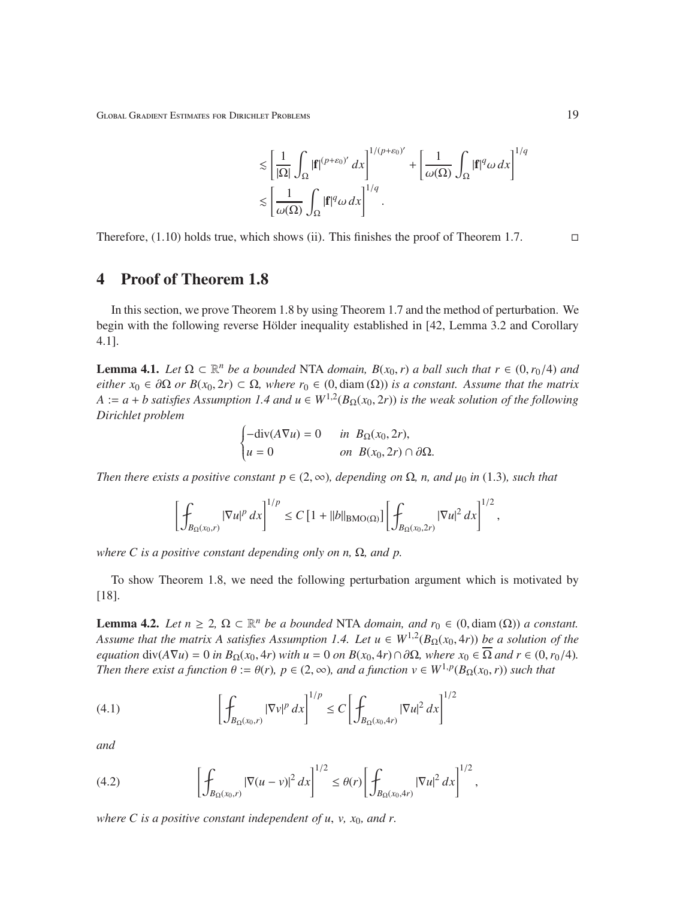$$
\leq \left[\frac{1}{|\Omega|}\int_{\Omega}|\mathbf{f}|^{(p+\varepsilon_0)'}\,dx\right]^{1/(p+\varepsilon_0)'} + \left[\frac{1}{\omega(\Omega)}\int_{\Omega}|\mathbf{f}|^q\omega\,dx\right]^{1/q}
$$
  

$$
\leq \left[\frac{1}{\omega(\Omega)}\int_{\Omega}|\mathbf{f}|^q\omega\,dx\right]^{1/q}.
$$

Therefore,  $(1.10)$  holds true, which shows (ii). This finishes the proof of Theorem 1.7.

## 4 Proof of Theorem 1.8

In this section, we prove Theorem 1.8 by using Theorem 1.7 and the method of perturbation. We begin with the following reverse Hölder inequality established in [42, Lemma 3.2 and Corollary 4.1].

**Lemma 4.1.** *Let*  $\Omega \subset \mathbb{R}^n$  *be a bounded* NTA *domain,*  $B(x_0, r)$  *a ball such that*  $r \in (0, r_0/4)$  *and either*  $x_0 \in \partial \Omega$  *or*  $B(x_0, 2r) \subset \Omega$ *, where*  $r_0 \in (0, \text{diam}(\Omega))$  *is a constant. Assume that the matrix*  $A := a + b$  satisfies Assumption 1.4 and  $u \in W^{1,2}(B_{\Omega}(x_0, 2r))$  is the weak solution of the following *Dirichlet problem*

$$
\begin{cases}\n-\text{div}(A\nabla u) = 0 & \text{in } B_{\Omega}(x_0, 2r), \\
u = 0 & \text{on } B(x_0, 2r) \cap \partial\Omega.\n\end{cases}
$$

*Then there exists a positive constant*  $p \in (2, \infty)$ *, depending on*  $\Omega$ *, n, and*  $\mu_0$  *in* (1.3)*, such that* 

$$
\left[\int_{B_{\Omega}(x_0,r)} |\nabla u|^p\,dx\right]^{1/p} \le C\left[1+||b||_{\text{BMO}(\Omega)}\right]\left[\int_{B_{\Omega}(x_0,2r)} |\nabla u|^2\,dx\right]^{1/2},
$$

*where C is a positive constant depending only on n,* Ω*, and p.*

To show Theorem 1.8, we need the following perturbation argument which is motivated by [18].

**Lemma 4.2.** *Let*  $n \geq 2$ ,  $\Omega \subset \mathbb{R}^n$  *be a bounded* NTA *domain, and*  $r_0 \in (0, \text{diam}(\Omega))$  *a constant. Assume that the matrix A satisfies Assumption 1.4. Let u* ∈ *W*1,<sup>2</sup> (*B*Ω(*x*0, 4*r*)) *be a solution of the equation* div( $A\nabla u$ ) = 0 *in*  $B_{\Omega}(x_0, 4r)$  *with*  $u = 0$  *on*  $B(x_0, 4r) \cap \partial \Omega$ *, where*  $x_0 \in \overline{\Omega}$  *and*  $r \in (0, r_0/4)$ *. Then there exist a function*  $\theta := \theta(r)$ *,*  $p \in (2, \infty)$ *, and a function*  $v \in W^{1,p}(B_{\Omega}(x_0, r))$  *such that* 

(4.1) 
$$
\left[\int_{B_{\Omega}(x_0,r)} |\nabla v|^p dx\right]^{1/p} \le C \left[\int_{B_{\Omega}(x_0,4r)} |\nabla u|^2 dx\right]^{1/2}
$$

*and*

(4.2) 
$$
\left[\int_{B_{\Omega}(x_0,r)} |\nabla (u-v)|^2 dx\right]^{1/2} \leq \theta(r) \left[\int_{B_{\Omega}(x_0,4r)} |\nabla u|^2 dx\right]^{1/2},
$$

*where C is a positive constant independent of u, v,*  $x_0$ *, and r.*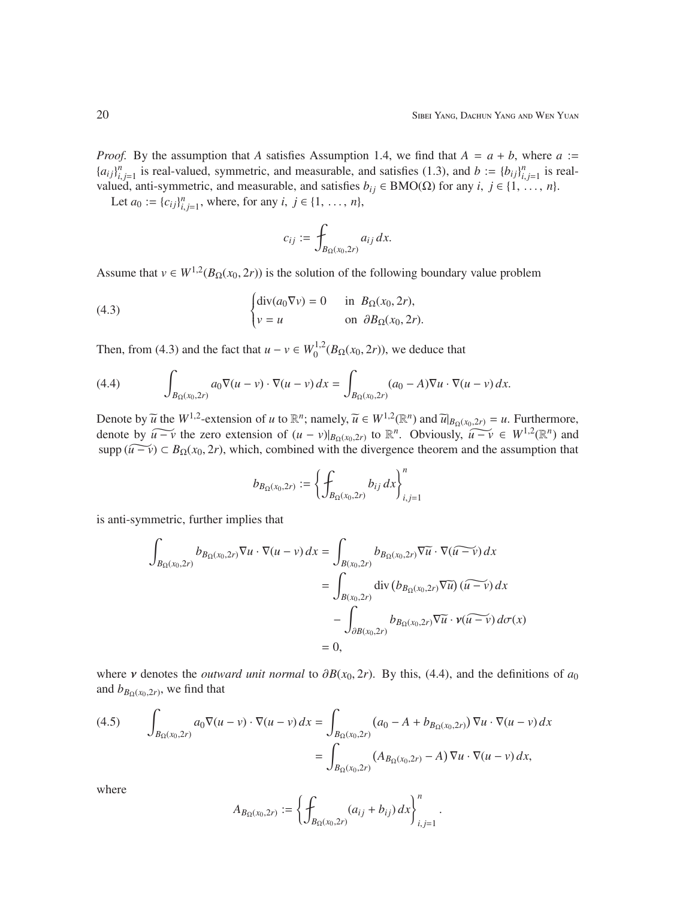*Proof.* By the assumption that *A* satisfies Assumption 1.4, we find that  $A = a + b$ , where  $a :=$  ${a_{ij}}_{i,j=1}^n$  is real-valued, symmetric, and measurable, and satisfies (1.3), and  $b := {b_{ij}}_{i,j=1}^n$  is realvalued, anti-symmetric, and measurable, and satisfies *b*<sup>*i*</sup> ∈ BMO(Ω) for any *i*, *j* ∈ {1, ..., *n*}.

Let  $a_0 := \{c_{ij}\}_{i,j=1}^n$ , where, for any  $i, j \in \{1, ..., n\}$ ,

$$
c_{ij} := \int_{B_{\Omega}(x_0, 2r)} a_{ij} dx.
$$

Assume that  $v \in W^{1,2}(B_{\Omega}(x_0, 2r))$  is the solution of the following boundary value problem

(4.3) 
$$
\begin{cases} \operatorname{div}(a_0 \nabla v) = 0 & \text{in } B_{\Omega}(x_0, 2r), \\ v = u & \text{on } \partial B_{\Omega}(x_0, 2r). \end{cases}
$$

Then, from (4.3) and the fact that  $u - v \in W_0^{1,2}$  $^{(1,2)}_{0}(B_{\Omega}(x_0, 2r))$ , we deduce that

(4.4) 
$$
\int_{B_{\Omega}(x_0,2r)} a_0 \nabla (u-v) \cdot \nabla (u-v) dx = \int_{B_{\Omega}(x_0,2r)} (a_0-A) \nabla u \cdot \nabla (u-v) dx.
$$

Denote by  $\widetilde{u}$  the  $W^{1,2}$ -extension of *u* to  $\mathbb{R}^n$ ; namely,  $\widetilde{u} \in W^{1,2}(\mathbb{R}^n)$  and  $\widetilde{u}|_{B_{\Omega}(x_0,2r)} = u$ . Furthermore, denote by  $\widetilde{u-v}$  the zero extension of  $(u-v)|_{B_{\Omega}(x_0,2r)}$  to  $\mathbb{R}^n$ . Obviously,  $\widetilde{u-v} \in W^{1,2}(\mathbb{R}^n)$  and supp  $(\widetilde{u-v}) \subset B_{\Omega}(x_0, 2r)$ , which, combined with the divergence theorem and the assumption that

$$
b_{B_\Omega(x_0,2r)}:=\left\{\int_{B_\Omega(x_0,2r)} b_{ij}\,dx\right\}_{i,j=1}^n
$$

is anti-symmetric, further implies that

$$
\int_{B_{\Omega}(x_0,2r)} b_{B_{\Omega}(x_0,2r)} \nabla u \cdot \nabla (u-v) dx = \int_{B(x_0,2r)} b_{B_{\Omega}(x_0,2r)} \nabla \overline{u} \cdot \nabla (\overline{u-v}) dx
$$
\n
$$
= \int_{B(x_0,2r)} \text{div} (b_{B_{\Omega}(x_0,2r)} \nabla \overline{u}) (\overline{u-v}) dx
$$
\n
$$
- \int_{\partial B(x_0,2r)} b_{B_{\Omega}(x_0,2r)} \nabla \overline{u} \cdot \nu (\overline{u-v}) d\sigma(x)
$$
\n
$$
= 0,
$$

where *v* denotes the *outward unit normal* to  $\partial B(x_0, 2r)$ . By this, (4.4), and the definitions of *a*<sub>0</sub> and  $b_{B_\Omega(x_0, 2r)}$ , we find that

(4.5) 
$$
\int_{B_{\Omega}(x_0, 2r)} a_0 \nabla (u - v) \cdot \nabla (u - v) dx = \int_{B_{\Omega}(x_0, 2r)} (a_0 - A + b_{B_{\Omega}(x_0, 2r)}) \nabla u \cdot \nabla (u - v) dx
$$

$$
= \int_{B_{\Omega}(x_0, 2r)} (A_{B_{\Omega}(x_0, 2r)} - A) \nabla u \cdot \nabla (u - v) dx,
$$

where

$$
A_{B_{\Omega}(x_0,2r)} := \left\{ \int_{B_{\Omega}(x_0,2r)} (a_{ij} + b_{ij}) \, dx \right\}_{i,j=1}^n.
$$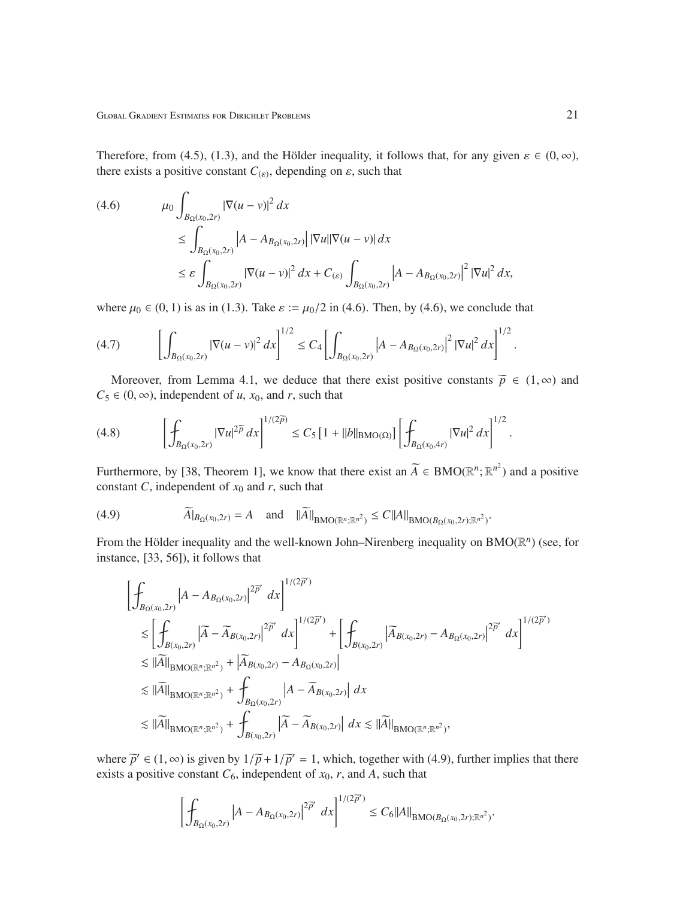Therefore, from (4.5), (1.3), and the Hölder inequality, it follows that, for any given  $\varepsilon \in (0, \infty)$ , there exists a positive constant  $C_{(\varepsilon)}$ , depending on  $\varepsilon$ , such that

$$
(4.6) \qquad \mu_0 \int_{B_{\Omega}(x_0, 2r)} |\nabla (u - v)|^2 dx
$$
  
\n
$$
\leq \int_{B_{\Omega}(x_0, 2r)} |A - A_{B_{\Omega}(x_0, 2r)}| |\nabla u|| \nabla (u - v)| dx
$$
  
\n
$$
\leq \varepsilon \int_{B_{\Omega}(x_0, 2r)} |\nabla (u - v)|^2 dx + C_{\varepsilon} \int_{B_{\Omega}(x_0, 2r)} |A - A_{B_{\Omega}(x_0, 2r)}|^2 |\nabla u|^2 dx,
$$

where  $\mu_0 \in (0, 1)$  is as in (1.3). Take  $\varepsilon := \mu_0/2$  in (4.6). Then, by (4.6), we conclude that

$$
(4.7) \qquad \left[ \int_{B_{\Omega}(x_0,2r)} |\nabla (u-v)|^2\,dx \right]^{1/2} \le C_4 \left[ \int_{B_{\Omega}(x_0,2r)} \left| A-A_{B_{\Omega}(x_0,2r)} \right|^2 |\nabla u|^2\,dx \right]^{1/2}.
$$

Moreover, from Lemma 4.1, we deduce that there exist positive constants  $\tilde{p} \in (1, \infty)$  and  $C_5 \in (0, \infty)$ , independent of *u*, *x*<sub>0</sub>, and *r*, such that

$$
(4.8)\qquad \left[\int_{B_{\Omega}(x_0,2r)} |\nabla u|^{2\widetilde{p}} dx\right]^{1/(2\widetilde{p})} \leq C_5 \left[1 + ||b||_{\text{BMO}(\Omega)}\right] \left[\int_{B_{\Omega}(x_0,4r)} |\nabla u|^2 dx\right]^{1/2}.
$$

Furthermore, by [38, Theorem 1], we know that there exist an  $\widetilde{A} \in BMO(\mathbb{R}^n; \mathbb{R}^{n^2})$  and a positive constant *C*, independent of  $x_0$  and *r*, such that

(4.9) 
$$
\widetilde{A}|_{B_{\Omega}(x_0,2r)} = A \quad \text{and} \quad ||\widetilde{A}||_{\text{BMO}(\mathbb{R}^n;\mathbb{R}^{n^2})} \leq C||A||_{\text{BMO}(B_{\Omega}(x_0,2r);\mathbb{R}^{n^2})}.
$$

From the Hölder inequality and the well-known John–Nirenberg inequality on BMO( $\mathbb{R}^n$ ) (see, for instance, [33, 56]), it follows that

$$
\begin{split}\n&\left[\int_{B_{\Omega}(x_0,2r)} \left| A - A_{B_{\Omega}(x_0,2r)} \right|^{2\overline{\rho}'} dx \right]^{1/(2\overline{\rho}')} \\
&\lesssim \left[ \int_{B(x_0,2r)} \left| \widetilde{A} - \widetilde{A}_{B(x_0,2r)} \right|^{2\overline{\rho}'} dx \right]^{1/(2\overline{\rho}')} + \left[ \int_{B(x_0,2r)} \left| \widetilde{A}_{B(x_0,2r)} - A_{B_{\Omega}(x_0,2r)} \right|^{2\overline{\rho}'} dx \right]^{1/(2\overline{\rho}')} \\
&\lesssim ||\widetilde{A}||_{\text{BMO}(\mathbb{R}^n;\mathbb{R}^{n^2})} + |\widetilde{A}_{B(x_0,2r)} - A_{B_{\Omega}(x_0,2r)}| \\
&\lesssim ||\widetilde{A}||_{\text{BMO}(\mathbb{R}^n;\mathbb{R}^{n^2})} + \int_{B_{\Omega}(x_0,2r)} \left| A - \widetilde{A}_{B(x_0,2r)} \right| dx \\
&\lesssim ||\widetilde{A}||_{\text{BMO}(\mathbb{R}^n;\mathbb{R}^{n^2})} + \int_{B(x_0,2r)} \left| \widetilde{A} - \widetilde{A}_{B(x_0,2r)} \right| dx \lesssim ||\widetilde{A}||_{\text{BMO}(\mathbb{R}^n;\mathbb{R}^{n^2})},\n\end{split}
$$

where  $\overline{p}' \in (1, \infty)$  is given by  $1/\overline{p} + 1/\overline{p}' = 1$ , which, together with (4.9), further implies that there exists a positive constant  $C_6$ , independent of  $x_0$ ,  $r$ , and  $A$ , such that

$$
\left[\int_{B_{\Omega}(x_0,2r)}\left|A-A_{B_{\Omega}(x_0,2r)}\right|^{2\overline{p}'}\,dx\right]^{1/(2\overline{p}')}\leq C_6\|A\|_{{\rm BMO}(B_{\Omega}(x_0,2r);\mathbb{R}^{n^2})}.
$$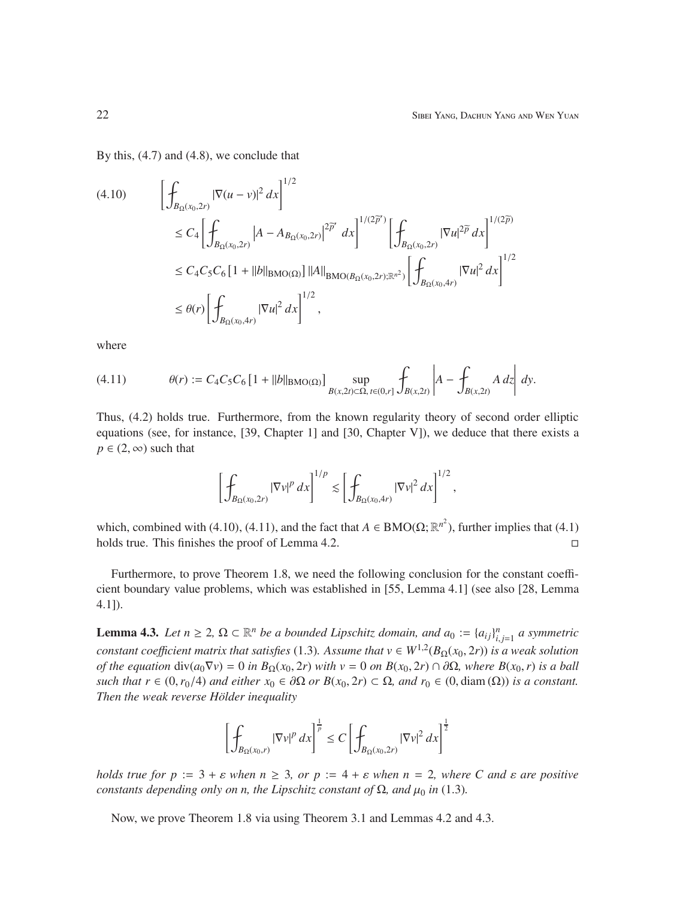By this, (4.7) and (4.8), we conclude that

$$
(4.10) \qquad \left[\int_{B_{\Omega}(x_0,2r)} |\nabla(u-v)|^2 dx\right]^{1/2} \n\leq C_4 \left[\int_{B_{\Omega}(x_0,2r)} |A-A_{B_{\Omega}(x_0,2r)}|^{2\overline{\rho}'} dx\right]^{1/(2\overline{\rho}')} \left[\int_{B_{\Omega}(x_0,2r)} |\nabla u|^{2\overline{\rho}} dx\right]^{1/(2\overline{\rho})} \n\leq C_4 C_5 C_6 \left[1+||b||_{\text{BMO}(\Omega)}\right] ||A||_{\text{BMO}(B_{\Omega}(x_0,2r);\mathbb{R}^{n^2})} \left[\int_{B_{\Omega}(x_0,4r)} |\nabla u|^2 dx\right]^{1/2} \n\leq \theta(r) \left[\int_{B_{\Omega}(x_0,4r)} |\nabla u|^2 dx\right]^{1/2},
$$

where

(4.11) 
$$
\theta(r) := C_4 C_5 C_6 \left[ 1 + ||b||_{\text{BMO}(\Omega)} \right] \sup_{B(x, 2t) \subset \Omega, t \in (0, r]} \int_{B(x, 2t)} \left| A - \int_{B(x, 2t)} A \, dz \right| \, dy.
$$

Thus, (4.2) holds true. Furthermore, from the known regularity theory of second order elliptic equations (see, for instance, [39, Chapter 1] and [30, Chapter V]), we deduce that there exists a  $p \in (2, \infty)$  such that

$$
\left[\int_{B_{\Omega}(x_0,2r)}|\nabla v|^p\,dx\right]^{1/p}\lesssim \left[\int_{B_{\Omega}(x_0,4r)}|\nabla v|^2\,dx\right]^{1/2},
$$

which, combined with (4.10), (4.11), and the fact that  $A \in BMO(\Omega; \mathbb{R}^{n^2})$ , further implies that (4.1) holds true. This finishes the proof of Lemma 4.2.

Furthermore, to prove Theorem 1.8, we need the following conclusion for the constant coefficient boundary value problems, which was established in [55, Lemma 4.1] (see also [28, Lemma 4.1]).

**Lemma 4.3.** *Let*  $n \geq 2$ ,  $\Omega \subset \mathbb{R}^n$  *be a bounded Lipschitz domain, and*  $a_0 := \{a_{ij}\}_{i,j=1}^n$  *a symmetric constant coefficient matrix that satisfies* (1.3). Assume that  $v \in W^{1,2}(B_{\Omega}(x_0, 2r))$  is a weak solution *of the equation* div( $a_0∇v$ ) = 0 *in*  $B_Ω(x_0, 2r)$  *with*  $v = 0$  *on*  $B(x_0, 2r) ∩ ∂Ω$ *, where*  $B(x_0, r)$  *is a ball such that*  $r \in (0, r_0/4)$  *and either*  $x_0 \in \partial\Omega$  *or*  $B(x_0, 2r) \subset \Omega$ *, and*  $r_0 \in (0, \text{diam}(\Omega))$  *is a constant. Then the weak reverse Hölder inequality* 

$$
\left[\int_{B_{\Omega}(x_0,r)}|\nabla v|^p\,dx\right]^{\frac{1}{p}}\leq C\left[\int_{B_{\Omega}(x_0,2r)}|\nabla v|^2\,dx\right]^{\frac{1}{2}}
$$

*holds true for p* :=  $3 + \varepsilon$  *when*  $n \geq 3$ *, or p* :=  $4 + \varepsilon$  *when*  $n = 2$ *, where C and*  $\varepsilon$  *are positive constants depending only on n, the Lipschitz constant of*  $\Omega$ *, and*  $\mu_0$  *in* (1.3)*.* 

Now, we prove Theorem 1.8 via using Theorem 3.1 and Lemmas 4.2 and 4.3.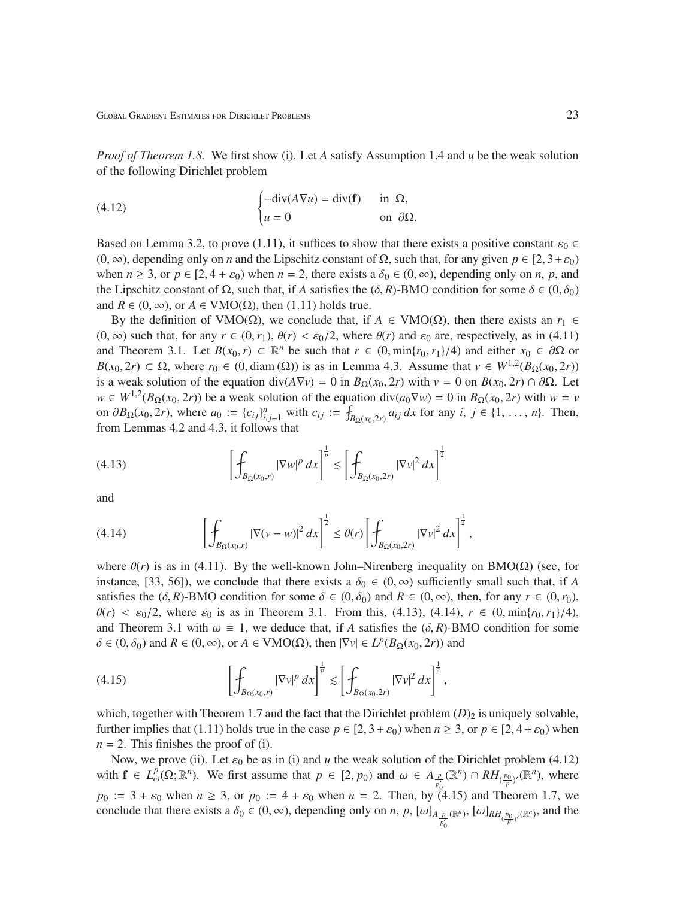*Proof of Theorem 1.8.* We first show (i). Let *A* satisfy Assumption 1.4 and *u* be the weak solution of the following Dirichlet problem

(4.12) 
$$
\begin{cases} -\operatorname{div}(A\nabla u) = \operatorname{div}(\mathbf{f}) & \text{in } \Omega, \\ u = 0 & \text{on } \partial\Omega. \end{cases}
$$

Based on Lemma 3.2, to prove (1.11), it suffices to show that there exists a positive constant  $\varepsilon_0 \in$ (0, ∞), depending only on *n* and the Lipschitz constant of Ω, such that, for any given  $p \in [2, 3 + \varepsilon_0)$ when  $n \ge 3$ , or  $p \in [2, 4 + \varepsilon_0)$  when  $n = 2$ , there exists a  $\delta_0 \in (0, \infty)$ , depending only on *n*, *p*, and the Lipschitz constant of  $\Omega$ , such that, if *A* satisfies the ( $\delta$ , *R*)-BMO condition for some  $\delta \in (0, \delta_0)$ and  $R \in (0, \infty)$ , or  $A \in VMO(\Omega)$ , then (1.11) holds true.

By the definition of VMO(Ω), we conclude that, if  $A \in VMO(\Omega)$ , then there exists an  $r_1 \in$  $(0, \infty)$  such that, for any  $r \in (0, r_1)$ ,  $\theta(r) < \varepsilon_0/2$ , where  $\theta(r)$  and  $\varepsilon_0$  are, respectively, as in (4.11) and Theorem 3.1. Let  $B(x_0, r) \subset \mathbb{R}^n$  be such that  $r \in (0, \min\{r_0, r_1\}/4)$  and either  $x_0 \in \partial\Omega$  or  $B(x_0, 2r) \subset \Omega$ , where  $r_0 \in (0, \text{diam}(\Omega))$  is as in Lemma 4.3. Assume that  $v \in W^{1,2}(B_{\Omega}(x_0, 2r))$ is a weak solution of the equation div( $A\nabla v$ ) = 0 in  $B_{\Omega}(x_0, 2r)$  with  $v = 0$  on  $B(x_0, 2r) \cap \partial \Omega$ . Let  $w \in W^{1,2}(B_{\Omega}(x_0, 2r))$  be a weak solution of the equation div( $a_0 \nabla w$ ) = 0 in  $B_{\Omega}(x_0, 2r)$  with  $w = v$ on  $\partial B_{\Omega}(x_0, 2r)$ , where  $a_0 := \{c_{ij}\}_{i,j=1}^n$  with  $c_{ij} := \int_{B_{\Omega}(x_0, 2r)} a_{ij} dx$  for any  $i, j \in \{1, ..., n\}$ . Then, from Lemmas 4.2 and 4.3, it follows that

(4.13) 
$$
\left[\int_{B_{\Omega}(x_0,r)} |\nabla w|^p dx\right]^{\frac{1}{p}} \lesssim \left[\int_{B_{\Omega}(x_0,2r)} |\nabla v|^2 dx\right]^{\frac{1}{2}}
$$

and

(4.14) 
$$
\left[\int_{B_{\Omega}(x_0,r)} |\nabla(v-w)|^2 dx\right]^{\frac{1}{2}} \leq \theta(r) \left[\int_{B_{\Omega}(x_0,2r)} |\nabla v|^2 dx\right]^{\frac{1}{2}},
$$

where  $\theta(r)$  is as in (4.11). By the well-known John–Nirenberg inequality on BMO( $\Omega$ ) (see, for instance, [33, 56]), we conclude that there exists a  $\delta_0 \in (0, \infty)$  sufficiently small such that, if *A* satisfies the  $(\delta, R)$ -BMO condition for some  $\delta \in (0, \delta_0)$  and  $R \in (0, \infty)$ , then, for any  $r \in (0, r_0)$ ,  $\theta(r) < \varepsilon_0/2$ , where  $\varepsilon_0$  is as in Theorem 3.1. From this, (4.13), (4.14),  $r \in (0, \min\{r_0, r_1\}/4)$ , and Theorem 3.1 with  $\omega \equiv 1$ , we deduce that, if *A* satisfies the  $(\delta, R)$ -BMO condition for some  $\delta \in (0, \delta_0)$  and  $R \in (0, \infty)$ , or  $A \in VMO(\Omega)$ , then  $|\nabla v| \in L^p(B_{\Omega}(x_0, 2r))$  and

(4.15) 
$$
\left[\int_{B_{\Omega}(x_0,r)} |\nabla v|^p dx\right]^{\frac{1}{p}} \lesssim \left[\int_{B_{\Omega}(x_0,2r)} |\nabla v|^2 dx\right]^{\frac{1}{2}},
$$

which, together with Theorem 1.7 and the fact that the Dirichlet problem  $(D)_2$  is uniquely solvable, further implies that (1.11) holds true in the case  $p \in [2, 3 + \varepsilon_0)$  when  $n \ge 3$ , or  $p \in [2, 4 + \varepsilon_0)$  when  $n = 2$ . This finishes the proof of (i).

Now, we prove (ii). Let  $\varepsilon_0$  be as in (i) and *u* the weak solution of the Dirichlet problem (4.12) with  $f \in L^p_\omega(\Omega; \mathbb{R}^n)$ . We first assume that  $p \in [2, p_0)$  and  $\omega \in A_{\frac{p}{p'_0}}(\mathbb{R}^n) \cap RH_{(\frac{p_0}{p})'}(\mathbb{R}^n)$ , where  $p_0 := 3 + \varepsilon_0$  when  $n \ge 3$ , or  $p_0 := 4 + \varepsilon_0$  when  $n = 2$ . Then, by (4.15) and Theorem 1.7, we conclude that there exists a  $\delta_0 \in (0, \infty)$ , depending only on *n*, *p*,  $[\omega]_{A_{\frac{p}{p'_0}}}$  $(\mathbb{R}^n)$ ,  $[\omega]_{RH_{(\frac{p_0}{p})'}(\mathbb{R}^n)}$ , and the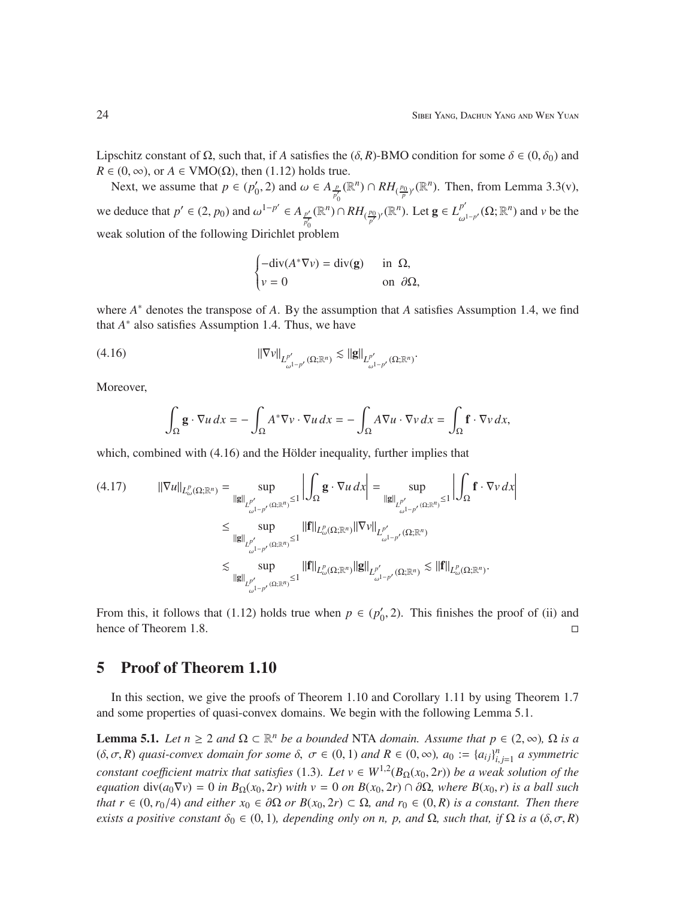Lipschitz constant of  $\Omega$ , such that, if *A* satisfies the  $(\delta, R)$ -BMO condition for some  $\delta \in (0, \delta_0)$  and  $R \in (0, \infty)$ , or  $A \in VMO(\Omega)$ , then (1.12) holds true.

Next, we assume that  $p \in (p'_0)$  $'_{0}$ , 2) and  $ω ∈ A_{\frac{p}{p_{0}}}(ℝ^{n}) ∩ RH_{(\frac{p_{0}}{p})'}(ℝ^{n})$ . Then, from Lemma 3.3(v),  $\boldsymbol{0}$ we deduce that  $p' \in (2, p_0)$  and  $\omega^{1-p'} \in A_{p'}$ *p* ′ 0  $(\mathbb{R}^n) \cap RH_{(\frac{p_0}{p'})'}(\mathbb{R}^n)$ . Let  $\mathbf{g} \in L^{p'}_{\omega}$  $_{\omega^{1-p'}}^{p'}(\Omega;\mathbb{R}^n)$  and *v* be the weak solution of the following Dirichlet problem

$$
\begin{cases}\n-\text{div}(A^*\nabla v) = \text{div}(\mathbf{g}) & \text{in } \Omega, \\
v = 0 & \text{on } \partial\Omega,\n\end{cases}
$$

where *A* <sup>∗</sup> denotes the transpose of *A*. By the assumption that *A* satisfies Assumption 1.4, we find that  $A^*$  also satisfies Assumption 1.4. Thus, we have

(4.16) 
$$
\|\nabla v\|_{L^{p'}_{\omega^{1-p'}}(\Omega;\mathbb{R}^n)} \lesssim \|g\|_{L^{p'}_{\omega^{1-p'}}(\Omega;\mathbb{R}^n)}.
$$

Moreover,

$$
\int_{\Omega} \mathbf{g} \cdot \nabla u \, dx = -\int_{\Omega} A^* \nabla v \cdot \nabla u \, dx = -\int_{\Omega} A \nabla u \cdot \nabla v \, dx = \int_{\Omega} \mathbf{f} \cdot \nabla v \, dx,
$$

which, combined with  $(4.16)$  and the Hölder inequality, further implies that

$$
(4.17) \qquad ||\nabla u||_{L^{p}_{\omega}(\Omega;\mathbb{R}^{n})} = \sup_{\|\mathbf{g}\|_{L^{p'}_{\omega^{1-p'}}(\Omega;\mathbb{R}^{n})} \leq 1} \left| \int_{\Omega} \mathbf{g} \cdot \nabla u \, dx \right| = \sup_{\|\mathbf{g}\|_{L^{p'}_{\omega^{1-p'}}(\Omega;\mathbb{R}^{n})} \leq 1} \left| \int_{\Omega} \mathbf{f} \cdot \nabla v \, dx \right|
$$

$$
\leq \sup_{\|\mathbf{g}\|_{L^{p'}_{\omega^{1-p'}}(\Omega;\mathbb{R}^{n})} \leq 1} ||\mathbf{f}||_{L^{p}_{\omega}(\Omega;\mathbb{R}^{n})} ||\nabla v||_{L^{p'}_{\omega^{1-p'}}(\Omega;\mathbb{R}^{n})}
$$

$$
\lesssim \sup_{\|\mathbf{g}\|_{L^{p'}_{\omega^{1-p'}}(\Omega;\mathbb{R}^{n})} \leq 1} ||\mathbf{f}||_{L^{p}_{\omega}(\Omega;\mathbb{R}^{n})} ||\mathbf{g}||_{L^{p'}_{\omega^{1-p'}}(\Omega;\mathbb{R}^{n})} \lesssim ||\mathbf{f}||_{L^{p}_{\omega}(\Omega;\mathbb{R}^{n})}.
$$

From this, it follows that (1.12) holds true when  $p \in (p'_0)$  $v_0$ , 2). This finishes the proof of (ii) and hence of Theorem 1.8.

## 5 Proof of Theorem 1.10

In this section, we give the proofs of Theorem 1.10 and Corollary 1.11 by using Theorem 1.7 and some properties of quasi-convex domains. We begin with the following Lemma 5.1.

**Lemma 5.1.** *Let*  $n \geq 2$  *and*  $\Omega \subset \mathbb{R}^n$  *be a bounded* NTA *domain. Assume that*  $p \in (2, \infty)$ *,*  $\Omega$  *is a* (δ, σ, R) *quasi-convex domain for some* δ,  $σ ∈ (0, 1)$  *and*  $R ∈ (0, ∞)$ ,  $a_0 := {a_{ij}}_{i,j=1}^n$  *a symmetric constant coefficient matrix that satisfies* (1.3). Let  $v \in W^{1,2}(B_{\Omega}(x_0, 2r))$  be a weak solution of the *equation* div( $a_0∇ν$ ) = 0 *in*  $B_Ω(x_0, 2r)$  *with*  $ν$  = 0 *on*  $B(x_0, 2r) ∩ ∂Ω$ *, where*  $B(x_0, r)$  *is a ball such that*  $r \in (0, r_0/4)$  *and either*  $x_0 \in \partial\Omega$  *or*  $B(x_0, 2r) \subset \Omega$ *, and*  $r_0 \in (0, R)$  *is a constant. Then there exists a positive constant*  $\delta_0 \in (0, 1)$ *, depending only on n, p, and*  $\Omega$ *, such that, if*  $\Omega$  *is a*  $(\delta, \sigma, R)$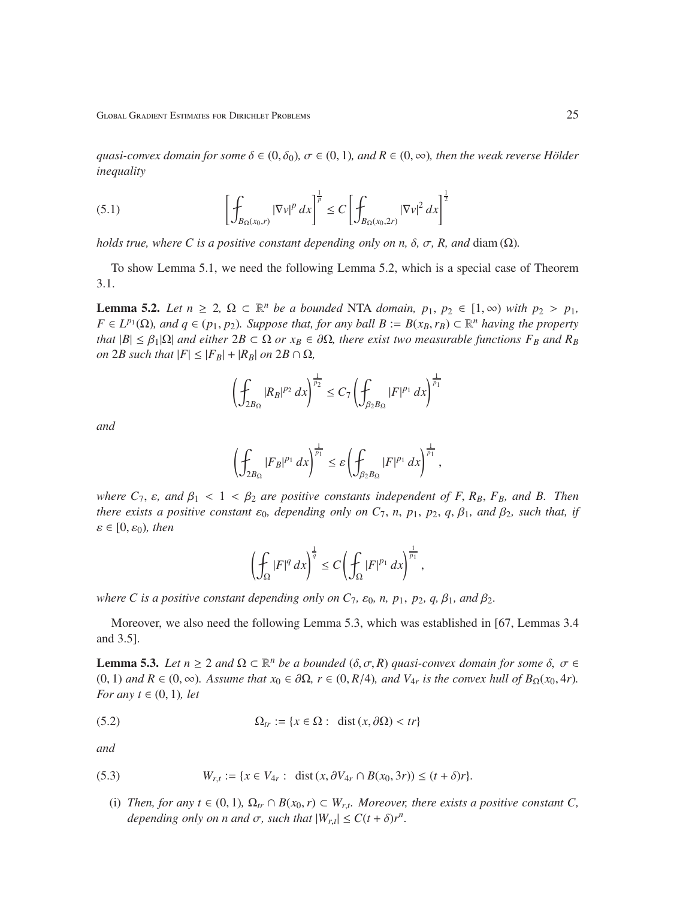Global Gradient Estimates for Dirichlet Problems 25

*quasi-convex domain for some*  $\delta \in (0, \delta_0)$ ,  $\sigma \in (0, 1)$ *, and*  $R \in (0, \infty)$ *, then the weak reverse Hölder inequality*

(5.1) 
$$
\left[\int_{B_{\Omega}(x_0,r)} |\nabla v|^p dx\right]^{\frac{1}{p}} \leq C \left[\int_{B_{\Omega}(x_0,2r)} |\nabla v|^2 dx\right]^{\frac{1}{2}}
$$

*holds true, where C is a positive constant depending only on n,*  $\delta$ *,*  $\sigma$ *, R, and diam (* $\Omega$ *).* 

To show Lemma 5.1, we need the following Lemma 5.2, which is a special case of Theorem 3.1.

**Lemma 5.2.** Let  $n \geq 2$ ,  $\Omega \subset \mathbb{R}^n$  be a bounded NTA domain,  $p_1, p_2 \in [1, \infty)$  with  $p_2 > p_1$ ,  $F \in L^{p_1}(\Omega)$ , and  $q \in (p_1, p_2)$ . Suppose that, for any ball  $B := B(x_B, r_B) \subset \mathbb{R}^n$  having the property *that*  $|B| \leq \beta_1 |\Omega|$  *and either*  $2B \subset \Omega$  *or*  $x_B \in \partial \Omega$ *, there exist two measurable functions*  $F_B$  *and*  $R_B$ *on* 2*B such that*  $|F| \leq |F_B| + |R_B|$  *on* 2*B*  $\cap \Omega$ *,* 

$$
\left(\oint_{2B_{\Omega}} |R_B|^{p_2} \, dx\right)^{\frac{1}{p_2}} \le C_7 \left(\oint_{\beta_2 B_{\Omega}} |F|^{p_1} \, dx\right)^{\frac{1}{p_1}}
$$

*and*

$$
\left(\oint_{2B_{\Omega}}|F_B|^{p_1} dx\right)^{\frac{1}{p_1}} \leq \varepsilon \left(\oint_{\beta_2 B_{\Omega}}|F|^{p_1} dx\right)^{\frac{1}{p_1}},
$$

*where*  $C_7$ ,  $\varepsilon$ , and  $\beta_1 < 1 < \beta_2$  are positive constants independent of F,  $R_B$ ,  $F_B$ , and B. Then *there exists a positive constant*  $\varepsilon_0$ *, depending only on*  $C_7$ *, n, p<sub>1</sub>, p<sub>2</sub>, q,*  $\beta_1$ *<i>, and*  $\beta_2$ *, such that, if*  $\varepsilon \in [0, \varepsilon_0)$ , then

$$
\left(\oint_{\Omega} |F|^q dx\right)^{\frac{1}{q}} \leq C \left(\oint_{\Omega} |F|^{p_1} dx\right)^{\frac{1}{p_1}},
$$

*where C is a positive constant depending only on*  $C_7$ *,*  $\varepsilon_0$ *, n,*  $p_1$ *,*  $p_2$ *,*  $q$ *,*  $\beta_1$ *, and*  $\beta_2$ *.* 

Moreover, we also need the following Lemma 5.3, which was established in [67, Lemmas 3.4 and 3.5].

**Lemma 5.3.** Let  $n \geq 2$  and  $\Omega \subset \mathbb{R}^n$  be a bounded  $(\delta, \sigma, R)$  quasi-convex domain for some  $\delta, \sigma \in \mathbb{R}^n$ (0, 1) and  $R \in (0, ∞)$ . Assume that  $x_0 \in \partial \Omega$ ,  $r \in (0, R/4)$ , and  $V_{4r}$  is the convex hull of  $B_{\Omega}(x_0, 4r)$ . *For any*  $t \in (0, 1)$ *, let* 

(5.2) 
$$
\Omega_{tr} := \{x \in \Omega : \text{ dist}(x, \partial \Omega) < tr\}
$$

*and*

(5.3) 
$$
W_{r,t} := \{x \in V_{4r} : \text{ dist}(x, \partial V_{4r} \cap B(x_0, 3r)) \le (t + \delta)r\}.
$$

(i) *Then, for any t*  $\in$  (0, 1),  $\Omega_{tr} \cap B(x_0, r) \subset W_{r,t}$ *. Moreover, there exists a positive constant C*, *depending only on n and*  $\sigma$ *, such that*  $|W_{r,t}| \leq C(t+\delta)r^n$ *.*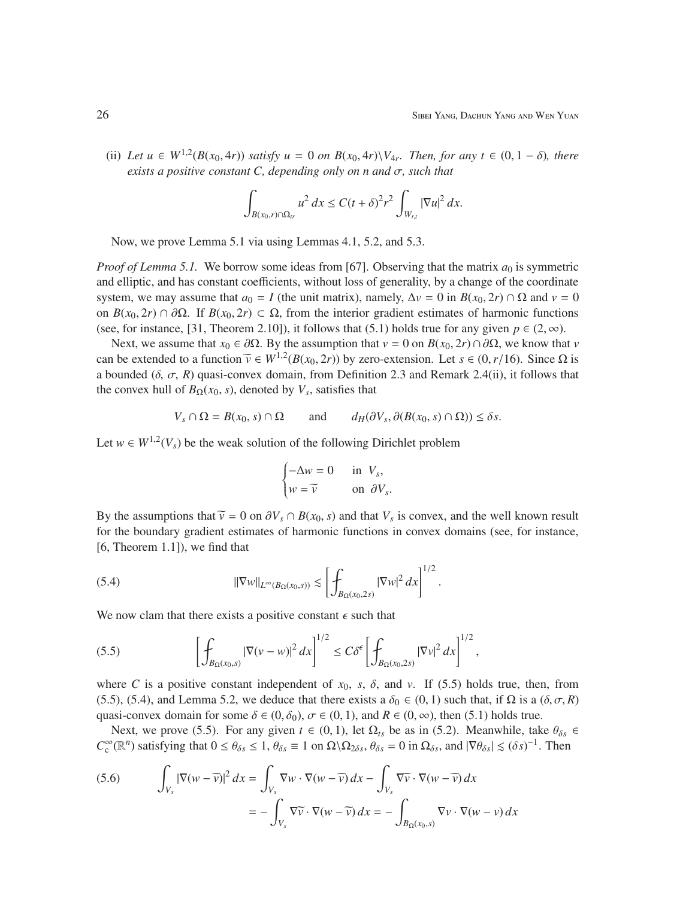(ii) Let  $u \in W^{1,2}(B(x_0, 4r))$  *satisfy*  $u = 0$  *on*  $B(x_0, 4r) \setminus V_{4r}$ *. Then, for any*  $t \in (0, 1 - \delta)$ *, there exists a positive constant C, depending only on n and* σ*, such that*

$$
\int_{B(x_0,r)\cap\Omega_{tr}}u^2\,dx\leq C(t+\delta)^2r^2\int_{W_{r,t}}|\nabla u|^2\,dx.
$$

Now, we prove Lemma 5.1 via using Lemmas 4.1, 5.2, and 5.3.

*Proof of Lemma 5.1.* We borrow some ideas from [67]. Observing that the matrix  $a_0$  is symmetric and elliptic, and has constant coefficients, without loss of generality, by a change of the coordinate system, we may assume that  $a_0 = I$  (the unit matrix), namely,  $\Delta v = 0$  in  $B(x_0, 2r) \cap \Omega$  and  $v = 0$ on  $B(x_0, 2r) \cap \partial \Omega$ . If  $B(x_0, 2r) \subset \Omega$ , from the interior gradient estimates of harmonic functions (see, for instance, [31, Theorem 2.10]), it follows that (5.1) holds true for any given  $p \in (2, \infty)$ .

Next, we assume that *x*<sup>0</sup> ∈ ∂Ω. By the assumption that *v* = 0 on *B*(*x*<sub>0</sub>, 2*r*) ∩∂Ω, we know that *v* can be extended to a function  $\tilde{v} \in W^{1,2}(B(x_0, 2r))$  by zero-extension. Let  $s \in (0, r/16)$ . Since  $\Omega$  is a bounded  $(\delta, \sigma, R)$  quasi-convex domain, from Definition 2.3 and Remark 2.4(ii), it follows that the convex hull of  $B_{\Omega}(x_0, s)$ , denoted by  $V_s$ , satisfies that

$$
V_s \cap \Omega = B(x_0, s) \cap \Omega \quad \text{and} \quad d_H(\partial V_s, \partial(B(x_0, s) \cap \Omega)) \le \delta s.
$$

Let  $w \in W^{1,2}(V_s)$  be the weak solution of the following Dirichlet problem

$$
\begin{cases}\n-\Delta w = 0 & \text{in } V_s, \\
w = \widetilde{v} & \text{on } \partial V_s.\n\end{cases}
$$

By the assumptions that  $\tilde{v} = 0$  on  $\partial V_s \cap B(x_0, s)$  and that  $V_s$  is convex, and the well known result for the boundary gradient estimates of harmonic functions in convex domains (see, for instance, [6, Theorem 1.1]), we find that

(5.4) 
$$
\|\nabla w\|_{L^{\infty}(B_{\Omega}(x_0,s))} \lesssim \left[\int_{B_{\Omega}(x_0,2s)} |\nabla w|^2 dx\right]^{1/2}.
$$

We now clam that there exists a positive constant  $\epsilon$  such that

(5.5) 
$$
\left[\int_{B_{\Omega}(x_0,s)} |\nabla(v-w)|^2 dx\right]^{1/2} \leq C\delta^{\epsilon} \left[\int_{B_{\Omega}(x_0,2s)} |\nabla v|^2 dx\right]^{1/2},
$$

where *C* is a positive constant independent of  $x_0$ ,  $s$ ,  $\delta$ , and  $v$ . If (5.5) holds true, then, from (5.5), (5.4), and Lemma 5.2, we deduce that there exists a  $\delta_0 \in (0, 1)$  such that, if  $\Omega$  is a  $(\delta, \sigma, R)$ quasi-convex domain for some  $\delta \in (0, \delta_0)$ ,  $\sigma \in (0, 1)$ , and  $R \in (0, \infty)$ , then (5.1) holds true.

Next, we prove (5.5). For any given  $t \in (0, 1)$ , let  $\Omega_{ts}$  be as in (5.2). Meanwhile, take  $\theta_{\delta s} \in$  $C_c^{\infty}(\mathbb{R}^n)$  satisfying that  $0 \le \theta_{\delta s} \le 1$ ,  $\theta_{\delta s} \equiv 1$  on  $\Omega \setminus \Omega_{2\delta s}$ ,  $\theta_{\delta s} = 0$  in  $\Omega_{\delta s}$ , and  $|\nabla \theta_{\delta s}| \le (\delta s)^{-1}$ . Then

(5.6) 
$$
\int_{V_s} |\nabla (w - \widetilde{v})|^2 dx = \int_{V_s} \nabla w \cdot \nabla (w - \widetilde{v}) dx - \int_{V_s} \nabla \widetilde{v} \cdot \nabla (w - \widetilde{v}) dx
$$

$$
= - \int_{V_s} \nabla \widetilde{v} \cdot \nabla (w - \widetilde{v}) dx = - \int_{B_{\Omega}(x_0, s)} \nabla v \cdot \nabla (w - v) dx
$$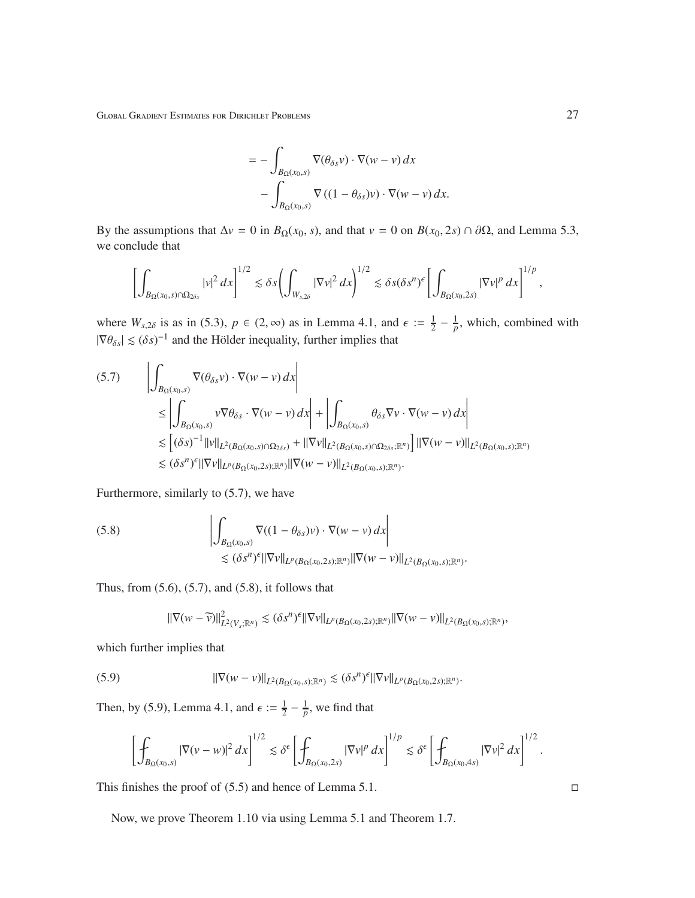Global Gradient Estimates for Dirichlet Problems 27

$$
= -\int_{B_{\Omega}(x_0,s)} \nabla(\theta_{\delta s} \nu) \cdot \nabla(w - v) dx - \int_{B_{\Omega}(x_0,s)} \nabla ((1 - \theta_{\delta s}) \nu) \cdot \nabla(w - v) dx.
$$

By the assumptions that  $\Delta v = 0$  in *B*<sub>Ω</sub>(*x*<sub>0</sub>, *s*), and that  $v = 0$  on *B*(*x*<sub>0</sub>, 2*s*) ∩ ∂Ω, and Lemma 5.3, we conclude that

$$
\left[\int_{B_{\Omega}(x_0,s)\cap\Omega_{2\delta s}}|v|^2\,dx\right]^{1/2}\lesssim \delta s\left(\int_{W_{s,2\delta}}|\nabla v|^2\,dx\right)^{1/2}\lesssim \delta s(\delta s^n)^{\epsilon}\left[\int_{B_{\Omega}(x_0,2s)}|\nabla v|^p\,dx\right]^{1/p},
$$

where  $W_{s,2\delta}$  is as in (5.3),  $p \in (2,\infty)$  as in Lemma 4.1, and  $\epsilon := \frac{1}{2}$  $rac{1}{2} - \frac{1}{p}$  $\frac{1}{p}$ , which, combined with  $|\nabla \theta_{\delta s}| \lesssim (\delta s)^{-1}$  and the Hölder inequality, further implies that

$$
(5.7) \qquad \left| \int_{B_{\Omega}(x_0,s)} \nabla(\theta_{\delta s} \nu) \cdot \nabla(w - \nu) \, dx \right|
$$
  
\n
$$
\leq \left| \int_{B_{\Omega}(x_0,s)} \nu \nabla \theta_{\delta s} \cdot \nabla(w - \nu) \, dx \right| + \left| \int_{B_{\Omega}(x_0,s)} \theta_{\delta s} \nabla \nu \cdot \nabla(w - \nu) \, dx \right|
$$
  
\n
$$
\lesssim \left[ (\delta s)^{-1} ||\nu||_{L^2(B_{\Omega}(x_0,s) \cap \Omega_{2\delta s})} + ||\nabla \nu||_{L^2(B_{\Omega}(x_0,s) \cap \Omega_{2\delta s}; \mathbb{R}^n)} \right] ||\nabla(w - \nu)||_{L^2(B_{\Omega}(x_0,s); \mathbb{R}^n)}
$$
  
\n
$$
\lesssim (\delta s^n)^{\epsilon} ||\nabla \nu||_{L^p(B_{\Omega}(x_0,2s); \mathbb{R}^n)} ||\nabla(w - \nu)||_{L^2(B_{\Omega}(x_0,s); \mathbb{R}^n)}.
$$

Furthermore, similarly to (5.7), we have

(5.8) 
$$
\left| \int_{B_{\Omega}(x_0,s)} \nabla ((1-\theta_{\delta s})v) \cdot \nabla (w-v) dx \right|
$$
  
 
$$
\lesssim (\delta s^n)^{\epsilon} ||\nabla v||_{L^p(B_{\Omega}(x_0,2s);{\mathbb R}^n)} ||\nabla (w-v)||_{L^2(B_{\Omega}(x_0,s);{\mathbb R}^n)}.
$$

Thus, from  $(5.6)$ ,  $(5.7)$ , and  $(5.8)$ , it follows that

$$
\|\nabla(w-\widetilde{v})\|_{L^2(V_s;\mathbb{R}^n)}^2 \lesssim (\delta s^n)^{\epsilon} \|\nabla v\|_{L^p(B_{\Omega}(x_0,2s);\mathbb{R}^n)} \|\nabla(w-v)\|_{L^2(B_{\Omega}(x_0,s);\mathbb{R}^n)},
$$

which further implies that

$$
(5.9) \t\t ||\nabla(w-v)||_{L^2(B_{\Omega}(x_0,s);\mathbb{R}^n)} \lesssim (\delta s^n)^{\epsilon} ||\nabla v||_{L^p(B_{\Omega}(x_0,2s);\mathbb{R}^n)}.
$$

Then, by (5.9), Lemma 4.1, and  $\epsilon := \frac{1}{2}$  $rac{1}{2} - \frac{1}{p}$  $\frac{1}{p}$ , we find that

$$
\left[\int_{B_{\Omega}(x_0,s)}|\nabla(v-w)|^2\,dx\right]^{1/2}\lesssim \delta^{\epsilon}\left[\int_{B_{\Omega}(x_0,2s)}|\nabla v|^p\,dx\right]^{1/p}\lesssim \delta^{\epsilon}\left[\int_{B_{\Omega}(x_0,4s)}|\nabla v|^2\,dx\right]^{1/2}.
$$

This finishes the proof of  $(5.5)$  and hence of Lemma 5.1.

Now, we prove Theorem 1.10 via using Lemma 5.1 and Theorem 1.7.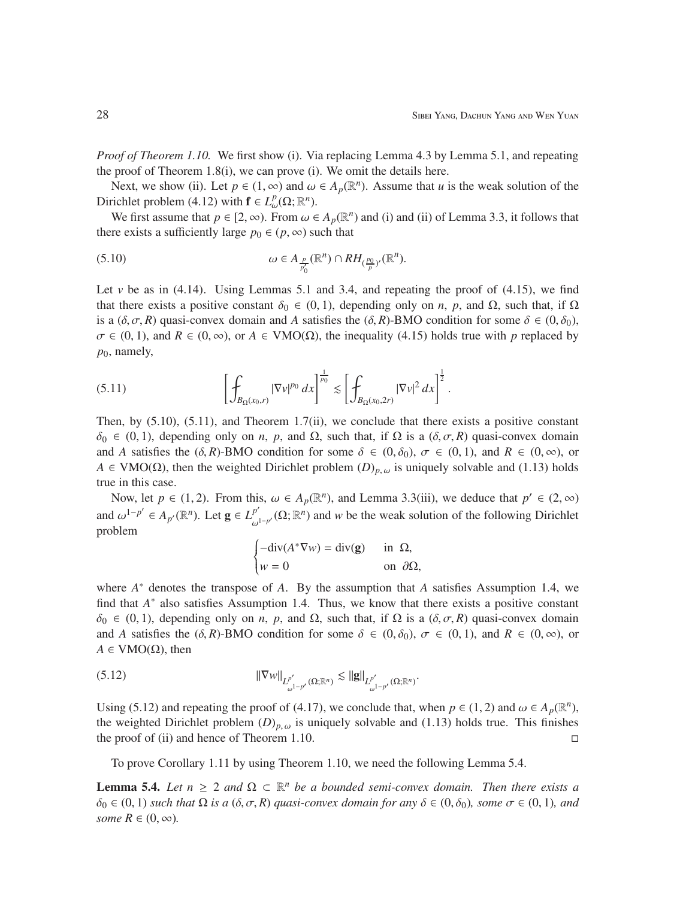*Proof of Theorem 1.10.* We first show (i). Via replacing Lemma 4.3 by Lemma 5.1, and repeating the proof of Theorem 1.8(i), we can prove (i). We omit the details here.

Next, we show (ii). Let  $p \in (1, \infty)$  and  $\omega \in A_p(\mathbb{R}^n)$ . Assume that *u* is the weak solution of the Dirichlet problem (4.12) with  $\mathbf{f} \in L^p_\omega(\Omega; \mathbb{R}^n)$ .

We first assume that  $p \in [2, \infty)$ . From  $\omega \in A_p(\mathbb{R}^n)$  and (i) and (ii) of Lemma 3.3, it follows that there exists a sufficiently large  $p_0 \in (p, \infty)$  such that

$$
\omega \in A_{\frac{p}{p'_0}}(\mathbb{R}^n) \cap RH_{(\frac{p_0}{p})'}(\mathbb{R}^n).
$$

Let  $\nu$  be as in (4.14). Using Lemmas 5.1 and 3.4, and repeating the proof of (4.15), we find that there exists a positive constant  $\delta_0 \in (0, 1)$ , depending only on *n*, *p*, and  $\Omega$ , such that, if  $\Omega$ is a  $(\delta, \sigma, R)$  quasi-convex domain and *A* satisfies the  $(\delta, R)$ -BMO condition for some  $\delta \in (0, \delta_0)$ ,  $\sigma \in (0, 1)$ , and  $R \in (0, \infty)$ , or  $A \in VMO(\Omega)$ , the inequality (4.15) holds true with *p* replaced by  $p_0$ , namely,

$$
(5.11) \qquad \qquad \left[\int_{B_{\Omega}(x_0,r)} |\nabla v|^{p_0} \, dx\right]^{\frac{1}{p_0}} \lesssim \left[\int_{B_{\Omega}(x_0,2r)} |\nabla v|^2 \, dx\right]^{\frac{1}{2}}.
$$

Then, by (5.10), (5.11), and Theorem 1.7(ii), we conclude that there exists a positive constant  $\delta_0 \in (0, 1)$ , depending only on *n*, *p*, and  $\Omega$ , such that, if  $\Omega$  is a  $(\delta, \sigma, R)$  quasi-convex domain and *A* satisfies the  $(\delta, R)$ -BMO condition for some  $\delta \in (0, \delta_0)$ ,  $\sigma \in (0, 1)$ , and  $R \in (0, \infty)$ , or  $A \in VMO(\Omega)$ , then the weighted Dirichlet problem  $(D)_{p,\omega}$  is uniquely solvable and (1.13) holds true in this case.

Now, let  $p \in (1, 2)$ . From this,  $\omega \in A_p(\mathbb{R}^n)$ , and Lemma 3.3(iii), we deduce that  $p' \in (2, \infty)$ and  $\omega^{1-p'} \in A_{p'}(\mathbb{R}^n)$ . Let  $\mathbf{g} \in L^{p'}_{\omega}$  $p'_{\omega^{1-p'}}(\Omega;\mathbb{R}^n)$  and *w* be the weak solution of the following Dirichlet problem

$$
\begin{cases}\n-\text{div}(A^*\nabla w) = \text{div}(\mathbf{g}) & \text{in } \Omega, \\
w = 0 & \text{on } \partial\Omega,\n\end{cases}
$$

where *A* <sup>∗</sup> denotes the transpose of *A*. By the assumption that *A* satisfies Assumption 1.4, we find that  $A^*$  also satisfies Assumption 1.4. Thus, we know that there exists a positive constant  $δ<sub>0</sub> ∈ (0, 1)$ , depending only on *n*, *p*, and Ω, such that, if Ω is a  $(δ, σ, R)$  quasi-convex domain and *A* satisfies the  $(\delta, R)$ -BMO condition for some  $\delta \in (0, \delta_0)$ ,  $\sigma \in (0, 1)$ , and  $R \in (0, \infty)$ , or  $A \in VMO(\Omega)$ , then

(5.12) 
$$
\|\nabla w\|_{L^{p'}_{\omega^{1-p'}}(\Omega;\mathbb{R}^n)} \lesssim \|g\|_{L^{p'}_{\omega^{1-p'}}(\Omega;\mathbb{R}^n)}.
$$

Using (5.12) and repeating the proof of (4.17), we conclude that, when  $p \in (1, 2)$  and  $\omega \in A_p(\mathbb{R}^n)$ , the weighted Dirichlet problem  $(D)_{p,\omega}$  is uniquely solvable and (1.13) holds true. This finishes the proof of (ii) and hence of Theorem 1.10.

To prove Corollary 1.11 by using Theorem 1.10, we need the following Lemma 5.4.

**Lemma 5.4.** *Let*  $n \geq 2$  *and*  $\Omega \subset \mathbb{R}^n$  *be a bounded semi-convex domain. Then there exists a*  $\delta_0 \in (0, 1)$  *such that*  $\Omega$  *is a*  $(\delta, \sigma, R)$  *quasi-convex domain for any*  $\delta \in (0, \delta_0)$ *, some*  $\sigma \in (0, 1)$ *, and some*  $R \in (0, \infty)$ *.*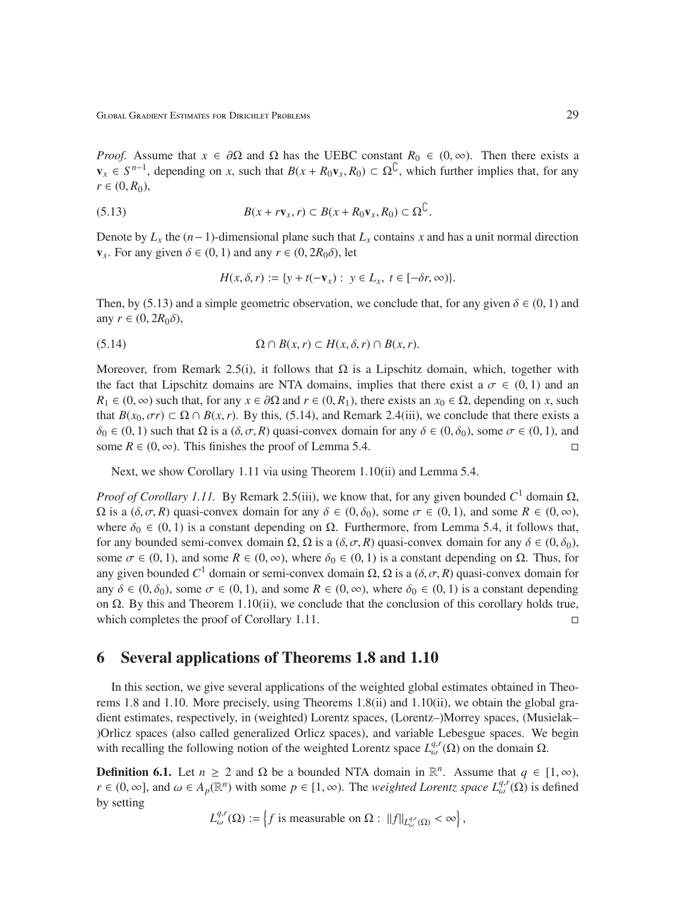Global Gradient Estimates for Dirichlet Problems 29

*Proof.* Assume that  $x \in \partial\Omega$  and  $\Omega$  has the UEBC constant  $R_0 \in (0, \infty)$ . Then there exists a  $v_x \in S^{n-1}$ , depending on *x*, such that  $B(x + R_0v_x, R_0) \subset \Omega^{\mathbb{C}}$ , which further implies that, for any  $r \in (0, R_0)$ ,

(5.13) 
$$
B(x + r\mathbf{v}_x, r) \subset B(x + R_0\mathbf{v}_x, R_0) \subset \Omega^{\mathbb{C}}.
$$

Denote by  $L_x$  the  $(n-1)$ -dimensional plane such that  $L_x$  contains x and has a unit normal direction  $v_x$ . For any given  $\delta \in (0, 1)$  and any  $r \in (0, 2R_0\delta)$ , let

$$
H(x, \delta, r) := \{ y + t(-\mathbf{v}_x) : y \in L_x, t \in [-\delta r, \infty) \}.
$$

Then, by (5.13) and a simple geometric observation, we conclude that, for any given  $\delta \in (0, 1)$  and any  $r \in (0, 2R_0\delta)$ ,

(5.14) 
$$
\Omega \cap B(x, r) \subset H(x, \delta, r) \cap B(x, r).
$$

Moreover, from Remark 2.5(i), it follows that  $\Omega$  is a Lipschitz domain, which, together with the fact that Lipschitz domains are NTA domains, implies that there exist a  $\sigma \in (0,1)$  and an  $R_1 \in (0, \infty)$  such that, for any  $x \in \partial\Omega$  and  $r \in (0, R_1)$ , there exists an  $x_0 \in \Omega$ , depending on *x*, such that  $B(x_0, \sigma r) \subset \Omega \cap B(x, r)$ . By this, (5.14), and Remark 2.4(iii), we conclude that there exists a  $\delta_0 \in (0, 1)$  such that  $\Omega$  is a  $(\delta, \sigma, R)$  quasi-convex domain for any  $\delta \in (0, \delta_0)$ , some  $\sigma \in (0, 1)$ , and some  $R \in (0, \infty)$ . This finishes the proof of Lemma 5.4.

Next, we show Corollary 1.11 via using Theorem 1.10(ii) and Lemma 5.4.

*Proof of Corollary 1.11.* By Remark 2.5(iii), we know that, for any given bounded  $C^1$  domain Ω,  $Ω$  is a  $(δ, σ, R)$  quasi-convex domain for any  $δ ∈ (0, δ_0)$ , some  $σ ∈ (0, 1)$ , and some  $R ∈ (0, ∞)$ , where  $\delta_0 \in (0, 1)$  is a constant depending on  $\Omega$ . Furthermore, from Lemma 5.4, it follows that, for any bounded semi-convex domain Ω, Ω is a  $(δ, σ, R)$  quasi-convex domain for any  $δ ∈ (0, δ<sub>0</sub>)$ , some  $\sigma \in (0, 1)$ , and some  $R \in (0, \infty)$ , where  $\delta_0 \in (0, 1)$  is a constant depending on  $\Omega$ . Thus, for any given bounded  $C^1$  domain or semi-convex domain Ω, Ω is a  $(δ, σ, R)$  quasi-convex domain for any  $\delta \in (0, \delta_0)$ , some  $\sigma \in (0, 1)$ , and some  $R \in (0, \infty)$ , where  $\delta_0 \in (0, 1)$  is a constant depending on  $\Omega$ . By this and Theorem 1.10(ii), we conclude that the conclusion of this corollary holds true, which completes the proof of Corollary 1.11.

## 6 Several applications of Theorems 1.8 and 1.10

In this section, we give several applications of the weighted global estimates obtained in Theorems 1.8 and 1.10. More precisely, using Theorems 1.8(ii) and 1.10(ii), we obtain the global gradient estimates, respectively, in (weighted) Lorentz spaces, (Lorentz–)Morrey spaces, (Musielak– )Orlicz spaces (also called generalized Orlicz spaces), and variable Lebesgue spaces. We begin with recalling the following notion of the weighted Lorentz space  $L_{\omega}^{q,r}(\Omega)$  on the domain  $\Omega$ .

**Definition 6.1.** Let  $n \ge 2$  and  $\Omega$  be a bounded NTA domain in  $\mathbb{R}^n$ . Assume that  $q \in [1, \infty)$ , *r* ∈ (0, ∞), and  $\omega$  ∈ *A*<sub>*p*</sub>( $\mathbb{R}^n$ ) with some *p* ∈ [1, ∞). The *weighted Lorentz space*  $L_{\omega}^{q,r}(\Omega)$  is defined by setting

$$
L_{\omega}^{q,r}(\Omega) := \left\{ f \text{ is measurable on } \Omega: \|f\|_{L_{\omega}^{q,r}(\Omega)} < \infty \right\},\
$$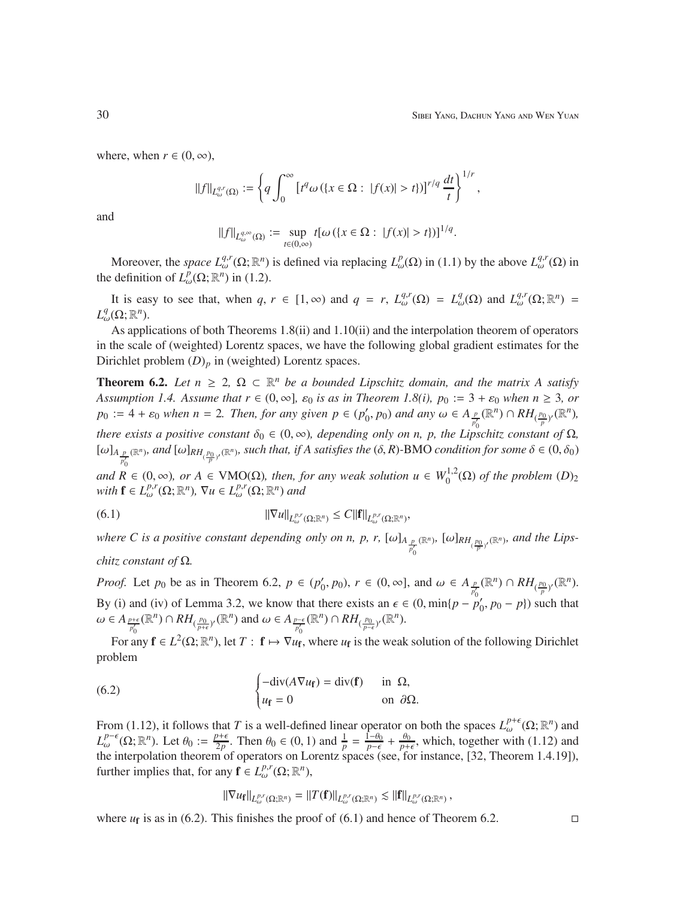,

where, when  $r \in (0, \infty)$ ,

$$
||f||_{L^{q,r}_{\omega}(\Omega)} := \left\{ q \int_0^{\infty} \left[ t^q \omega \left( \{ x \in \Omega : |f(x)| > t \} \right) \right]^{r/q} \frac{dt}{t} \right\}^{1/r}
$$

and

$$
||f||_{L^{q,\infty}_{\omega}(\Omega)} := \sup_{t \in (0,\infty)} t[\omega (\{x \in \Omega : |f(x)| > t\})]^{1/q}.
$$

Moreover, the *space*  $L^{q,r}_{\omega}(\Omega;\mathbb{R}^n)$  is defined via replacing  $L^p_{\omega}(\Omega)$  in (1.1) by the above  $L^{q,r}_{\omega}(\Omega)$  in the definition of  $L^p_\omega(\Omega; \mathbb{R}^n)$  in (1.2).

It is easy to see that, when  $q, r \in [1, \infty)$  and  $q = r, L_{\omega}^{q,r}(\Omega) = L_{\omega}^{q}(\Omega)$  and  $L_{\omega}^{q,r}(\Omega; \mathbb{R}^{n}) =$  $L^q_\omega(\Omega;\mathbb{R}^n)$ .

As applications of both Theorems 1.8(ii) and 1.10(ii) and the interpolation theorem of operators in the scale of (weighted) Lorentz spaces, we have the following global gradient estimates for the Dirichlet problem  $(D)_p$  in (weighted) Lorentz spaces.

**Theorem 6.2.** Let  $n \geq 2$ ,  $\Omega \subset \mathbb{R}^n$  be a bounded Lipschitz domain, and the matrix A satisfy *Assumption 1.4. Assume that*  $r \in (0, \infty]$ *,*  $\varepsilon_0$  *is as in Theorem 1.8(i),*  $p_0 := 3 + \varepsilon_0$  *when*  $n \ge 3$ *, or*  $p_0 := 4 + \varepsilon_0$  *when*  $n = 2$ *. Then, for any given*  $p \in (p'_0)$  $\alpha'$ <sub>0</sub>,  $p_0$ ) and any  $\omega \in A_{\frac{p}{p'_0}}$  $(\mathbb{R}^n) \cap RH_{(\frac{p_0}{p})'}(\mathbb{R}^n)$ *there exists a positive constant*  $\delta_0 \in (0, \infty)$ *, depending only on n, p, the Lipschitz constant of*  $\Omega$ *,*  $[\omega]_{A_{\frac{p}{p'_o}}(\mathbb{R}^n)}$ , and  $[\omega]_{RH_{(\frac{p_0}{p'})}(\mathbb{R}^n)}$ , such that, if A satisfies the  $(\delta, R)$ -BMO *condition for some*  $\delta \in (0, \delta_0)$ *and*  $R \in (0, ∞)$ *, or*  $A \in VMO(\Omega)$ *, then, for any weak solution*  $u \in W_0^{1,2}$  $\int_0^1$ <sup>(1,2</sup>( $\Omega$ ) *of the problem*  $(D)_2$  $with \mathbf{f} \in L_{\omega}^{p,r}(\Omega; \mathbb{R}^n), \nabla u \in L_{\omega}^{p,r}(\Omega; \mathbb{R}^n)$  and

$$
||\nabla u||_{L_{\omega}^{p,r}(\Omega;\mathbb{R}^n)} \leq C||\mathbf{f}||_{L_{\omega}^{p,r}(\Omega;\mathbb{R}^n)},
$$

*where C is a positive constant depending only on n, p, r,*  $[\omega]_{A_{\frac{p}{p'_0}}}$  $(\mathbb{R}^n)$ ,  $[\omega]_{RH_{(\frac{p_0}{p})'}(\mathbb{R}^n)}$ , and the Lips-

*chitz constant of* Ω*.*

*Proof.* Let  $p_0$  be as in Theorem 6.2,  $p \in (p'_0)$  $\alpha'$ <sub>*0</sub>*, *p*<sub>0</sub>), *r* ∈ (0, ∞], and ω ∈  $A_{\frac{p}{p_0}}(\mathbb{R}^n) \cap RH_{(\frac{p_0}{p})'}(\mathbb{R}^n)$ .</sub> By (i) and (iv) of Lemma 3.2, we know that there exists an  $\epsilon \in (0, \min\{p - p_0^{p_0}\})$  $(p_0, p_0 - p)$  such that  $\omega \in A_{\frac{p+\epsilon}{p'_0}}$  $(\mathbb{R}^n) \cap RH_{(\frac{p_0}{p+\epsilon})'}(\mathbb{R}^n)$  and  $\omega \in A_{\frac{p-\epsilon}{p'_0}}$  $(\mathbb{R}^n) \cap RH_{(\frac{p_0}{p-\epsilon})'}(\mathbb{R}^n)$ .

For any  $f \in L^2(\Omega;\mathbb{R}^n)$ , let  $T : f \mapsto \nabla u_f$ , where  $u_f$  is the weak solution of the following Dirichlet problem

(6.2) 
$$
\begin{cases}\n-\text{div}(A\nabla u_{\mathbf{f}}) = \text{div}(\mathbf{f}) & \text{in } \Omega, \\
u_{\mathbf{f}} = 0 & \text{on } \partial\Omega.\n\end{cases}
$$

From (1.12), it follows that *T* is a well-defined linear operator on both the spaces  $L^{p+\epsilon}_{\omega}(\Omega;\mathbb{R}^n)$  and  $L_{\omega}^{p-\epsilon}(\Omega;\mathbb{R}^n)$ . Let  $\theta_0 := \frac{p+\epsilon}{2p}$  $\frac{p+\epsilon}{2p}$ . Then  $\theta_0 \in (0, 1)$  and  $\frac{1}{p} = \frac{\overline{1}-\theta_0}{p-\epsilon}$  $\frac{\bar{\rho}-\theta_0}{p-\epsilon}+\frac{\theta_0}{p+1}$  $\frac{\theta_0}{p+\epsilon}$ , which, together with (1.12) and the interpolation theorem of operators on Lorentz spaces (see, for instance, [32, Theorem 1.4.19]), further implies that, for any  $\mathbf{f} \in L_{\omega}^{p,r}(\Omega; \mathbb{R}^n)$ ,

$$
\|\nabla u_{\mathbf{f}}\|_{L^{p,r}_{\omega}(\Omega;\mathbb{R}^n)} = \|T(\mathbf{f})\|_{L^{p,r}_{\omega}(\Omega;\mathbb{R}^n)} \lesssim \| \mathbf{f} \|_{L^{p,r}_{\omega}(\Omega;\mathbb{R}^n)},
$$

where  $u_f$  is as in (6.2). This finishes the proof of (6.1) and hence of Theorem 6.2.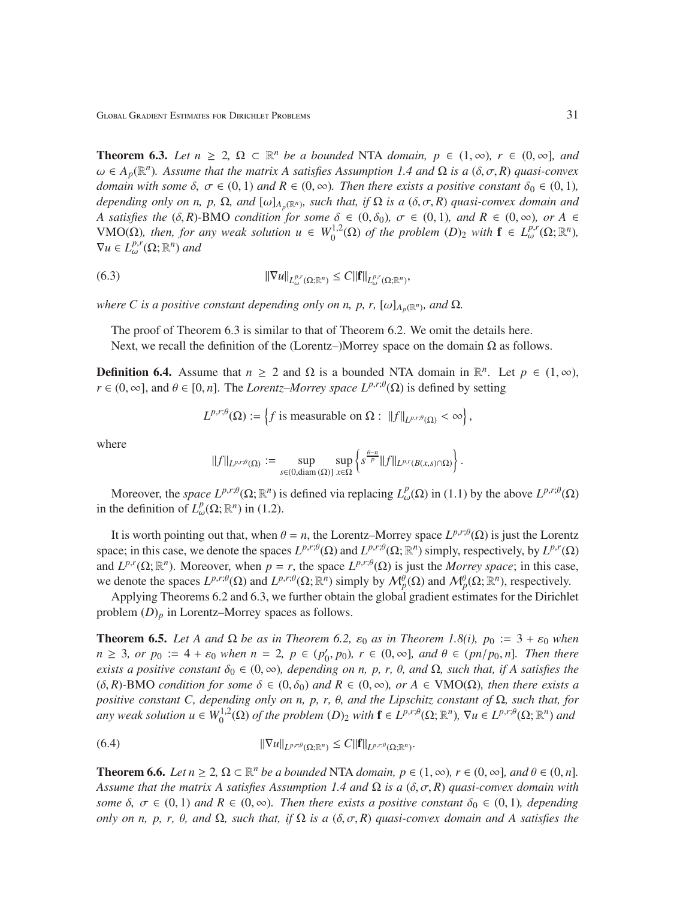Global Gradient Estimates for Dirichlet Problems 31

**Theorem 6.3.** Let  $n \geq 2$ ,  $\Omega \subset \mathbb{R}^n$  be a bounded NTA domain,  $p \in (1, \infty)$ ,  $r \in (0, \infty]$ , and  $\omega \in A_p(\mathbb{R}^n)$ . Assume that the matrix A satisfies Assumption 1.4 and  $\Omega$  *is a*  $(\delta, \sigma, R)$  *quasi-convex domain with some*  $\delta$ ,  $\sigma \in (0, 1)$  *and*  $R \in (0, \infty)$ *. Then there exists a positive constant*  $\delta_0 \in (0, 1)$ *, depending only on n, p,*  $\Omega$ *, and*  $[\omega]_{A_p(\mathbb{R}^n)}$ , such that, if  $\Omega$  is a  $(\delta, \sigma, R)$  quasi-convex domain and *A satisfies the*  $(\delta, R)$ -BMO *condition for some*  $\delta \in (0, \delta_0)$ *,*  $\sigma \in (0, 1)$ *, and*  $R \in (0, \infty)$ *, or*  $A \in$ VMO(Ω)*, then, for any weak solution*  $u \in W_0^{1,2}$  $\int_0^{1,2} (\Omega) \text{ of the problem } (D)_2 \text{ with } \mathbf{f} \in L_{\omega}^{p,r}(\Omega; \mathbb{R}^n),$  $\nabla u \in L^{p,r}_{\omega}(\Omega; \mathbb{R}^n)$  and

$$
||\nabla u||_{L_{\omega}^{p,r}(\Omega;\mathbb{R}^n)} \leq C||\mathbf{f}||_{L_{\omega}^{p,r}(\Omega;\mathbb{R}^n)},
$$

*where C is a positive constant depending only on n, p, r,*  $[\omega]_{A_p(\mathbb{R}^n)}$ , and  $\Omega$ *.* 

The proof of Theorem 6.3 is similar to that of Theorem 6.2. We omit the details here. Next, we recall the definition of the (Lorentz–)Morrey space on the domain  $\Omega$  as follows.

**Definition 6.4.** Assume that  $n \ge 2$  and  $\Omega$  is a bounded NTA domain in  $\mathbb{R}^n$ . Let  $p \in (1, \infty)$ ,  $r \in (0, \infty]$ , and  $\theta \in [0, n]$ . The *Lorentz–Morrey space*  $L^{p,r;\theta}(\Omega)$  is defined by setting

$$
L^{p,r;\theta}(\Omega) := \left\{ f \text{ is measurable on } \Omega: ||f||_{L^{p,r;\theta}(\Omega)} < \infty \right\},\
$$

where

$$
||f||_{L^{p,r;\theta}(\Omega)} := \sup_{s \in (0,\text{diam}(\Omega)]} \sup_{x \in \Omega} \left\{ s^{\frac{\theta-n}{p}} ||f||_{L^{p,r}(B(x,s) \cap \Omega)} \right\}.
$$

Moreover, the *space*  $L^{p,r;\theta}(\Omega;\mathbb{R}^n)$  is defined via replacing  $L^p_\omega(\Omega)$  in (1.1) by the above  $L^{p,r;\theta}(\Omega)$ in the definition of  $L^p_\omega(\Omega; \mathbb{R}^n)$  in (1.2).

It is worth pointing out that, when  $\theta = n$ , the Lorentz–Morrey space  $L^{p,r;\theta}(\Omega)$  is just the Lorentz space; in this case, we denote the spaces  $L^{p,r;\theta}(\Omega)$  and  $L^{p,r;\theta}(\Omega;\mathbb{R}^n)$  simply, respectively, by  $L^{p,r}(\Omega)$ and  $L^{p,r}(\Omega;\mathbb{R}^n)$ . Moreover, when  $p = r$ , the space  $L^{p,r;\theta}(\Omega)$  is just the *Morrey space*; in this case, we denote the spaces  $L^{p,r;\theta}(\Omega)$  and  $L^{p,r;\theta}(\Omega;\mathbb{R}^n)$  simply by  $\mathcal{M}_p^{\theta}(\Omega)$  and  $\mathcal{M}_p^{\theta}(\Omega;\mathbb{R}^n)$ , respectively.

Applying Theorems 6.2 and 6.3, we further obtain the global gradient estimates for the Dirichlet problem (*D*)*<sup>p</sup>* in Lorentz–Morrey spaces as follows.

**Theorem 6.5.** Let A and  $\Omega$  be as in Theorem 6.2,  $\varepsilon_0$  as in Theorem 1.8(i),  $p_0 := 3 + \varepsilon_0$  when  $n \geq 3$ *, or p*<sub>0</sub> := 4 +  $\varepsilon_0$  *when*  $n = 2$ ,  $p \in (p_0')$  $(0, p_0)$ ,  $r \in (0, \infty]$ , and  $\theta \in (pn/p_0, n]$ . Then there *exists a positive constant*  $\delta_0 \in (0, \infty)$ *, depending on n, p, r,*  $\theta$ *, and*  $\Omega$ *, such that, if A satisfies the*  $(\delta, R)$ -BMO *condition for some*  $\delta \in (0, \delta_0)$  *and*  $R \in (0, \infty)$ *, or*  $A \in VMO(\Omega)$ *, then there exists a positive constant C, depending only on n, p, r,* θ*, and the Lipschitz constant of* Ω*, such that, for any weak solution*  $u \in W_0^{1,2}$  $\int_0^{1,2}(\Omega)$  *of the problem*  $(D)_2$  *with*  $\mathbf{f} \in L^{p,r;\theta}(\Omega;\mathbb{R}^n)$ ,  $\nabla u \in L^{p,r;\theta}(\Omega;\mathbb{R}^n)$  and

$$
||\nabla u||_{L^{p,r;\theta}(\Omega;\mathbb{R}^n)} \leq C||\mathbf{f}||_{L^{p,r;\theta}(\Omega;\mathbb{R}^n)}.
$$

**Theorem 6.6.** *Let*  $n \geq 2$ ,  $\Omega \subset \mathbb{R}^n$  *be a bounded* NTA *domain,*  $p \in (1, \infty)$ *,*  $r \in (0, \infty]$ *, and*  $\theta \in (0, n]$ *. Assume that the matrix A satisfies Assumption 1.4 and* Ω *is a* (δ, σ, *R*) *quasi-convex domain with some*  $\delta$ ,  $\sigma \in (0, 1)$  *and*  $R \in (0, \infty)$ *. Then there exists a positive constant*  $\delta_0 \in (0, 1)$ *, depending only on n, p, r,*  $\theta$ *, and*  $\Omega$ *, such that, if*  $\Omega$  *is a* ( $\delta$ ,  $\sigma$ ,  $R$ ) *quasi-convex domain and* A satisfies the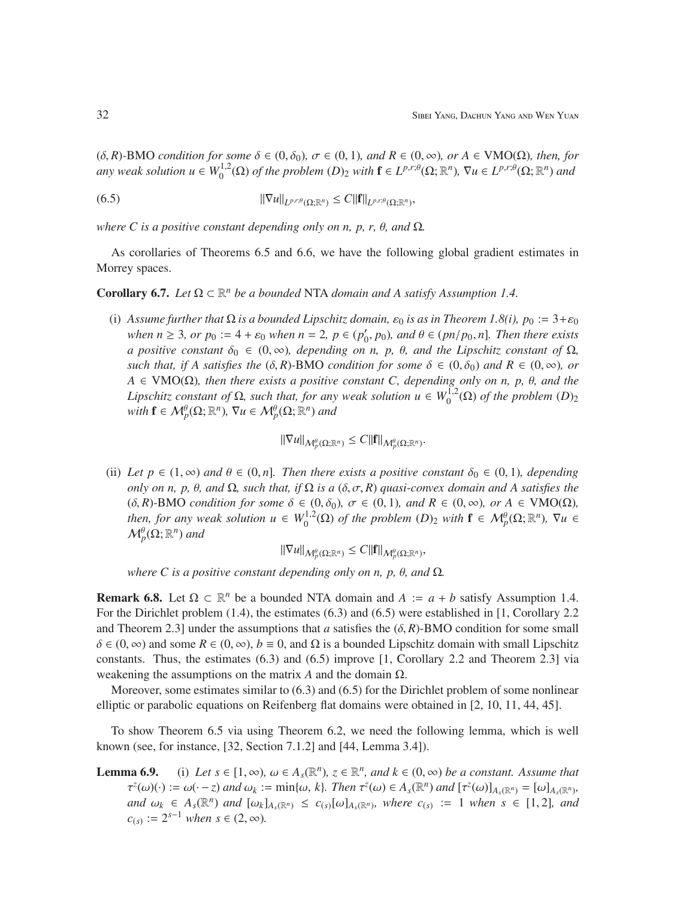$(\delta, R)$ -BMO *condition for some*  $\delta \in (0, \delta_0)$ ,  $\sigma \in (0, 1)$ *, and*  $R \in (0, \infty)$ *, or*  $A \in VMO(\Omega)$ *, then, for any weak solution*  $u \in W_0^{1,2}$  $\int_0^{1,2}(\Omega)$  *of the problem*  $(D)_2$  *with*  $\mathbf{f} \in L^{p,r;\theta}(\Omega;\mathbb{R}^n)$ ,  $\nabla u \in L^{p,r;\theta}(\Omega;\mathbb{R}^n)$  and

 $\|\nabla u\|_{L^{p,r;\theta}(\Omega;\mathbb{R}^n)} \leq C \|\mathbf{f}\|_{L^{p,r;\theta}(\Omega;\mathbb{R}^n)},$ 

*where C is a positive constant depending only on n, p, r,* θ*, and* Ω*.*

As corollaries of Theorems 6.5 and 6.6, we have the following global gradient estimates in Morrey spaces.

Corollary 6.7. *Let* Ω ⊂  $\mathbb{R}^n$  *be a bounded* NTA *domain and A satisfy Assumption 1.4.* 

(i) *Assume further that*  $\Omega$  *is a bounded Lipschitz domain,*  $\varepsilon_0$  *is as in Theorem 1.8(i), p*<sub>0</sub> := 3+ $\varepsilon_0$ *when*  $n \ge 3$ *, or*  $p_0 := 4 + \varepsilon_0$  *when*  $n = 2$ *,*  $p \in (p'_0)$  $(0, p_0)$ , and  $\theta \in (pn/p_0, n]$ . Then there exists *a positive constant*  $\delta_0 \in (0, \infty)$ *, depending on n, p, θ, and the Lipschitz constant of*  $\Omega$ *, such that, if A satisfies the*  $(\delta, R)$ -BMO *condition for some*  $\delta \in (0, \delta_0)$  *and*  $R \in (0, \infty)$ *, or*  $A \in VMO(\Omega)$ *, then there exists a positive constant C, depending only on n, p,*  $\theta$ *<i>, and the Lipschitz constant of*  $\Omega$ *, such that, for any weak solution u*  $\in W_0^{1,2}$  $\int_0^1 P^{(1,2)}(\Omega)$  *of the problem*  $(D)_2$  $with \mathbf{f} \in \mathcal{M}_p^{\theta}(\Omega; \mathbb{R}^n), \nabla u \in \mathcal{M}_p^{\theta}(\Omega; \mathbb{R}^n)$  and

 $\|\nabla u\|_{\mathcal{M}_p^{\theta}(\Omega;\mathbb{R}^n)} \leq C\|\mathbf{f}\|_{\mathcal{M}_p^{\theta}(\Omega;\mathbb{R}^n)}$ .

(ii) Let  $p \in (1, \infty)$  and  $\theta \in (0, n]$ . Then there exists a positive constant  $\delta_0 \in (0, 1)$ , depending *only on n, p, θ, and*  $\Omega$ *, such that, if*  $\Omega$  *is a* ( $\delta$ ,  $\sigma$ ,  $R$ ) *quasi-convex domain and* A satisfies the  $(\delta, R)$ -BMO *condition for some*  $\delta \in (0, \delta_0)$ ,  $\sigma \in (0, 1)$ *, and*  $R \in (0, \infty)$ *, or*  $A \in VMO(\Omega)$ *, then, for any weak solution*  $u \in W_0^{1,2}$  $\mathcal{M}_p^{1,2}(\Omega)$  *of the problem*  $(D)_2$  *with*  $\mathbf{f} \in \mathcal{M}_p^{\theta}(\Omega;\mathbb{R}^n)$ ,  $\nabla u \in$  $\mathcal{M}_p^{\theta}(\Omega;\mathbb{R}^n)$  and

 $\|\nabla u\|_{\mathcal{M}_p^{\theta}(\Omega;\mathbb{R}^n)} \leq C\|\mathbf{f}\|_{\mathcal{M}_p^{\theta}(\Omega;\mathbb{R}^n)},$ 

*where C is a positive constant depending only on n, p,* θ*, and* Ω*.*

**Remark 6.8.** Let  $\Omega \subset \mathbb{R}^n$  be a bounded NTA domain and  $A := a + b$  satisfy Assumption 1.4. For the Dirichlet problem (1.4), the estimates (6.3) and (6.5) were established in [1, Corollary 2.2 and Theorem 2.3] under the assumptions that *a* satisfies the  $(\delta, R)$ -BMO condition for some small  $\delta \in (0, \infty)$  and some  $R \in (0, \infty)$ ,  $b \equiv 0$ , and  $\Omega$  is a bounded Lipschitz domain with small Lipschitz constants. Thus, the estimates (6.3) and (6.5) improve [1, Corollary 2.2 and Theorem 2.3] via weakening the assumptions on the matrix *A* and the domain Ω.

Moreover, some estimates similar to (6.3) and (6.5) for the Dirichlet problem of some nonlinear elliptic or parabolic equations on Reifenberg flat domains were obtained in [2, 10, 11, 44, 45].

To show Theorem 6.5 via using Theorem 6.2, we need the following lemma, which is well known (see, for instance, [32, Section 7.1.2] and [44, Lemma 3.4]).

**Lemma 6.9.** (i) Let  $s \in [1, \infty)$ ,  $\omega \in A_s(\mathbb{R}^n)$ ,  $z \in \mathbb{R}^n$ , and  $k \in (0, \infty)$  be a constant. Assume that  $\tau^{z}(\omega)(\cdot) := \omega(\cdot - z)$  and  $\omega_k := \min\{\omega, k\}$ . Then  $\tau^{z}(\omega) \in A_s(\mathbb{R}^n)$  and  $[\tau^{z}(\omega)]_{A_s(\mathbb{R}^n)} = [\omega]_{A_s(\mathbb{R}^n)}$ ,  $\omega_k \in A_s(\mathbb{R}^n)$  *and*  $[\omega_k]_{A_s(\mathbb{R}^n)} \leq c_{(s)}[\omega]_{A_s(\mathbb{R}^n)}$ , where  $c_{(s)} := 1$  when  $s \in [1,2]$ *, and*  $c_{(s)}$  := 2<sup>*s*−1</sup> *when s* ∈ (2, ∞).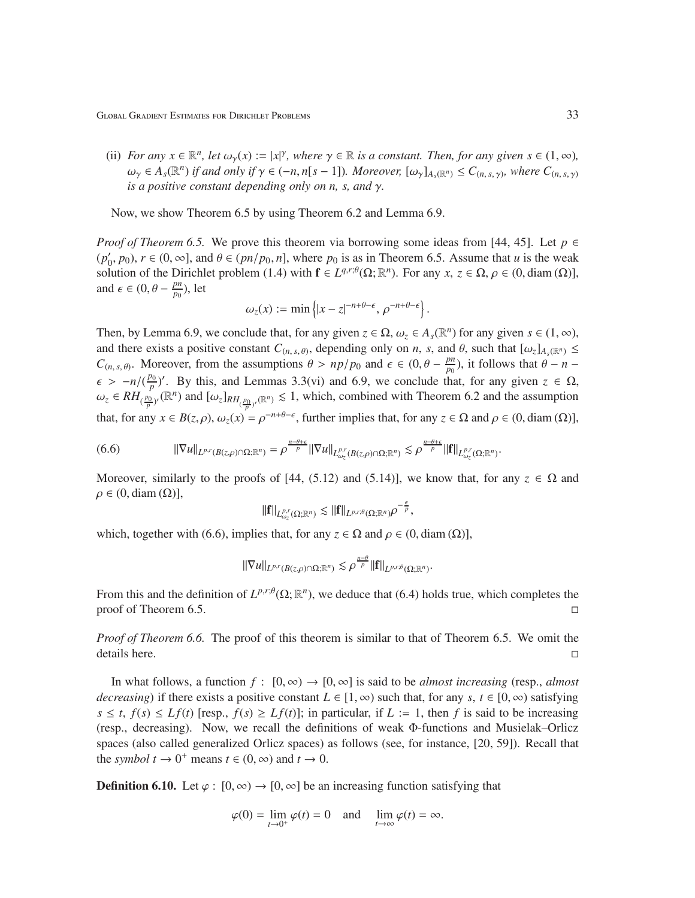(ii) *For any*  $x \in \mathbb{R}^n$ , let  $\omega_\gamma(x) := |x|^\gamma$ , where  $\gamma \in \mathbb{R}$  is a constant. Then, for any given  $s \in (1, \infty)$ ,  $\omega_{\gamma} \in A_{s}(\mathbb{R}^{n})$  *if and only if*  $\gamma \in (-n, n[s-1])$ *. Moreover,*  $[\omega_{\gamma}]_{A_{s}(\mathbb{R}^{n})} \leq C_{(n, s, \gamma)}$ *, where*  $C_{(n, s, \gamma)}$ *is a positive constant depending only on n, s, and* γ*.*

Now, we show Theorem 6.5 by using Theorem 6.2 and Lemma 6.9.

*Proof of Theorem 6.5.* We prove this theorem via borrowing some ideas from [44, 45]. Let *p* ∈ (*p* ′  $(0, p_0)$ ,  $r \in (0, \infty]$ , and  $\theta \in (pn/p_0, n]$ , where  $p_0$  is as in Theorem 6.5. Assume that *u* is the weak solution of the Dirichlet problem (1.4) with  $f \in L^{q,r;\theta}(\Omega;\mathbb{R}^n)$ . For any  $x, z \in \Omega, \rho \in (0, \text{diam}(\Omega))$ , and  $\epsilon \in (0, \theta - \frac{pn}{n_0})$  $\frac{pn}{p_0}$ ), let

$$
\omega_z(x) := \min\left\{|x-z|^{-n+\theta-\epsilon}, \, \rho^{-n+\theta-\epsilon}\right\}.
$$

Then, by Lemma 6.9, we conclude that, for any given  $z \in \Omega$ ,  $\omega_z \in A_s(\mathbb{R}^n)$  for any given  $s \in (1, \infty)$ , and there exists a positive constant  $C_{(n, s, \theta)}$ , depending only on *n*, *s*, and  $\theta$ , such that  $[\omega_z]_{A_s(\mathbb{R}^n)} \leq$  $C_{(n, s, \theta)}$ . Moreover, from the assumptions  $\theta > np/p_0$  and  $\epsilon \in (0, \theta - \frac{pn_0}{p_0})$  $\frac{pn}{p_0}$ ), it follows that  $\theta - n \epsilon$  >  $-n/(\frac{p_0}{n})$  $\frac{p_0}{p}$ <sup>)</sup>. By this, and Lemmas 3.3(vi) and 6.9, we conclude that, for any given  $z \in \Omega$ ,  $\omega_z \in RH_{(\frac{p_0}{p})'}(\mathbb{R}^n)$  and  $[\omega_z]_{RH_{(\frac{p_0}{p})'}(\mathbb{R}^n)} \leq 1$ , which, combined with Theorem 6.2 and the assumption that, for any  $x \in B(z, \rho)$ ,  $\omega_z(x) = \rho^{-n+\theta-\epsilon}$ , further implies that, for any  $z \in \Omega$  and  $\rho \in (0, \text{diam}(\Omega))$ ,

$$
(6.6) \t\t ||\nabla u||_{L^{p,r}(B(z,\rho)\cap\Omega;\mathbb{R}^n)} = \rho^{\frac{n-\theta+\epsilon}{p}}||\nabla u||_{L^{p,r}_{\omega_z}(B(z,\rho)\cap\Omega;\mathbb{R}^n)} \lesssim \rho^{\frac{n-\theta+\epsilon}{p}}||\mathbf{f}||_{L^{p,r}_{\omega_z}(\Omega;\mathbb{R}^n)}.
$$

Moreover, similarly to the proofs of [44, (5.12) and (5.14)], we know that, for any  $z \in \Omega$  and  $\rho \in (0, \text{diam}(\Omega)),$ 

$$
\|{\bf f}\|_{L^{p,r}_{\omega_{z}}(\Omega;\mathbb{R}^{n})}\lesssim\|{\bf f}\|_{L^{p,r;\theta}(\Omega;\mathbb{R}^{n})}\rho^{-\frac{\epsilon}{p}},
$$

which, together with (6.6), implies that, for any  $z \in \Omega$  and  $\rho \in (0, \text{diam}(\Omega))$ ,

$$
\|\nabla u\|_{L^{p,r}(B(z,\rho)\cap\Omega;\mathbb{R}^n)}\lesssim \rho^{\frac{n-\theta}{p}}\|{\bf f}\|_{L^{p,r;\theta}(\Omega;\mathbb{R}^n)}.
$$

From this and the definition of  $L^{p,r;\theta}(\Omega;\mathbb{R}^n)$ , we deduce that (6.4) holds true, which completes the proof of Theorem 6.5.

*Proof of Theorem 6.6.* The proof of this theorem is similar to that of Theorem 6.5. We omit the details here.

In what follows, a function  $f : [0, \infty) \to [0, \infty]$  is said to be *almost increasing* (resp., *almost decreasing*) if there exists a positive constant  $L \in [1, \infty)$  such that, for any *s*,  $t \in [0, \infty)$  satisfying  $s \leq t$ ,  $f(s) \leq Lf(t)$  [resp.,  $f(s) \geq Lf(t)$ ]; in particular, if  $L := 1$ , then *f* is said to be increasing (resp., decreasing). Now, we recall the definitions of weak Φ-functions and Musielak–Orlicz spaces (also called generalized Orlicz spaces) as follows (see, for instance, [20, 59]). Recall that the *symbol*  $t \to 0^+$  means  $t \in (0, \infty)$  and  $t \to 0$ .

**Definition 6.10.** Let  $\varphi : [0, \infty) \to [0, \infty]$  be an increasing function satisfying that

$$
\varphi(0) = \lim_{t \to 0^+} \varphi(t) = 0 \quad \text{and} \quad \lim_{t \to \infty} \varphi(t) = \infty.
$$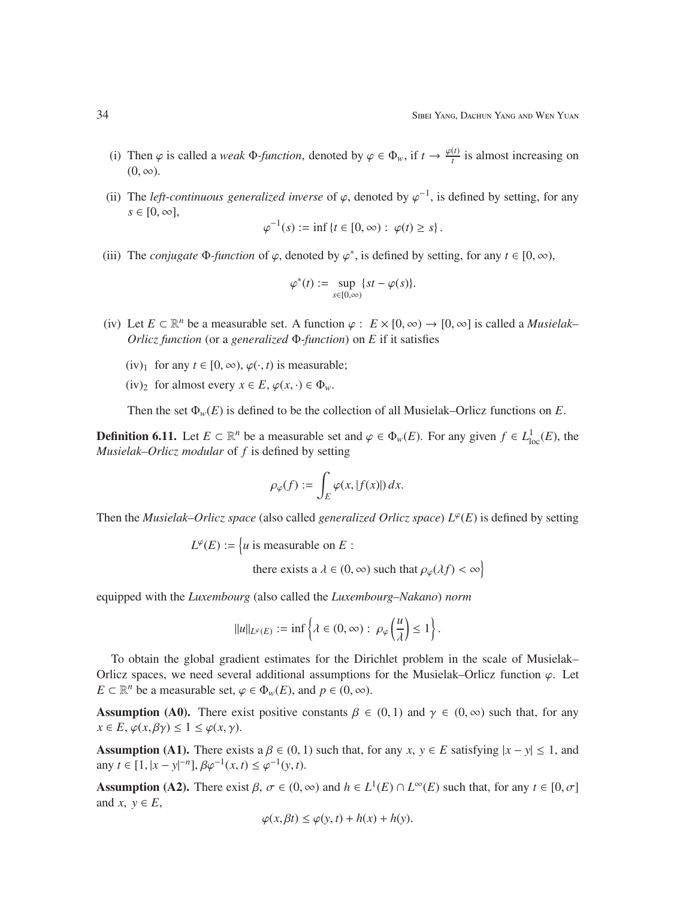- (i) Then  $\varphi$  is called a *weak*  $\Phi$ -function, denoted by  $\varphi \in \Phi_w$ , if  $t \to \frac{\varphi(t)}{t}$  $\frac{u}{t}$  is almost increasing on  $(0, \infty)$ .
- (ii) The *left-continuous generalized inverse* of  $\varphi$ , denoted by  $\varphi^{-1}$ , is defined by setting, for any  $s \in [0, \infty]$ ,

$$
\varphi^{-1}(s) := \inf \{ t \in [0, \infty) : \varphi(t) \ge s \}.
$$

(iii) The *conjugate*  $\Phi$ -function of  $\varphi$ , denoted by  $\varphi^*$ , is defined by setting, for any  $t \in [0, \infty)$ ,

$$
\varphi^*(t) := \sup_{s \in [0,\infty)} \{st - \varphi(s)\}.
$$

- (iv) Let  $E \subset \mathbb{R}^n$  be a measurable set. A function  $\varphi : E \times [0, \infty) \to [0, \infty]$  is called a *Musielak Orlicz function* (or a *generalized* Φ*-function*) on *E* if it satisfies
	- (iv)<sub>1</sub> for any  $t \in [0, \infty)$ ,  $\varphi(\cdot, t)$  is measurable;
	- (iv)<sub>2</sub> for almost every  $x \in E$ ,  $\varphi(x, \cdot) \in \Phi_w$ .

Then the set  $\Phi_w(E)$  is defined to be the collection of all Musielak–Orlicz functions on *E*.

**Definition 6.11.** Let  $E \subset \mathbb{R}^n$  be a measurable set and  $\varphi \in \Phi_w(E)$ . For any given  $f \in L^1_{loc}(E)$ , the *Musielak–Orlicz modular* of *f* is defined by setting

$$
\rho_{\varphi}(f) := \int_{E} \varphi(x, |f(x)|) \, dx.
$$

Then the *Musielak–Orlicz space* (also called *generalized Orlicz space*) *L* ϕ (*E*) is defined by setting

$$
L^{\varphi}(E) := \{u \text{ is measurable on } E :
$$

there exists a  $\lambda \in (0, \infty)$  such that  $\rho_{\varphi}(\lambda f) < \infty$ 

equipped with the *Luxembourg* (also called the *Luxembourg–Nakano*) *norm*

$$
\|u\|_{L^\varphi(E)}:=\inf\left\{\lambda\in(0,\infty):\ \rho_\varphi\left(\frac{u}{\lambda}\right)\leq 1\right\}.
$$

To obtain the global gradient estimates for the Dirichlet problem in the scale of Musielak– Orlicz spaces, we need several additional assumptions for the Musielak–Orlicz function  $\varphi$ . Let *E*  $\subset \mathbb{R}^n$  be a measurable set,  $\varphi \in \Phi_w(E)$ , and  $p \in (0, \infty)$ .

**Assumption (A0).** There exist positive constants  $\beta \in (0, 1)$  and  $\gamma \in (0, \infty)$  such that, for any  $x \in E$ ,  $\varphi(x, \beta\gamma) \leq 1 \leq \varphi(x, \gamma)$ .

Assumption (A1). There exists  $a \beta \in (0, 1)$  such that, for any  $x, y \in E$  satisfying  $|x - y| \le 1$ , and any  $t \in [1, |x - y|^{-n}], \beta \varphi^{-1}(x, t) \leq \varphi^{-1}(y, t).$ 

Assumption (A2). There exist  $\beta$ ,  $\sigma \in (0, \infty)$  and  $h \in L^1(E) \cap L^{\infty}(E)$  such that, for any  $t \in [0, \sigma]$ and  $x, y \in E$ ,

$$
\varphi(x,\beta t) \le \varphi(y,t) + h(x) + h(y).
$$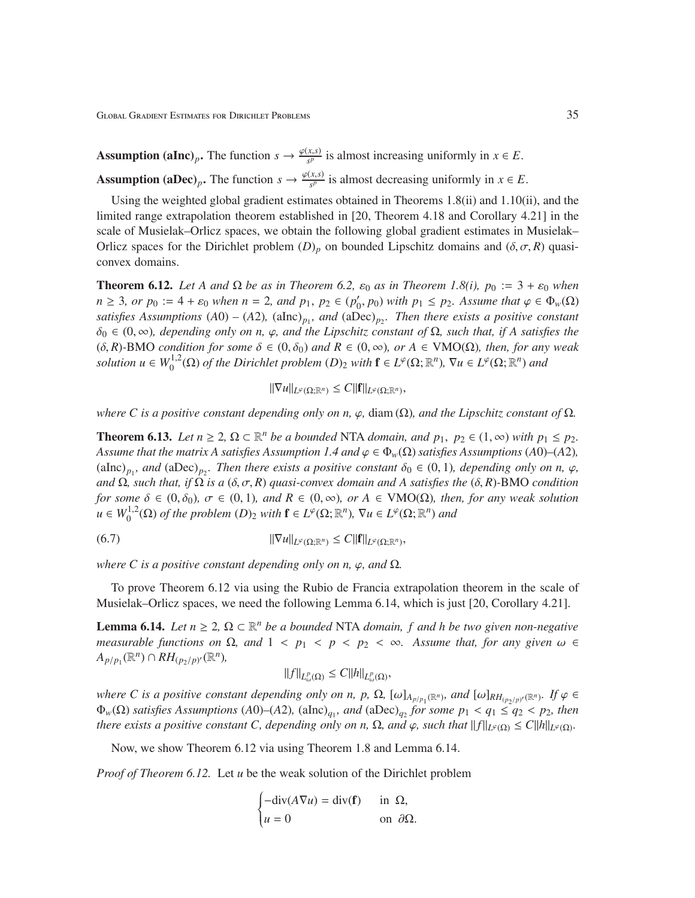**Assumption (aInc)**<sub>p</sub>. The function  $s \to \frac{\varphi(x,s)}{s^p}$  $\frac{x,s}{s^p}$  is almost increasing uniformly in  $x \in E$ . **Assumption (aDec)**<sub>p</sub>. The function  $s \to \frac{\varphi(x,s)}{s^p}$  $\frac{x,s}{s^p}$  is almost decreasing uniformly in  $x \in E$ .

Using the weighted global gradient estimates obtained in Theorems 1.8(ii) and 1.10(ii), and the limited range extrapolation theorem established in [20, Theorem 4.18 and Corollary 4.21] in the scale of Musielak–Orlicz spaces, we obtain the following global gradient estimates in Musielak– Orlicz spaces for the Dirichlet problem  $(D)_p$  on bounded Lipschitz domains and  $(\delta, \sigma, R)$  quasiconvex domains.

**Theorem 6.12.** Let A and  $\Omega$  be as in Theorem 6.2,  $\varepsilon_0$  as in Theorem 1.8(i),  $p_0 := 3 + \varepsilon_0$  when  $n \geq 3$ *, or*  $p_0 := 4 + \varepsilon_0$  *when*  $n = 2$ *, and*  $p_1, p_2 \in (p'_0)$  $(p'_0, p_0)$  *with*  $p_1 \leq p_2$ . Assume that  $\varphi \in \Phi_w(\Omega)$ *satisfies Assumptions* (*A*0) *–* (*A*2)*,* (aInc)*p*<sup>1</sup> *, and* (aDec)*p*<sup>2</sup> *. Then there exists a positive constant* δ<sup>0</sup> ∈ (0, ∞)*, depending only on n,* ϕ*, and the Lipschitz constant of* Ω*, such that, if A satisfies the*  $(\delta, R)$ -BMO *condition for some*  $\delta \in (0, \delta_0)$  *and*  $R \in (0, \infty)$ *, or*  $A \in VMO(\Omega)$ *, then, for any weak solution*  $u \in W_0^{1,2}$  $U_0^{1,2}(\Omega)$  *of the Dirichlet problem*  $(D)_2$  *with*  $\mathbf{f} \in L^{\varphi}(\Omega;\mathbb{R}^n)$ ,  $\nabla u \in L^{\varphi}(\Omega;\mathbb{R}^n)$  and

$$
\|\nabla u\|_{L^{\varphi}(\Omega;\mathbb{R}^n)} \leq C\|{\bf f}\|_{L^{\varphi}(\Omega;\mathbb{R}^n)},
$$

*where C is a positive constant depending only on n,*  $\varphi$ *, diam (* $\Omega$ *), and the Lipschitz constant of*  $\Omega$ *.* 

**Theorem 6.13.** *Let*  $n \geq 2$ ,  $\Omega \subset \mathbb{R}^n$  *be a bounded* NTA *domain, and*  $p_1$ ,  $p_2 \in (1, \infty)$  *with*  $p_1 \leq p_2$ *. Assume that the matrix A satisfies Assumption 1.4 and*  $\varphi \in \Phi_w(\Omega)$  *satisfies Assumptions* (*A*0)–(*A*2)*,*  $(alnc)_{p_1}$ *, and*  $(abc)_{p_2}$ *. Then there exists a positive constant*  $\delta_0 \in (0, 1)$ *, depending only on n,*  $\varphi$ *, and* Ω*, such that, if* Ω *is a* (δ, σ, *R*) *quasi-convex domain and A satisfies the* (δ, *R*)*-*BMO *condition for some*  $\delta \in (0, \delta_0)$ ,  $\sigma \in (0, 1)$ *, and*  $R \in (0, \infty)$ *, or*  $A \in VMO(\Omega)$ *, then, for any weak solution*  $u \in W_0^{1,2}$  $L^{1,2}(\Omega)$  *of the problem*  $(D)_2$  *with*  $\mathbf{f} \in L^{\varphi}(\Omega;\mathbb{R}^n)$ ,  $\nabla u \in L^{\varphi}(\Omega;\mathbb{R}^n)$  *and* 

$$
||\nabla u||_{L^{\varphi}(\Omega;\mathbb{R}^n)} \leq C||\mathbf{f}||_{L^{\varphi}(\Omega;\mathbb{R}^n)},
$$

*where C is a positive constant depending only on n,*  $\varphi$ *, and*  $\Omega$ *.* 

To prove Theorem 6.12 via using the Rubio de Francia extrapolation theorem in the scale of Musielak–Orlicz spaces, we need the following Lemma 6.14, which is just [20, Corollary 4.21].

**Lemma 6.14.** *Let*  $n \geq 2$ ,  $\Omega \subset \mathbb{R}^n$  *be a bounded* NTA *domain, f and h be two given non-negative measurable functions on*  $\Omega$ *, and*  $1 < p_1 < p < p_2 < \infty$ *. Assume that, for any given*  $ω \in$  $A_{p/p_1}(\mathbb{R}^n) \cap RH_{(p_2/p)'}(\mathbb{R}^n)$ 

$$
||f||_{L^p_{\omega}(\Omega)} \leq C||h||_{L^p_{\omega}(\Omega)},
$$

*where C is a positive constant depending only on n, p,*  $\Omega$ ,  $[\omega]_{A_{p/p_1}(\mathbb{R}^n)}$ *, and*  $[\omega]_{RH_{(p_2/p)'}(\mathbb{R}^n)}$ *. If*  $\varphi \in$  $\Phi_w(\Omega)$  *satisfies Assumptions* (*A*0)–(*A*2), (aInc)<sub>*q*1</sub></sub>, and (aDec)<sub>*q*2</sub> for some  $p_1 < q_1 \le q_2 < p_2$ , then *there exists a positive constant C, depending only on n,*  $\Omega$ *, and*  $\varphi$ *, such that*  $||f||_{L^{\varphi}(\Omega)} \leq C||h||_{L^{\varphi}(\Omega)}$ *.* 

Now, we show Theorem 6.12 via using Theorem 1.8 and Lemma 6.14.

*Proof of Theorem 6.12.* Let *u* be the weak solution of the Dirichlet problem

$$
\begin{cases}\n-\text{div}(A\nabla u) = \text{div}(\mathbf{f}) & \text{in } \Omega, \\
u = 0 & \text{on } \partial\Omega.\n\end{cases}
$$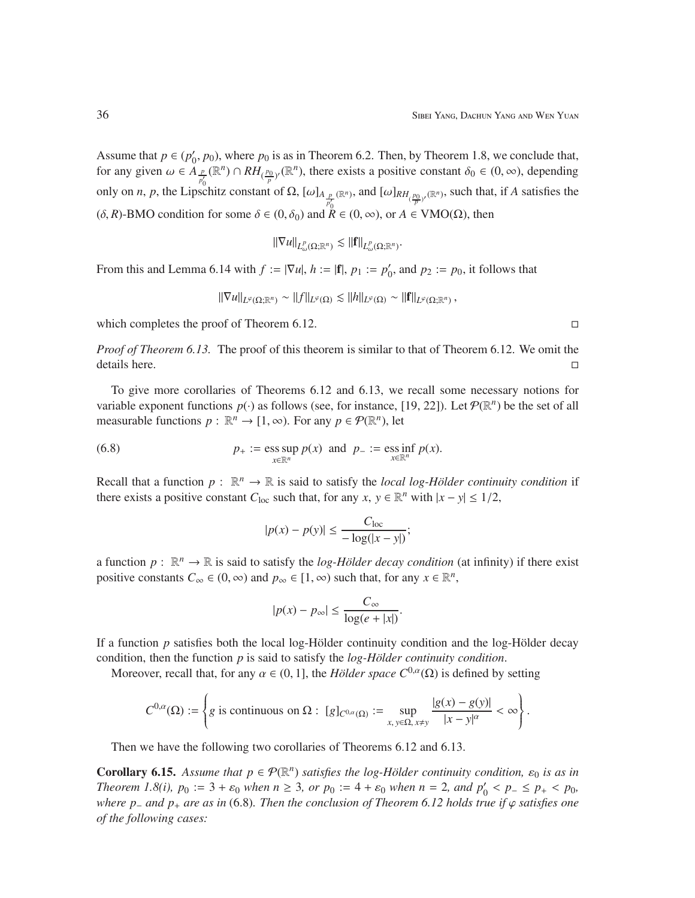Assume that  $p \in (p'_0)$  $_0'$ ,  $p_0$ ), where  $p_0$  is as in Theorem 6.2. Then, by Theorem 1.8, we conclude that, for any given  $\omega \in A_{\frac{p}{p'_0}}(\mathbb{R}^n) \cap RH_{(\frac{p_0}{p})'}(\mathbb{R}^n)$ , there exists a positive constant  $\delta_0 \in (0,\infty)$ , depending only on *n*, *p*, the Lipschitz constant of  $\Omega$ ,  $[\omega]_{A_{\frac{p}{p'_0}}(\mathbb{R}^n)}$ , and  $[\omega]_{RH_{(\frac{p_0}{p'})}(\mathbb{R}^n)}$ , such that, if *A* satisfies the (δ, *R*)-BMO condition for some  $\delta$  ∈ (0, δ<sub>0</sub>) and  $\overline{R}$  ∈ (0, ∞), or  $A \in VMO(\Omega)$ , then

$$
\|\nabla u\|_{L^p(\Omega;\mathbb{R}^n)} \lesssim \|f\|_{L^p(\Omega;\mathbb{R}^n)}.
$$

From this and Lemma 6.14 with  $f := |\nabla u|, h := |f|, p_1 := p'_0$  $p_0'$ , and  $p_2 := p_0$ , it follows that

$$
\|\nabla u\|_{L^{\varphi}(\Omega;\mathbb{R}^n)} \sim \|f\|_{L^{\varphi}(\Omega)} \lesssim \|h\|_{L^{\varphi}(\Omega)} \sim \|f\|_{L^{\varphi}(\Omega;\mathbb{R}^n)},
$$

which completes the proof of Theorem 6.12.

*Proof of Theorem 6.13.* The proof of this theorem is similar to that of Theorem 6.12. We omit the details here.

To give more corollaries of Theorems 6.12 and 6.13, we recall some necessary notions for variable exponent functions  $p(\cdot)$  as follows (see, for instance, [19, 22]). Let  $\mathcal{P}(\mathbb{R}^n)$  be the set of all measurable functions  $p : \mathbb{R}^n \to [1, \infty)$ . For any  $p \in \mathcal{P}(\mathbb{R}^n)$ , let

(6.8) 
$$
p_{+} := \operatorname{ess} \sup_{x \in \mathbb{R}^{n}} p(x) \text{ and } p_{-} := \operatorname{ess} \inf_{x \in \mathbb{R}^{n}} p(x).
$$

Recall that a function  $p : \mathbb{R}^n \to \mathbb{R}$  is said to satisfy the *local log-Hölder continuity condition* if there exists a positive constant  $C_{\text{loc}}$  such that, for any  $x, y \in \mathbb{R}^n$  with  $|x - y| \leq 1/2$ ,

$$
|p(x) - p(y)| \le \frac{C_{\text{loc}}}{-\log(|x - y|)};
$$

a function  $p: \mathbb{R}^n \to \mathbb{R}$  is said to satisfy the *log-Hölder decay condition* (at infinity) if there exist positive constants  $C_{\infty} \in (0, \infty)$  and  $p_{\infty} \in [1, \infty)$  such that, for any  $x \in \mathbb{R}^n$ ,

$$
|p(x) - p_{\infty}| \le \frac{C_{\infty}}{\log(e + |x|)}.
$$

If a function  $p$  satisfies both the local log-Hölder continuity condition and the log-Hölder decay condition, then the function *p* is said to satisfy the *log-Hölder continuity condition*.

Moreover, recall that, for any  $\alpha \in (0, 1]$ , the *Hölder space*  $C^{0,\alpha}(\Omega)$  is defined by setting

$$
C^{0,\alpha}(\Omega) := \left\{ g \text{ is continuous on } \Omega : [g]_{C^{0,\alpha}(\Omega)} := \sup_{x,y \in \Omega, x \neq y} \frac{|g(x) - g(y)|}{|x - y|^{\alpha}} < \infty \right\}.
$$

Then we have the following two corollaries of Theorems 6.12 and 6.13.

**Corollary 6.15.** Assume that  $p \in \mathcal{P}(\mathbb{R}^n)$  satisfies the log-Hölder continuity condition,  $\varepsilon_0$  is as in *Theorem 1.8(i),*  $p_0 := 3 + \varepsilon_0$  *when*  $n \ge 3$ *, or*  $p_0 := 4 + \varepsilon_0$  *when*  $n = 2$ *, and*  $p'_0 < p_- \le p_+ < p_0$ *, where p*<sup>−</sup> *and p*<sup>+</sup> *are as in* (6.8)*. Then the conclusion of Theorem 6.12 holds true if* ϕ *satisfies one of the following cases:*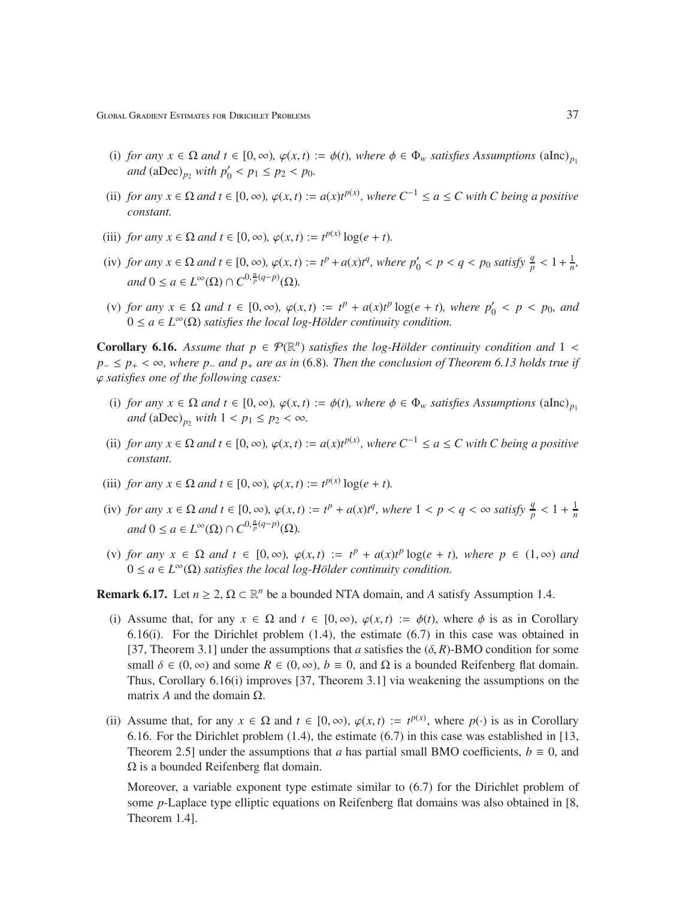Global Gradient Estimates for Dirichlet Problems 37

- (i) *for any*  $x \in \Omega$  *and*  $t \in [0, \infty)$ ,  $\varphi(x, t) := \varphi(t)$ , where  $\phi \in \Phi_w$  satisfies Assumptions (alnc)<sub>*p*1</sub> *and*  $(aDec)_{p_2}$  *with*  $p'_0 < p_1 \le p_2 < p_0$ *.*
- (ii) *for any*  $x \in \Omega$  *and*  $t \in [0, \infty)$ ,  $\varphi(x, t) := a(x)t^{p(x)}$ , where  $C^{-1} \le a \le C$  with C being a positive *constant.*
- (iii) *for any*  $x \in \Omega$  *and*  $t \in [0, \infty)$ ,  $\varphi(x, t) := t^{p(x)} \log(e + t)$ .
- (iv) for any  $x \in \Omega$  and  $t \in [0, \infty)$ ,  $\varphi(x, t) := t^p + a(x)t^q$ , where  $p'_0 < p < q < p_0$  satisfy  $\frac{q}{p} < 1 + \frac{1}{n}$  $\frac{1}{n}$ ,  $and$   $0 \le a \in L^{\infty}(\Omega) \cap C^{0, \frac{n}{p}(q-p)}(\Omega)$ .
- (v) *for any*  $x \in Ω$  *and*  $t \in [0, ∞)$ *,*  $\varphi(x, t) := t^p + a(x)t^p \log(e + t)$ *, where*  $p'_0 < p < p_0$ *, and*  $0 \le a \in L^{\infty}(\Omega)$  *satisfies the local log-Hölder continuity condition.*

**Corollary 6.16.** Assume that  $p \in \mathcal{P}(\mathbb{R}^n)$  satisfies the log-Hölder continuity condition and  $1 <$ *p*− ≤ *p*+ < ∞, where *p*− *and p*+ *are as in* (6.8)*. Then the conclusion of Theorem 6.13 holds true if* ϕ *satisfies one of the following cases:*

- (i) *for any*  $x \in \Omega$  *and*  $t \in [0, \infty)$ ,  $\varphi(x, t) := \varphi(t)$ , where  $\phi \in \Phi_w$  satisfies Assumptions (alnc)<sub>*p*1</sub> *and*  $(aDec)_{p_2}$  *with*  $1 < p_1 \leq p_2 < \infty$ *.*
- (ii) *for any*  $x \in \Omega$  *and*  $t \in [0, \infty)$ ,  $\varphi(x, t) := a(x)t^{p(x)}$ , where  $C^{-1} \le a \le C$  with C being a positive *constant.*
- (iii) *for any*  $x \in \Omega$  *and*  $t \in [0, \infty)$ ,  $\varphi(x, t) := t^{p(x)} \log(e + t)$ .
- (iv) *for any*  $x \in \Omega$  *and*  $t \in [0, \infty)$ ,  $\varphi(x, t) := t^p + a(x)t^q$ , where  $1 < p < q < \infty$  satisfy  $\frac{q}{p} < 1 + \frac{1}{n}$ *n*  $and$   $0 \le a \in L^{\infty}(\Omega) \cap C^{0, \frac{n}{p}(q-p)}(\Omega)$ .
- (v) *for any*  $x \in \Omega$  *and*  $t \in [0, \infty)$ ,  $\varphi(x, t) := t^p + a(x)t^p \log(e + t)$ , where  $p \in (1, \infty)$  *and*  $0 \le a \in L^{\infty}(\Omega)$  *satisfies the local log-Hölder continuity condition.*

**Remark 6.17.** Let  $n \geq 2$ ,  $\Omega \subset \mathbb{R}^n$  be a bounded NTA domain, and *A* satisfy Assumption 1.4.

- (i) Assume that, for any  $x \in \Omega$  and  $t \in [0, \infty)$ ,  $\varphi(x, t) := \varphi(t)$ , where  $\varphi$  is as in Corollary 6.16(i). For the Dirichlet problem (1.4), the estimate (6.7) in this case was obtained in [37, Theorem 3.1] under the assumptions that *a* satisfies the  $(\delta, R)$ -BMO condition for some small  $\delta \in (0, \infty)$  and some  $R \in (0, \infty)$ ,  $b \equiv 0$ , and  $\Omega$  is a bounded Reifenberg flat domain. Thus, Corollary 6.16(i) improves [37, Theorem 3.1] via weakening the assumptions on the matrix  $A$  and the domain  $\Omega$ .
- (ii) Assume that, for any  $x \in \Omega$  and  $t \in [0, \infty)$ ,  $\varphi(x, t) := t^{p(x)}$ , where  $p(\cdot)$  is as in Corollary 6.16. For the Dirichlet problem (1.4), the estimate (6.7) in this case was established in [13, Theorem 2.5] under the assumptions that *a* has partial small BMO coefficients,  $b \equiv 0$ , and Ω is a bounded Reifenberg flat domain.

Moreover, a variable exponent type estimate similar to (6.7) for the Dirichlet problem of some *p*-Laplace type elliptic equations on Reifenberg flat domains was also obtained in [8, Theorem 1.4].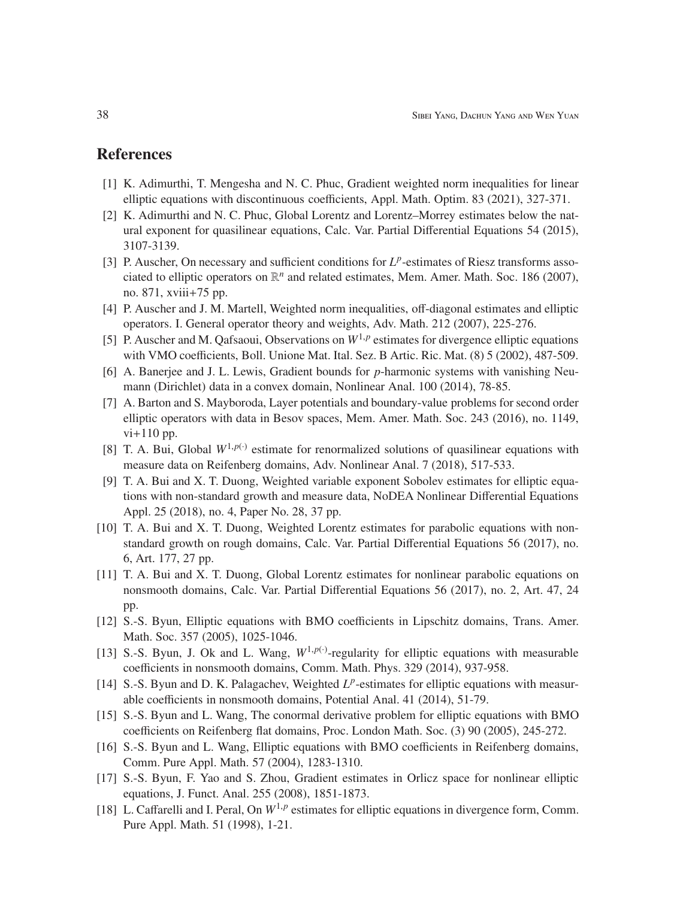## References

- [1] K. Adimurthi, T. Mengesha and N. C. Phuc, Gradient weighted norm inequalities for linear elliptic equations with discontinuous coefficients, Appl. Math. Optim. 83 (2021), 327-371.
- [2] K. Adimurthi and N. C. Phuc, Global Lorentz and Lorentz–Morrey estimates below the natural exponent for quasilinear equations, Calc. Var. Partial Differential Equations 54 (2015), 3107-3139.
- [3] P. Auscher, On necessary and sufficient conditions for  $L^p$ -estimates of Riesz transforms associated to elliptic operators on  $\mathbb{R}^n$  and related estimates, Mem. Amer. Math. Soc. 186 (2007), no. 871, xviii+75 pp.
- [4] P. Auscher and J. M. Martell, Weighted norm inequalities, off-diagonal estimates and elliptic operators. I. General operator theory and weights, Adv. Math. 212 (2007), 225-276.
- [5] P. Auscher and M. Qafsaoui, Observations on  $W^{1,p}$  estimates for divergence elliptic equations with VMO coefficients, Boll. Unione Mat. Ital. Sez. B Artic. Ric. Mat. (8) 5 (2002), 487-509.
- [6] A. Banerjee and J. L. Lewis, Gradient bounds for *p*-harmonic systems with vanishing Neumann (Dirichlet) data in a convex domain, Nonlinear Anal. 100 (2014), 78-85.
- [7] A. Barton and S. Mayboroda, Layer potentials and boundary-value problems for second order elliptic operators with data in Besov spaces, Mem. Amer. Math. Soc. 243 (2016), no. 1149,  $vi+110$  pp.
- [8] T. A. Bui, Global  $W^{1,p(\cdot)}$  estimate for renormalized solutions of quasilinear equations with measure data on Reifenberg domains, Adv. Nonlinear Anal. 7 (2018), 517-533.
- [9] T. A. Bui and X. T. Duong, Weighted variable exponent Sobolev estimates for elliptic equations with non-standard growth and measure data, NoDEA Nonlinear Differential Equations Appl. 25 (2018), no. 4, Paper No. 28, 37 pp.
- [10] T. A. Bui and X. T. Duong, Weighted Lorentz estimates for parabolic equations with nonstandard growth on rough domains, Calc. Var. Partial Differential Equations 56 (2017), no. 6, Art. 177, 27 pp.
- [11] T. A. Bui and X. T. Duong, Global Lorentz estimates for nonlinear parabolic equations on nonsmooth domains, Calc. Var. Partial Differential Equations 56 (2017), no. 2, Art. 47, 24 pp.
- [12] S.-S. Byun, Elliptic equations with BMO coefficients in Lipschitz domains, Trans. Amer. Math. Soc. 357 (2005), 1025-1046.
- [13] S.-S. Byun, J. Ok and L. Wang,  $W^{1,p(\cdot)}$ -regularity for elliptic equations with measurable coefficients in nonsmooth domains, Comm. Math. Phys. 329 (2014), 937-958.
- [14] S.-S. Byun and D. K. Palagachev, Weighted  $L^p$ -estimates for elliptic equations with measurable coefficients in nonsmooth domains, Potential Anal. 41 (2014), 51-79.
- [15] S.-S. Byun and L. Wang, The conormal derivative problem for elliptic equations with BMO coefficients on Reifenberg flat domains, Proc. London Math. Soc. (3) 90 (2005), 245-272.
- [16] S.-S. Byun and L. Wang, Elliptic equations with BMO coefficients in Reifenberg domains, Comm. Pure Appl. Math. 57 (2004), 1283-1310.
- [17] S.-S. Byun, F. Yao and S. Zhou, Gradient estimates in Orlicz space for nonlinear elliptic equations, J. Funct. Anal. 255 (2008), 1851-1873.
- [18] L. Caffarelli and I. Peral, On  $W^{1,p}$  estimates for elliptic equations in divergence form, Comm. Pure Appl. Math. 51 (1998), 1-21.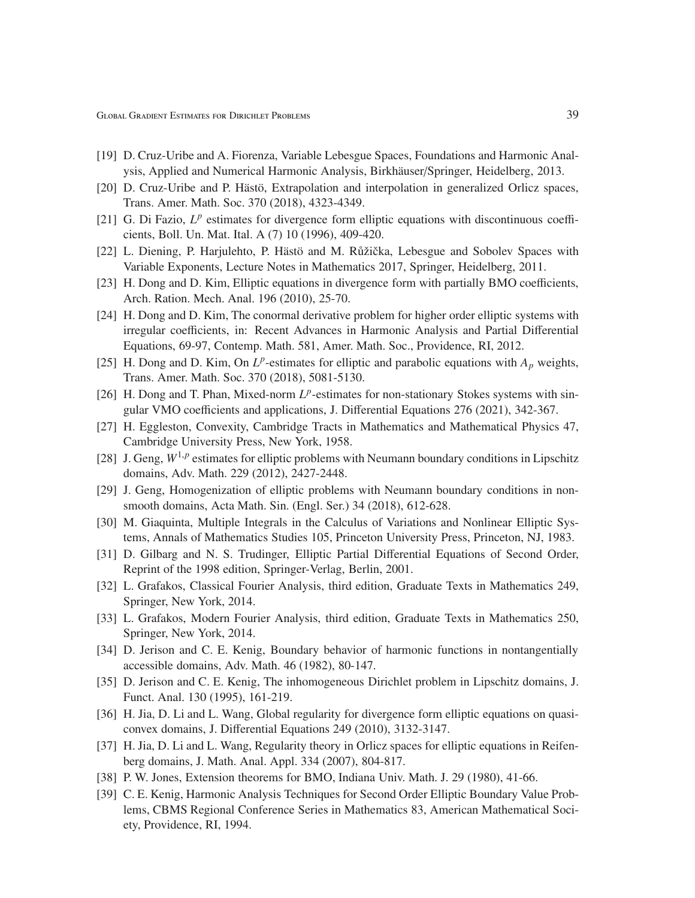- [19] D. Cruz-Uribe and A. Fiorenza, Variable Lebesgue Spaces, Foundations and Harmonic Analysis, Applied and Numerical Harmonic Analysis, Birkhäuser/Springer, Heidelberg, 2013.
- [20] D. Cruz-Uribe and P. Hästö, Extrapolation and interpolation in generalized Orlicz spaces, Trans. Amer. Math. Soc. 370 (2018), 4323-4349.
- [21] G. Di Fazio, L<sup>p</sup> estimates for divergence form elliptic equations with discontinuous coefficients, Boll. Un. Mat. Ital. A (7) 10 (1996), 409-420.
- [22] L. Diening, P. Harjulehto, P. Hästö and M. Růžička, Lebesgue and Sobolev Spaces with Variable Exponents, Lecture Notes in Mathematics 2017, Springer, Heidelberg, 2011.
- [23] H. Dong and D. Kim, Elliptic equations in divergence form with partially BMO coefficients, Arch. Ration. Mech. Anal. 196 (2010), 25-70.
- [24] H. Dong and D. Kim, The conormal derivative problem for higher order elliptic systems with irregular coefficients, in: Recent Advances in Harmonic Analysis and Partial Differential Equations, 69-97, Contemp. Math. 581, Amer. Math. Soc., Providence, RI, 2012.
- [25] H. Dong and D. Kim, On  $L^p$ -estimates for elliptic and parabolic equations with  $A_p$  weights, Trans. Amer. Math. Soc. 370 (2018), 5081-5130.
- [26] H. Dong and T. Phan, Mixed-norm  $L^p$ -estimates for non-stationary Stokes systems with singular VMO coefficients and applications, J. Differential Equations 276 (2021), 342-367.
- [27] H. Eggleston, Convexity, Cambridge Tracts in Mathematics and Mathematical Physics 47, Cambridge University Press, New York, 1958.
- [28] J. Geng,  $W^{1,p}$  estimates for elliptic problems with Neumann boundary conditions in Lipschitz domains, Adv. Math. 229 (2012), 2427-2448.
- [29] J. Geng, Homogenization of elliptic problems with Neumann boundary conditions in nonsmooth domains, Acta Math. Sin. (Engl. Ser.) 34 (2018), 612-628.
- [30] M. Giaquinta, Multiple Integrals in the Calculus of Variations and Nonlinear Elliptic Systems, Annals of Mathematics Studies 105, Princeton University Press, Princeton, NJ, 1983.
- [31] D. Gilbarg and N. S. Trudinger, Elliptic Partial Differential Equations of Second Order, Reprint of the 1998 edition, Springer-Verlag, Berlin, 2001.
- [32] L. Grafakos, Classical Fourier Analysis, third edition, Graduate Texts in Mathematics 249, Springer, New York, 2014.
- [33] L. Grafakos, Modern Fourier Analysis, third edition, Graduate Texts in Mathematics 250, Springer, New York, 2014.
- [34] D. Jerison and C. E. Kenig, Boundary behavior of harmonic functions in nontangentially accessible domains, Adv. Math. 46 (1982), 80-147.
- [35] D. Jerison and C. E. Kenig, The inhomogeneous Dirichlet problem in Lipschitz domains, J. Funct. Anal. 130 (1995), 161-219.
- [36] H. Jia, D. Li and L. Wang, Global regularity for divergence form elliptic equations on quasiconvex domains, J. Differential Equations 249 (2010), 3132-3147.
- [37] H. Jia, D. Li and L. Wang, Regularity theory in Orlicz spaces for elliptic equations in Reifenberg domains, J. Math. Anal. Appl. 334 (2007), 804-817.
- [38] P. W. Jones, Extension theorems for BMO, Indiana Univ. Math. J. 29 (1980), 41-66.
- [39] C. E. Kenig, Harmonic Analysis Techniques for Second Order Elliptic Boundary Value Problems, CBMS Regional Conference Series in Mathematics 83, American Mathematical Society, Providence, RI, 1994.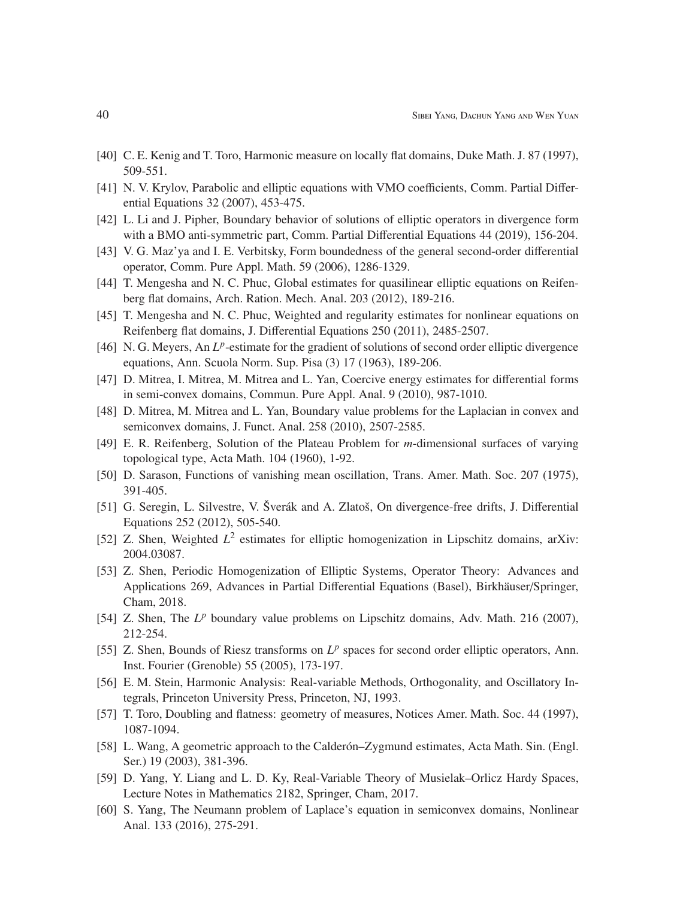- [40] C. E. Kenig and T. Toro, Harmonic measure on locally flat domains, Duke Math. J. 87 (1997), 509-551.
- [41] N. V. Krylov, Parabolic and elliptic equations with VMO coefficients, Comm. Partial Differential Equations 32 (2007), 453-475.
- [42] L. Li and J. Pipher, Boundary behavior of solutions of elliptic operators in divergence form with a BMO anti-symmetric part, Comm. Partial Differential Equations 44 (2019), 156-204.
- [43] V. G. Maz'ya and I. E. Verbitsky, Form boundedness of the general second-order differential operator, Comm. Pure Appl. Math. 59 (2006), 1286-1329.
- [44] T. Mengesha and N. C. Phuc, Global estimates for quasilinear elliptic equations on Reifenberg flat domains, Arch. Ration. Mech. Anal. 203 (2012), 189-216.
- [45] T. Mengesha and N. C. Phuc, Weighted and regularity estimates for nonlinear equations on Reifenberg flat domains, J. Differential Equations 250 (2011), 2485-2507.
- [46] N. G. Meyers, An L<sup>p</sup>-estimate for the gradient of solutions of second order elliptic divergence equations, Ann. Scuola Norm. Sup. Pisa (3) 17 (1963), 189-206.
- [47] D. Mitrea, I. Mitrea, M. Mitrea and L. Yan, Coercive energy estimates for differential forms in semi-convex domains, Commun. Pure Appl. Anal. 9 (2010), 987-1010.
- [48] D. Mitrea, M. Mitrea and L. Yan, Boundary value problems for the Laplacian in convex and semiconvex domains, J. Funct. Anal. 258 (2010), 2507-2585.
- [49] E. R. Reifenberg, Solution of the Plateau Problem for *m*-dimensional surfaces of varying topological type, Acta Math. 104 (1960), 1-92.
- [50] D. Sarason, Functions of vanishing mean oscillation, Trans. Amer. Math. Soc. 207 (1975), 391-405.
- [51] G. Seregin, L. Silvestre, V. Šverák and A. Zlatoš, On divergence-free drifts, J. Differential Equations 252 (2012), 505-540.
- [52] Z. Shen, Weighted  $L^2$  estimates for elliptic homogenization in Lipschitz domains, arXiv: 2004.03087.
- [53] Z. Shen, Periodic Homogenization of Elliptic Systems, Operator Theory: Advances and Applications 269, Advances in Partial Differential Equations (Basel), Birkhäuser/Springer, Cham, 2018.
- [54] Z. Shen, The L<sup>p</sup> boundary value problems on Lipschitz domains, Adv. Math. 216 (2007), 212-254.
- [55] Z. Shen, Bounds of Riesz transforms on  $L^p$  spaces for second order elliptic operators, Ann. Inst. Fourier (Grenoble) 55 (2005), 173-197.
- [56] E. M. Stein, Harmonic Analysis: Real-variable Methods, Orthogonality, and Oscillatory Integrals, Princeton University Press, Princeton, NJ, 1993.
- [57] T. Toro, Doubling and flatness: geometry of measures, Notices Amer. Math. Soc. 44 (1997), 1087-1094.
- [58] L. Wang, A geometric approach to the Calder on–Zygmund estimates, Acta Math. Sin. (Engl.) Ser.) 19 (2003), 381-396.
- [59] D. Yang, Y. Liang and L. D. Ky, Real-Variable Theory of Musielak–Orlicz Hardy Spaces, Lecture Notes in Mathematics 2182, Springer, Cham, 2017.
- [60] S. Yang, The Neumann problem of Laplace's equation in semiconvex domains, Nonlinear Anal. 133 (2016), 275-291.